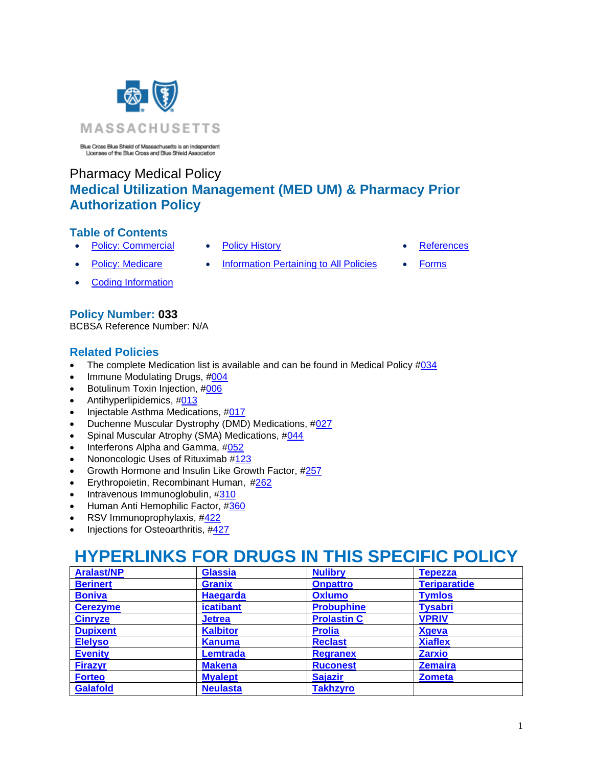

Blue Cross Blue Shield of Massachusetts is an Independent<br>Licensee of the Blue Cross and Blue Shield Association

## Pharmacy Medical Policy **Medical Utilization Management (MED UM) & Pharmacy Prior Authorization Policy**

## **Table of Contents**

- [Policy: Commercial](#page-1-0) [Policy History](#page-50-0) **Policy History [References](#page-51-0)**
- 

- 
- [Policy: Medicare](#page-2-0) [Information Pertaining to All Policies](#page-50-1) [Forms](#page-52-0)
	-

• [Coding Information](#page-14-0)

## **Policy Number: 033**

BCBSA Reference Number: N/A

## **Related Policies**

- The complete Medication list is available and can be found in Medical Policy  $\#034$  $\#034$
- Immune Modulating Drugs, [#004](http://www.bluecrossma.org/medical-policies/sites/g/files/csphws2091/files/acquiadam-assets/004%20Immune%20Modulating%20Drugs%20prn.pdf)
- Botulinum Toxin Injection, [#006](http://www.bluecrossma.org/medical-policies/sites/g/files/csphws2091/files/acquiadam-assets/006%20Botulinum%20Toxin%20Injection%20prn.pdf)
- Antihyperlipidemics, [#013](https://www.bluecrossma.org/medical-policies/sites/g/files/csphws2091/files/acquiadam-assets/013%20Antihyperlipidemics%20prn.pdf)
- Injectable Asthma Medications, [#017](http://www.bluecrossma.org/medical-policies/sites/g/files/csphws2091/files/acquiadam-assets/017%20Injectable%20Asthma%20Medications%20prn.pdf)
- Duchenne Muscular Dystrophy (DMD) Medications, [#027](http://www.bluecrossma.org/medical-policies/sites/g/files/csphws2091/files/acquiadam-assets/027%20Duchenne%20Muscular%20Dystrophy%20(DMD)%20Medications%20prn.pdf)
- Spinal Muscular Atrophy (SMA) Medications, [#044](http://www.bluecrossma.org/medical-policies/sites/g/files/csphws2091/files/acquiadam-assets/044%20Spinal%20Muscular%20Atrophy%20(SMA)%20Medications%20prn.pdf)
- Interferons Alpha and Gamma, [#052](http://www.bluecrossma.org/medical-policies/sites/g/files/csphws2091/files/acquiadam-assets/052%20Interferons%20Alpha%20and%20Gamma%20prn.pdf)
- Nononcologic Uses of Rituximab [#123](https://www.bluecrossma.org/medical-policies/sites/g/files/csphws2091/files/acquiadam-assets/123%20Nononcologic%20Uses%20of%20Rituximab.pdf)
- Growth Hormone and Insulin Like Growth Factor, [#257](http://www.bluecrossma.org/medical-policies/sites/g/files/csphws2091/files/acquiadam-assets/257%20Growth%20Hormone%20and%20Insulin-like%20Growth%20Factor%20prn.pdf)
- Erythropoietin, Recombinant Human, [#262](http://www.bluecrossma.org/medical-policies/sites/g/files/csphws2091/files/acquiadam-assets/262%20Erythropoietin%20Recombinant%20Human%20prn.pdf)
- Intravenous Immunoglobulin, [#310](http://www.bluecrossma.org/medical-policies/sites/g/files/csphws2091/files/acquiadam-assets/310%20Intravenous%20Immunoglobulin%20prn.pdf)
- Human Anti Hemophilic Factor, [#360](http://www.bluecrossma.org/medical-policies/sites/g/files/csphws2091/files/acquiadam-assets/360%20Human%20Anti%20hemophilic%20Factor%20prn.pdf)
- RSV Immunoprophylaxis, [#422](http://www.bluecrossma.org/medical-policies/sites/g/files/csphws2091/files/acquiadam-assets/422%20RSV%20Immunoprophylaxis%20prn.pdf)
- Injections for Osteoarthritis, [#427](http://www.bluecrossma.org/medical-policies/sites/g/files/csphws2091/files/acquiadam-assets/427%20Injections%20for%20Osteroarthritis%20prn.pdf)

# **HYPERLINKS FOR DRUGS IN THIS SPECIFIC POLICY**

| <b>Aralast/NP</b> | <b>Glassia</b>   | <b>Nulibry</b>     | <b>Tepezza</b>      |
|-------------------|------------------|--------------------|---------------------|
| <b>Berinert</b>   | <b>Granix</b>    | <b>Onpattro</b>    | <b>Teriparatide</b> |
| <b>Boniva</b>     | <b>Haegarda</b>  | <b>Oxlumo</b>      | <b>Tymlos</b>       |
| <b>Cerezyme</b>   | <b>icatibant</b> | <b>Probuphine</b>  | <b>Tysabri</b>      |
| <b>Cinryze</b>    | <b>Jetrea</b>    | <b>Prolastin C</b> | <b>VPRIV</b>        |
| <b>Dupixent</b>   | <b>Kalbitor</b>  | <b>Prolia</b>      | <b>Xgeva</b>        |
| <b>Elelyso</b>    | <b>Kanuma</b>    | <b>Reclast</b>     | <b>Xiaflex</b>      |
| <b>Evenity</b>    | <b>Lemtrada</b>  | <b>Regranex</b>    | <b>Zarxio</b>       |
| <b>Firazyr</b>    | <b>Makena</b>    | <b>Ruconest</b>    | <b>Zemaira</b>      |
| <b>Forteo</b>     | <b>Myalept</b>   | <b>Sajazir</b>     | <b>Zometa</b>       |
| <b>Galafold</b>   | <b>Neulasta</b>  | <b>Takhzyro</b>    |                     |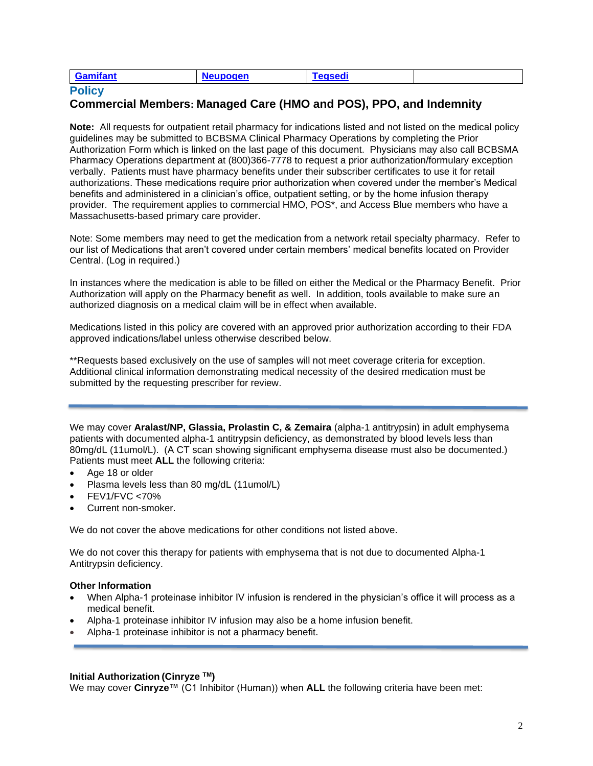| ำifant<br><b>IONAR</b><br>∼.<br>-62<br>. . |
|--------------------------------------------|
|--------------------------------------------|

## <span id="page-1-0"></span>**Policy**

## **Commercial Members: Managed Care (HMO and POS), PPO, and Indemnity**

**Note:** All requests for outpatient retail pharmacy for indications listed and not listed on the medical policy guidelines may be submitted to BCBSMA Clinical Pharmacy Operations by completing the Prior Authorization Form which is linked on the last page of this document. Physicians may also call BCBSMA Pharmacy Operations department at (800)366-7778 to request a prior authorization/formulary exception verbally. Patients must have pharmacy benefits under their subscriber certificates to use it for retail authorizations. These medications require prior authorization when covered under the member's Medical benefits and administered in a clinician's office, outpatient setting, or by the home infusion therapy provider. The requirement applies to commercial HMO, POS\*, and Access Blue members who have a Massachusetts-based primary care provider.

Note: Some members may need to get the medication from a network retail specialty pharmacy. Refer to our list of Medications that aren't covered under certain members' medical benefits located on Provider Central. (Log in required.)

In instances where the medication is able to be filled on either the Medical or the Pharmacy Benefit. Prior Authorization will apply on the Pharmacy benefit as well. In addition, tools available to make sure an authorized diagnosis on a medical claim will be in effect when available.

Medications listed in this policy are covered with an approved prior authorization according to their FDA approved indications/label unless otherwise described below.

\*\*Requests based exclusively on the use of samples will not meet coverage criteria for exception. Additional clinical information demonstrating medical necessity of the desired medication must be submitted by the requesting prescriber for review.

<span id="page-1-1"></span>We may cover **Aralast/NP, Glassia, Prolastin C, & Zemaira** (alpha-1 antitrypsin) in adult emphysema patients with documented alpha-1 antitrypsin deficiency, as demonstrated by blood levels less than 80mg/dL (11umol/L). (A CT scan showing significant emphysema disease must also be documented.) Patients must meet **ALL** the following criteria:

- Age 18 or older
- Plasma levels less than 80 mg/dL (11 umol/L)
- FEV1/FVC <70%
- Current non-smoker.

We do not cover the above medications for other conditions not listed above.

We do not cover this therapy for patients with emphysema that is not due to documented Alpha-1 Antitrypsin deficiency.

#### **Other Information**

- When Alpha-1 proteinase inhibitor IV infusion is rendered in the physician's office it will process as a medical benefit.
- Alpha-1 proteinase inhibitor IV infusion may also be a home infusion benefit.
- Alpha-1 proteinase inhibitor is not a pharmacy benefit.

#### **Initial Authorization (Cinryze TM)**

<span id="page-1-2"></span>We may cover **Cinryze**™ (C1 Inhibitor (Human)) when **ALL** the following criteria have been met: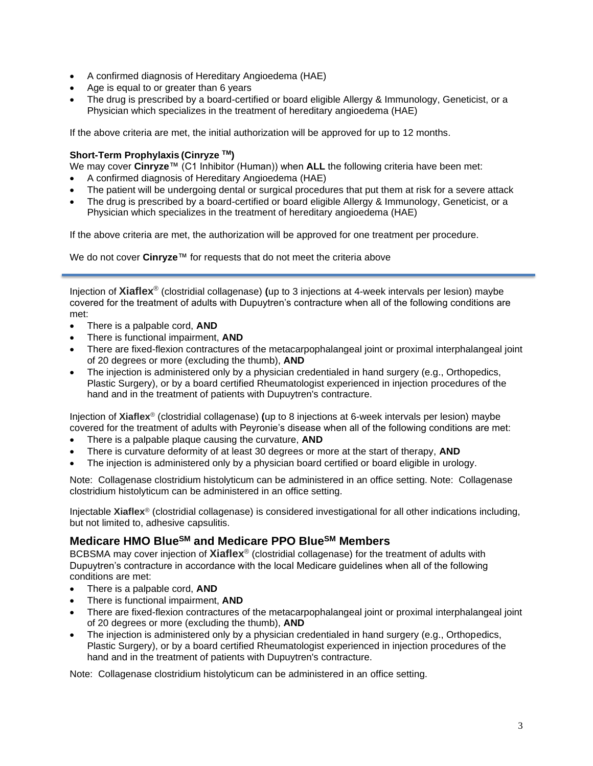- A confirmed diagnosis of Hereditary Angioedema (HAE)
- Age is equal to or greater than 6 years
- The drug is prescribed by a board-certified or board eligible Allergy & Immunology, Geneticist, or a Physician which specializes in the treatment of hereditary angioedema (HAE)

If the above criteria are met, the initial authorization will be approved for up to 12 months.

## **Short-Term Prophylaxis (Cinryze TM)**

We may cover **Cinryze**™ (C1 Inhibitor (Human)) when **ALL** the following criteria have been met:

- A confirmed diagnosis of Hereditary Angioedema (HAE)
- The patient will be undergoing dental or surgical procedures that put them at risk for a severe attack
- The drug is prescribed by a board-certified or board eligible Allergy & Immunology, Geneticist, or a Physician which specializes in the treatment of hereditary angioedema (HAE)

If the above criteria are met, the authorization will be approved for one treatment per procedure.

We do not cover **Cinryze**™ for requests that do not meet the criteria above

<span id="page-2-1"></span>Injection of **Xiaflex**® (clostridial collagenase) **(**up to 3 injections at 4-week intervals per lesion) maybe covered for the treatment of adults with Dupuytren's contracture when all of the following conditions are met:

- There is a palpable cord, **AND**
- There is functional impairment, **AND**
- There are fixed-flexion contractures of the metacarpophalangeal joint or proximal interphalangeal joint of 20 degrees or more (excluding the thumb), **AND**
- The injection is administered only by a physician credentialed in hand surgery (e.g., Orthopedics, Plastic Surgery), or by a board certified Rheumatologist experienced in injection procedures of the hand and in the treatment of patients with Dupuytren's contracture.

Injection of **Xiaflex**® (clostridial collagenase) **(**up to 8 injections at 6-week intervals per lesion) maybe covered for the treatment of adults with Peyronie's disease when all of the following conditions are met:

- There is a palpable plaque causing the curvature, **AND**
- There is curvature deformity of at least 30 degrees or more at the start of therapy, **AND**
- The injection is administered only by a physician board certified or board eligible in urology.

Note: Collagenase clostridium histolyticum can be administered in an office setting. Note: Collagenase clostridium histolyticum can be administered in an office setting.

Injectable **Xiaflex**® (clostridial collagenase) is considered investigational for all other indications including, but not limited to, adhesive capsulitis.

## <span id="page-2-0"></span>**Medicare HMO BlueSM and Medicare PPO BlueSM Members**

BCBSMA may cover injection of **Xiaflex**® (clostridial collagenase) for the treatment of adults with Dupuytren's contracture in accordance with the local Medicare guidelines when all of the following conditions are met:

- There is a palpable cord, **AND**
- There is functional impairment, **AND**
- There are fixed-flexion contractures of the metacarpophalangeal joint or proximal interphalangeal joint of 20 degrees or more (excluding the thumb), **AND**
- The injection is administered only by a physician credentialed in hand surgery (e.g., Orthopedics, Plastic Surgery), or by a board certified Rheumatologist experienced in injection procedures of the hand and in the treatment of patients with Dupuytren's contracture.

Note: Collagenase clostridium histolyticum can be administered in an office setting.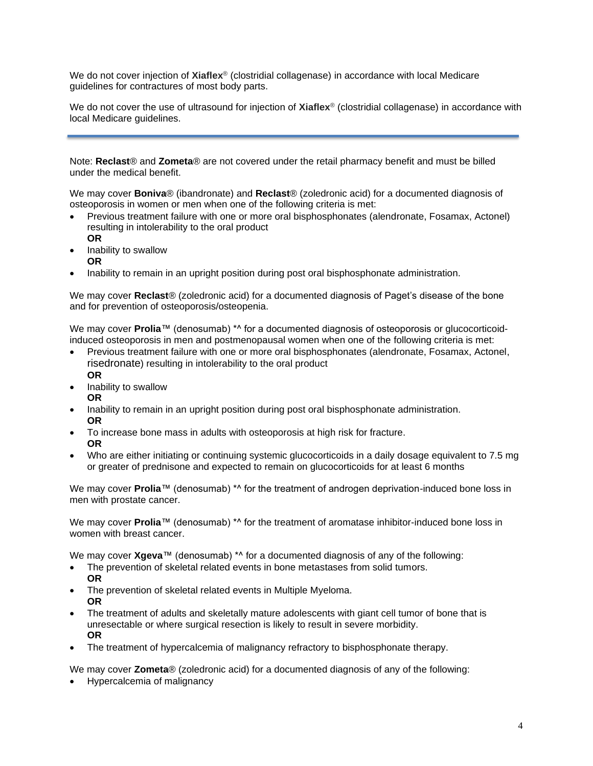We do not cover injection of **Xiaflex**® (clostridial collagenase) in accordance with local Medicare guidelines for contractures of most body parts.

We do not cover the use of ultrasound for injection of **Xiaflex**® (clostridial collagenase) in accordance with local Medicare guidelines.

Note: **Reclast**® and **Zometa**® are not covered under the retail pharmacy benefit and must be billed under the medical benefit.

<span id="page-3-0"></span>We may cover **Boniva**® (ibandronate) and **Reclast**® (zoledronic acid) for a documented diagnosis of osteoporosis in women or men when one of the following criteria is met:

- Previous treatment failure with one or more oral bisphosphonates (alendronate, Fosamax, Actonel) resulting in intolerability to the oral product
- **OR** • Inability to swallow **OR**
- Inability to remain in an upright position during post oral bisphosphonate administration.

We may cover **Reclast**® (zoledronic acid) for a documented diagnosis of Paget's disease of the bone and for prevention of osteoporosis/osteopenia.

We may cover **Prolia**™ (denosumab) \*^ for a documented diagnosis of osteoporosis or glucocorticoidinduced osteoporosis in men and postmenopausal women when one of the following criteria is met:

- Previous treatment failure with one or more oral bisphosphonates (alendronate, Fosamax, Actonel, risedronate) resulting in intolerability to the oral product **OR**
- Inability to swallow **OR**
- Inability to remain in an upright position during post oral bisphosphonate administration. **OR**
- To increase bone mass in adults with osteoporosis at high risk for fracture. **OR**
- Who are either initiating or continuing systemic glucocorticoids in a daily dosage equivalent to 7.5 mg or greater of prednisone and expected to remain on glucocorticoids for at least 6 months

<span id="page-3-1"></span>We may cover **Prolia**™ (denosumab) \*^ for the treatment of androgen deprivation-induced bone loss in men with prostate cancer.

We may cover **Prolia**™ (denosumab) <sup>\*^</sup> for the treatment of aromatase inhibitor-induced bone loss in women with breast cancer.

<span id="page-3-2"></span>We may cover **Xgeva**™ (denosumab) \*^ for a documented diagnosis of any of the following:

- The prevention of skeletal related events in bone metastases from solid tumors. **OR**
- The prevention of skeletal related events in Multiple Myeloma. **OR**
- The treatment of adults and skeletally mature adolescents with giant cell tumor of bone that is unresectable or where surgical resection is likely to result in severe morbidity. **OR**
- The treatment of hypercalcemia of malignancy refractory to bisphosphonate therapy.

We may cover **Zometa**® (zoledronic acid) for a documented diagnosis of any of the following:

• Hypercalcemia of malignancy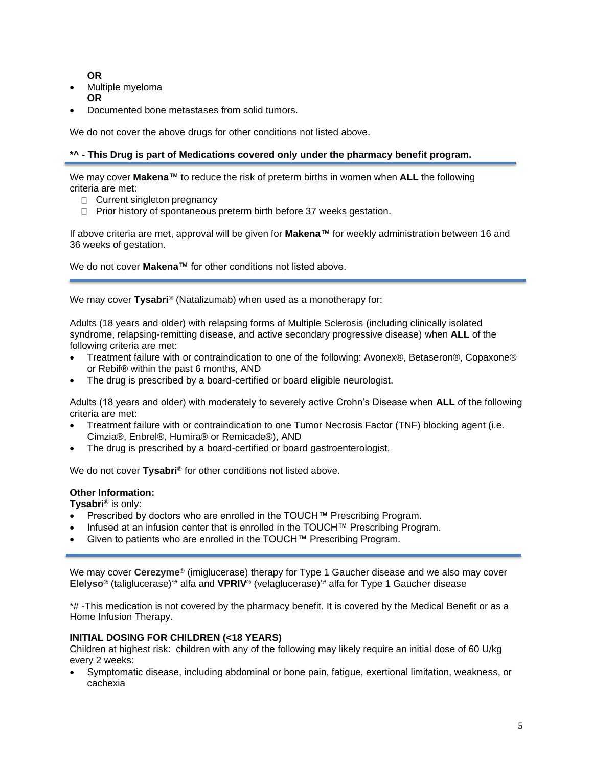**OR**

- Multiple myeloma **OR**
- Documented bone metastases from solid tumors.

We do not cover the above drugs for other conditions not listed above.

#### **\*^ - This Drug is part of Medications covered only under the pharmacy benefit program.**

<span id="page-4-2"></span>We may cover **Makena**™ to reduce the risk of preterm births in women when **ALL** the following criteria are met:

- □ Current singleton pregnancy
- $\Box$  Prior history of spontaneous preterm birth before 37 weeks gestation.

If above criteria are met, approval will be given for **Makena**™ for weekly administration between 16 and 36 weeks of gestation.

We do not cover **Makena**™ for other conditions not listed above.

<span id="page-4-1"></span>We may cover **Tysabri**® (Natalizumab) when used as a monotherapy for:

Adults (18 years and older) with relapsing forms of Multiple Sclerosis (including clinically isolated syndrome, relapsing-remitting disease, and active secondary progressive disease) when **ALL** of the following criteria are met:

- Treatment failure with or contraindication to one of the following: Avonex®, Betaseron®, Copaxone® or Rebif® within the past 6 months, AND
- The drug is prescribed by a board-certified or board eligible neurologist.

Adults (18 years and older) with moderately to severely active Crohn's Disease when **ALL** of the following criteria are met:

- Treatment failure with or contraindication to one Tumor Necrosis Factor (TNF) blocking agent (i.e. Cimzia®, Enbrel®, Humira® or Remicade®), AND
- The drug is prescribed by a board-certified or board gastroenterologist.

We do not cover **Tysabri**<sup>®</sup> for other conditions not listed above.

#### **Other Information:**

**Tysabri**® is only:

- Prescribed by doctors who are enrolled in the TOUCH™ Prescribing Program.
- Infused at an infusion center that is enrolled in the TOUCH™ Prescribing Program.
- Given to patients who are enrolled in the TOUCH™ Prescribing Program.

<span id="page-4-0"></span>We may cover **Cerezyme**® (imiglucerase) therapy for Type 1 Gaucher disease and we also may cover **Elelyso**® (taliglucerase)\*# alfa and **VPRIV**® (velaglucerase)\*# alfa for Type 1 Gaucher disease

\*# -This medication is not covered by the pharmacy benefit. It is covered by the Medical Benefit or as a Home Infusion Therapy.

#### **INITIAL DOSING FOR CHILDREN (<18 YEARS)**

Children at highest risk: children with any of the following may likely require an initial dose of 60 U/kg every 2 weeks:

• Symptomatic disease, including abdominal or bone pain, fatigue, exertional limitation, weakness, or cachexia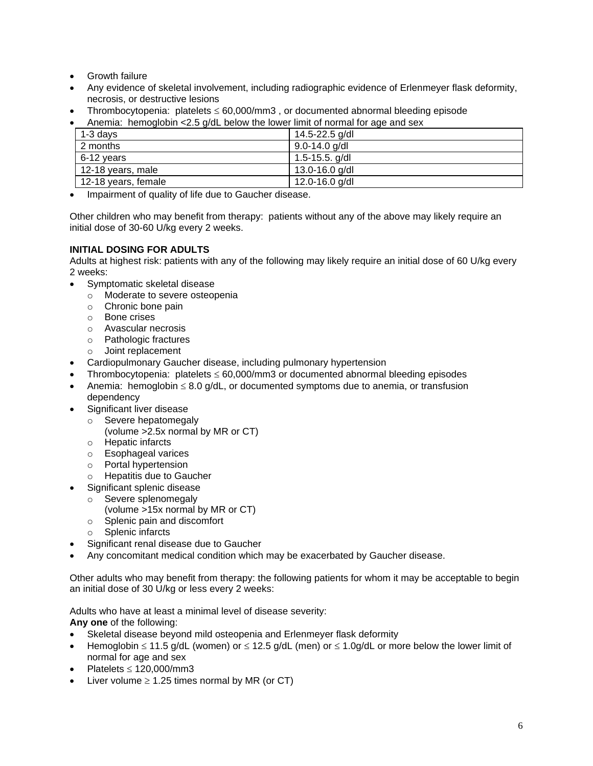- Growth failure
- Any evidence of skeletal involvement, including radiographic evidence of Erlenmeyer flask deformity, necrosis, or destructive lesions
- Thrombocytopenia: platelets  $\leq 60,000/\text{mm}$ 3, or documented abnormal bleeding episode
- Anemia: hemoglobin <2.5 g/dL below the lower limit of normal for age and sex

| $1-3$ days          | 14.5-22.5 g/dl    |
|---------------------|-------------------|
| 2 months            | $9.0 - 14.0$ g/dl |
| 6-12 years          | 1.5-15.5. $g/dI$  |
| 12-18 years, male   | 13.0-16.0 g/dl    |
| 12-18 years, female | 12.0-16.0 g/dl    |

• Impairment of quality of life due to Gaucher disease.

Other children who may benefit from therapy: patients without any of the above may likely require an initial dose of 30-60 U/kg every 2 weeks.

### **INITIAL DOSING FOR ADULTS**

Adults at highest risk: patients with any of the following may likely require an initial dose of 60 U/kg every 2 weeks:

- Symptomatic skeletal disease
	- o Moderate to severe osteopenia
	- o Chronic bone pain
	- o Bone crises
	- o Avascular necrosis
	- o Pathologic fractures
	- o Joint replacement
- Cardiopulmonary Gaucher disease, including pulmonary hypertension
- Thrombocytopenia: platelets  $\leq$  60,000/mm3 or documented abnormal bleeding episodes
- Anemia: hemoglobin  $\leq 8.0$  g/dL, or documented symptoms due to anemia, or transfusion dependency
- Significant liver disease
	- o Severe hepatomegaly
		- (volume >2.5x normal by MR or CT)
	- o Hepatic infarcts
	- o Esophageal varices
	- o Portal hypertension
	- o Hepatitis due to Gaucher
- Significant splenic disease
	- o Severe splenomegaly
		- (volume >15x normal by MR or CT)
	- o Splenic pain and discomfort
	- o Splenic infarcts
- Significant renal disease due to Gaucher
- Any concomitant medical condition which may be exacerbated by Gaucher disease.

Other adults who may benefit from therapy: the following patients for whom it may be acceptable to begin an initial dose of 30 U/kg or less every 2 weeks:

Adults who have at least a minimal level of disease severity:

**Any one** of the following:

- Skeletal disease beyond mild osteopenia and Erlenmeyer flask deformity
- Hemoglobin  $\leq 11.5$  g/dL (women) or  $\leq 12.5$  g/dL (men) or  $\leq 1.0$ g/dL or more below the lower limit of normal for age and sex
- Platelets  $\leq$  120,000/mm3
- Liver volume  $\geq 1.25$  times normal by MR (or CT)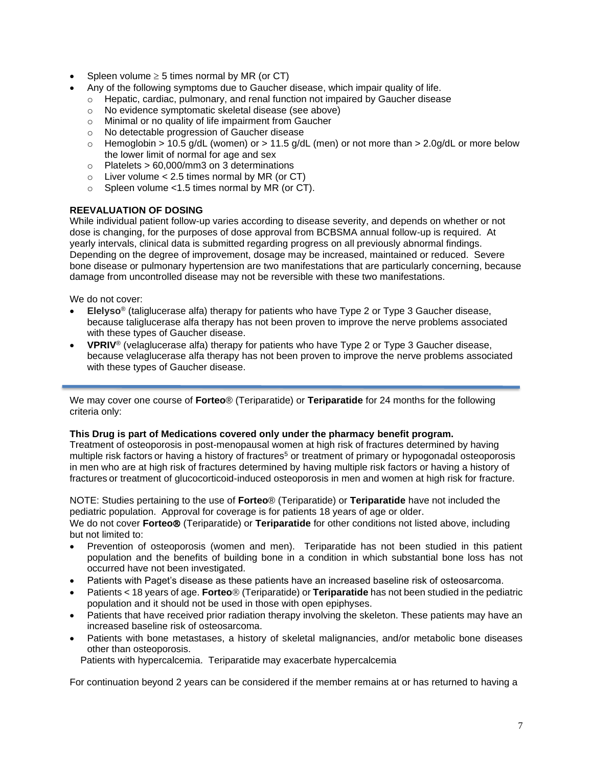- Spleen volume  $\geq 5$  times normal by MR (or CT)
	- Any of the following symptoms due to Gaucher disease, which impair quality of life.
		- $\circ$  Hepatic, cardiac, pulmonary, and renal function not impaired by Gaucher disease
		- o No evidence symptomatic skeletal disease (see above)
		- o Minimal or no quality of life impairment from Gaucher
		- o No detectable progression of Gaucher disease
		- $\circ$  Hemoglobin > 10.5 g/dL (women) or > 11.5 g/dL (men) or not more than > 2.0g/dL or more below the lower limit of normal for age and sex
		- $\circ$  Platelets > 60,000/mm3 on 3 determinations
		- $\circ$  Liver volume < 2.5 times normal by MR (or CT)
		- o Spleen volume <1.5 times normal by MR (or CT).

#### **REEVALUATION OF DOSING**

While individual patient follow-up varies according to disease severity, and depends on whether or not dose is changing, for the purposes of dose approval from BCBSMA annual follow-up is required. At yearly intervals, clinical data is submitted regarding progress on all previously abnormal findings. Depending on the degree of improvement, dosage may be increased, maintained or reduced. Severe bone disease or pulmonary hypertension are two manifestations that are particularly concerning, because damage from uncontrolled disease may not be reversible with these two manifestations.

We do not cover:

- **Elelyso**® (taliglucerase alfa) therapy for patients who have Type 2 or Type 3 Gaucher disease, because taliglucerase alfa therapy has not been proven to improve the nerve problems associated with these types of Gaucher disease.
- **VPRIV**® (velaglucerase alfa) therapy for patients who have Type 2 or Type 3 Gaucher disease, because velaglucerase alfa therapy has not been proven to improve the nerve problems associated with these types of Gaucher disease.

<span id="page-6-0"></span>We may cover one course of **Forteo**® (Teriparatide) or **Teriparatide** for 24 months for the following criteria only:

#### **This Drug is part of Medications covered only under the pharmacy benefit program.**

Treatment of osteoporosis in post-menopausal women at high risk of fractures determined by having multiple risk factors or having a history of fractures<sup>5</sup> or treatment of primary or hypogonadal osteoporosis in men who are at high risk of fractures determined by having multiple risk factors or having a history of fractures or treatment of glucocorticoid-induced osteoporosis in men and women at high risk for fracture.

NOTE: Studies pertaining to the use of **Forteo**® (Teriparatide) or **Teriparatide** have not included the pediatric population. Approval for coverage is for patients 18 years of age or older.

We do not cover **Forteo**<sup>®</sup> (Teriparatide) or **Teriparatide** for other conditions not listed above, including but not limited to:

- Prevention of osteoporosis (women and men). Teriparatide has not been studied in this patient population and the benefits of building bone in a condition in which substantial bone loss has not occurred have not been investigated.
- Patients with Paget's disease as these patients have an increased baseline risk of osteosarcoma.
- Patients < 18 years of age. **Forteo** (Teriparatide) or **Teriparatide** has not been studied in the pediatric population and it should not be used in those with open epiphyses.
- Patients that have received prior radiation therapy involving the skeleton. These patients may have an increased baseline risk of osteosarcoma.
- Patients with bone metastases, a history of skeletal malignancies, and/or metabolic bone diseases other than osteoporosis.

Patients with hypercalcemia. Teriparatide may exacerbate hypercalcemia

For continuation beyond 2 years can be considered if the member remains at or has returned to having a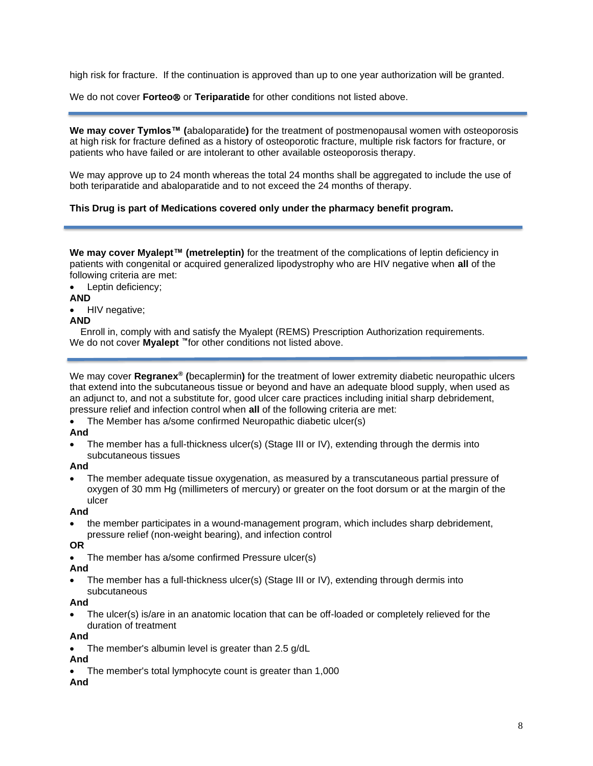high risk for fracture. If the continuation is approved than up to one year authorization will be granted.

We do not cover **Forteo**® or **Teriparatide** for other conditions not listed above.

<span id="page-7-0"></span>**We may cover Tymlos™ (**abaloparatide**)** for the treatment of postmenopausal women with osteoporosis at high risk for fracture defined as a history of osteoporotic fracture, multiple risk factors for fracture, or patients who have failed or are intolerant to other available osteoporosis therapy.

We may approve up to 24 month whereas the total 24 months shall be aggregated to include the use of both teriparatide and abaloparatide and to not exceed the 24 months of therapy.

#### **This Drug is part of Medications covered only under the pharmacy benefit program.**

<span id="page-7-2"></span>**We may cover Myalept™ (metreleptin)** for the treatment of the complications of leptin deficiency in patients with congenital or acquired generalized lipodystrophy who are HIV negative when **all** of the following criteria are met:

Leptin deficiency;

#### **AND**

• HIV negative;

#### **AND**

Enroll in, comply with and satisfy the Myalept (REMS) Prescription Authorization requirements. We do not cover **Myalept ™**for other conditions not listed above.

<span id="page-7-1"></span>We may cover **Regranex® (**becaplermin**)** for the treatment of lower extremity diabetic neuropathic ulcers that extend into the subcutaneous tissue or beyond and have an adequate blood supply, when used as an adjunct to, and not a substitute for, good ulcer care practices including initial sharp debridement, pressure relief and infection control when **all** of the following criteria are met:

• The Member has a/some confirmed Neuropathic diabetic ulcer(s)

#### **And**

• The member has a full-thickness ulcer(s) (Stage III or IV), extending through the dermis into subcutaneous tissues

#### **And**

• The member adequate tissue oxygenation, as measured by a transcutaneous partial pressure of oxygen of 30 mm Hg (millimeters of mercury) or greater on the foot dorsum or at the margin of the ulcer

#### **And**

• the member participates in a wound-management program, which includes sharp debridement, pressure relief (non-weight bearing), and infection control

#### **OR**

• The member has a/some confirmed Pressure ulcer(s)

#### **And**

• The member has a full-thickness ulcer(s) (Stage III or IV), extending through dermis into subcutaneous

#### **And**

• The ulcer(s) is/are in an anatomic location that can be off-loaded or completely relieved for the duration of treatment

#### **And**

The member's albumin level is greater than 2.5 g/dL

#### **And**

The member's total lymphocyte count is greater than 1,000

#### **And**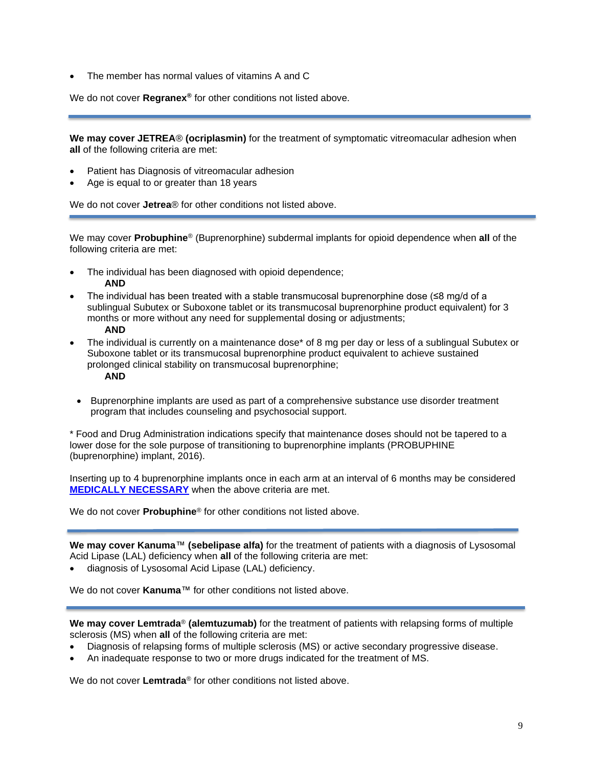• The member has normal values of vitamins A and C

We do not cover **Regranex®** for other conditions not listed above.

<span id="page-8-1"></span>**We may cover JETREA**® **(ocriplasmin)** for the treatment of symptomatic vitreomacular adhesion when **all** of the following criteria are met:

- Patient has Diagnosis of vitreomacular adhesion
- Age is equal to or greater than 18 years

We do not cover **Jetrea**® for other conditions not listed above.

<span id="page-8-0"></span>We may cover **Probuphine**® (Buprenorphine) subdermal implants for opioid dependence when **all** of the following criteria are met:

- The individual has been diagnosed with opioid dependence; **AND**
- The individual has been treated with a stable transmucosal buprenorphine dose  $(\leq 8 \text{ mod/d})$  of a sublingual Subutex or Suboxone tablet or its transmucosal buprenorphine product equivalent) for 3 months or more without any need for supplemental dosing or adjustments;

#### **AND**

The individual is currently on a maintenance dose\* of 8 mg per day or less of a sublingual Subutex or Suboxone tablet or its transmucosal buprenorphine product equivalent to achieve sustained prolonged clinical stability on transmucosal buprenorphine;

#### **AND**

• Buprenorphine implants are used as part of a comprehensive substance use disorder treatment program that includes counseling and psychosocial support.

\* Food and Drug Administration indications specify that maintenance doses should not be tapered to a lower dose for the sole purpose of transitioning to buprenorphine implants (PROBUPHINE (buprenorphine) implant, 2016).

Inserting up to 4 buprenorphine implants once in each arm at an interval of 6 months may be considered **[MEDICALLY NECESSARY](https://www.bluecrossma.org/medical-policies/sites/g/files/csphws2091/files/acquiadam-assets/Definition%20of%20Med%20Nec%20Inv%20Not%20Med%20Nec%20prn.pdf#page=1)** when the above criteria are met.

We do not cover **Probuphine**® for other conditions not listed above.

<span id="page-8-2"></span>**We may cover Kanuma**™ **(sebelipase alfa)** for the treatment of patients with a diagnosis of Lysosomal Acid Lipase (LAL) deficiency when **all** of the following criteria are met:

• diagnosis of Lysosomal Acid Lipase (LAL) deficiency.

We do not cover **Kanuma**™ for other conditions not listed above.

<span id="page-8-3"></span>**We may cover Lemtrada**® **(alemtuzumab)** for the treatment of patients with relapsing forms of multiple sclerosis (MS) when **all** of the following criteria are met:

- Diagnosis of relapsing forms of multiple sclerosis (MS) or active secondary progressive disease.
- An inadequate response to two or more drugs indicated for the treatment of MS.

We do not cover **Lemtrada**® for other conditions not listed above.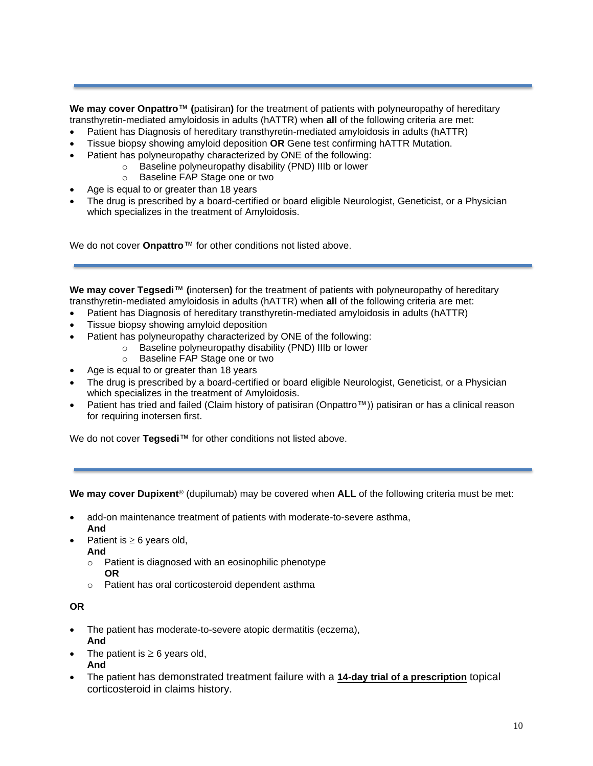<span id="page-9-0"></span>**We may cover Onpattro**™ **(**patisiran**)** for the treatment of patients with polyneuropathy of hereditary transthyretin-mediated amyloidosis in adults (hATTR) when **all** of the following criteria are met:

- Patient has Diagnosis of hereditary transthyretin-mediated amyloidosis in adults (hATTR)
- Tissue biopsy showing amyloid deposition **OR** Gene test confirming hATTR Mutation.
- Patient has polyneuropathy characterized by ONE of the following:
	- o Baseline polyneuropathy disability (PND) IIIb or lower
	- o Baseline FAP Stage one or two
- Age is equal to or greater than 18 years
- The drug is prescribed by a board-certified or board eligible Neurologist, Geneticist, or a Physician which specializes in the treatment of Amyloidosis.

We do not cover **Onpattro**™ for other conditions not listed above.

<span id="page-9-2"></span>**We may cover Tegsedi**™ **(**inotersen**)** for the treatment of patients with polyneuropathy of hereditary transthyretin-mediated amyloidosis in adults (hATTR) when **all** of the following criteria are met:

- Patient has Diagnosis of hereditary transthyretin-mediated amyloidosis in adults (hATTR)
- Tissue biopsy showing amyloid deposition
- Patient has polyneuropathy characterized by ONE of the following:
	- o Baseline polyneuropathy disability (PND) IIIb or lower
	- o Baseline FAP Stage one or two
- Age is equal to or greater than 18 years
- The drug is prescribed by a board-certified or board eligible Neurologist, Geneticist, or a Physician which specializes in the treatment of Amyloidosis.
- Patient has tried and failed (Claim history of patisiran (Onpattro™)) patisiran or has a clinical reason for requiring inotersen first.

We do not cover **Tegsedi™** for other conditions not listed above.

<span id="page-9-1"></span>**We may cover Dupixent**® (dupilumab) may be covered when **ALL** of the following criteria must be met:

- add-on maintenance treatment of patients with moderate-to-severe asthma, **And**
- Patient is  $\geq 6$  years old,
- **And**
	- o Patient is diagnosed with an eosinophilic phenotype **OR**
	- o Patient has oral corticosteroid dependent asthma

#### **OR**

- The patient has moderate-to-severe atopic dermatitis (eczema), **And**
- The patient is  $\geq 6$  years old, **And**
- The patient has demonstrated treatment failure with a **14-day trial of a prescription** topical corticosteroid in claims history.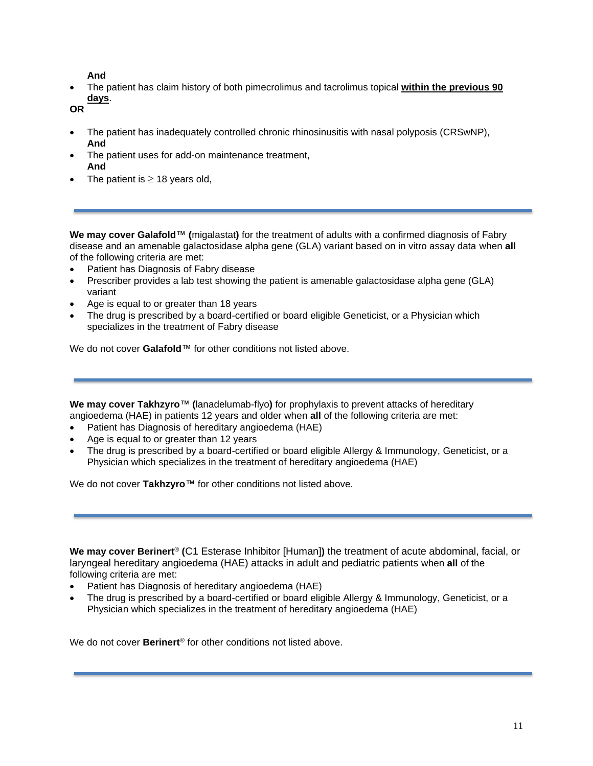### **And**

• The patient has claim history of both pimecrolimus and tacrolimus topical **within the previous 90 days**.

**OR**

- The patient has inadequately controlled chronic rhinosinusitis with nasal polyposis (CRSwNP), **And**
- The patient uses for add-on maintenance treatment, **And**
- The patient is  $\geq$  18 years old,

<span id="page-10-1"></span>**We may cover Galafold**™ **(**migalastat**)** for the treatment of adults with a confirmed diagnosis of Fabry disease and an amenable galactosidase alpha gene (GLA) variant based on in vitro assay data when **all**  of the following criteria are met:

- Patient has Diagnosis of Fabry disease
- Prescriber provides a lab test showing the patient is amenable galactosidase alpha gene (GLA) variant
- Age is equal to or greater than 18 years
- The drug is prescribed by a board-certified or board eligible Geneticist, or a Physician which specializes in the treatment of Fabry disease

We do not cover **Galafold**™ for other conditions not listed above.

<span id="page-10-2"></span>**We may cover Takhzyro**™ **(**lanadelumab-flyo**)** for prophylaxis to prevent attacks of hereditary angioedema (HAE) in patients 12 years and older when **all** of the following criteria are met:

- Patient has Diagnosis of hereditary angioedema (HAE)
- Age is equal to or greater than 12 years
- The drug is prescribed by a board-certified or board eligible Allergy & Immunology, Geneticist, or a Physician which specializes in the treatment of hereditary angioedema (HAE)

We do not cover **Takhzyro**™ for other conditions not listed above.

<span id="page-10-0"></span>**We may cover Berinert**® **(**C1 Esterase Inhibitor [Human]**)** the treatment of acute abdominal, facial, or laryngeal hereditary angioedema (HAE) attacks in adult and pediatric patients when **all** of the following criteria are met:

- Patient has Diagnosis of hereditary angioedema (HAE)
- The drug is prescribed by a board-certified or board eligible Allergy & Immunology, Geneticist, or a Physician which specializes in the treatment of hereditary angioedema (HAE)

We do not cover **Berinert**® for other conditions not listed above.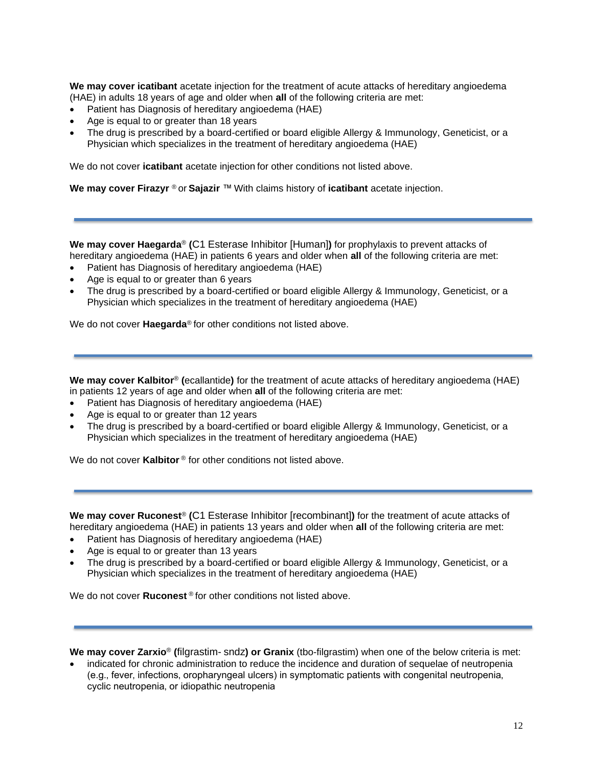<span id="page-11-2"></span>**We may cover icatibant** acetate injection for the treatment of acute attacks of hereditary angioedema (HAE) in adults 18 years of age and older when **all** of the following criteria are met:

- Patient has Diagnosis of hereditary angioedema (HAE)
- Age is equal to or greater than 18 years
- The drug is prescribed by a board-certified or board eligible Allergy & Immunology, Geneticist, or a Physician which specializes in the treatment of hereditary angioedema (HAE)

We do not cover **icatibant** acetate injection for other conditions not listed above.

**We may cover Firazyr** ® or **Sajazir** ™ With claims history of **icatibant** acetate injection.

<span id="page-11-1"></span>**We may cover Haegarda**® **(**C1 Esterase Inhibitor [Human]**)** for prophylaxis to prevent attacks of hereditary angioedema (HAE) in patients 6 years and older when **all** of the following criteria are met:

- Patient has Diagnosis of hereditary angioedema (HAE)
- Age is equal to or greater than 6 years
- The drug is prescribed by a board-certified or board eligible Allergy & Immunology, Geneticist, or a Physician which specializes in the treatment of hereditary angioedema (HAE)

We do not cover **Haegarda**® for other conditions not listed above.

<span id="page-11-3"></span>**We may cover Kalbitor**® **(**ecallantide**)** for the treatment of acute attacks of hereditary angioedema (HAE) in patients 12 years of age and older when **all** of the following criteria are met:

- Patient has Diagnosis of hereditary angioedema (HAE)
- Age is equal to or greater than 12 years
- The drug is prescribed by a board-certified or board eligible Allergy & Immunology, Geneticist, or a Physician which specializes in the treatment of hereditary angioedema (HAE)

We do not cover **Kalbitor**<sup>®</sup> for other conditions not listed above.

<span id="page-11-4"></span>**We may cover Ruconest**® **(**C1 Esterase Inhibitor [recombinant]**)** for the treatment of acute attacks of hereditary angioedema (HAE) in patients 13 years and older when **all** of the following criteria are met:

- Patient has Diagnosis of hereditary angioedema (HAE)
- Age is equal to or greater than 13 years
- The drug is prescribed by a board-certified or board eligible Allergy & Immunology, Geneticist, or a Physician which specializes in the treatment of hereditary angioedema (HAE)

We do not cover **Ruconest** ® for other conditions not listed above.

<span id="page-11-0"></span>**We may cover Zarxio**® **(**filgrastim- sndz**) or Granix** (tbo-filgrastim) when one of the below criteria is met:

• indicated for chronic administration to reduce the incidence and duration of sequelae of neutropenia (e.g., fever, infections, oropharyngeal ulcers) in symptomatic patients with congenital neutropenia, cyclic neutropenia, or idiopathic neutropenia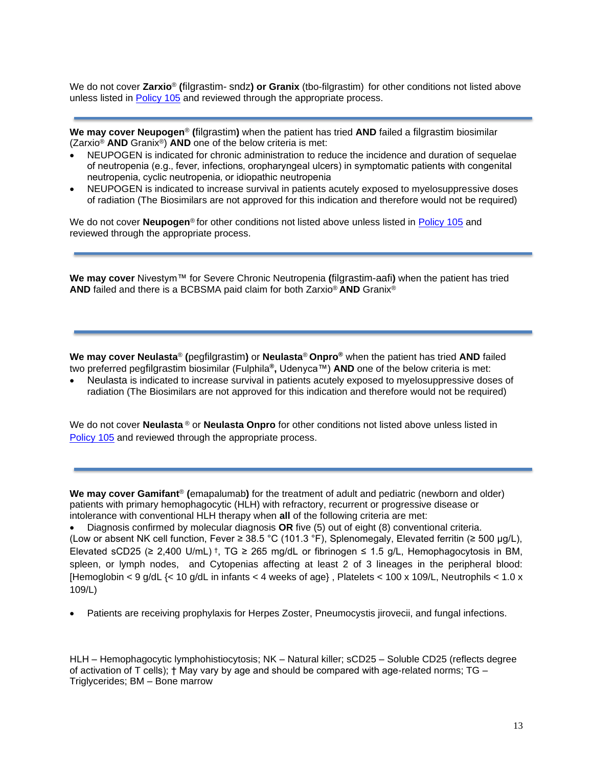We do not cover **Zarxio**® **(**filgrastim- sndz**) or Granix** (tbo-filgrastim) for other conditions not listed above unless listed in [Policy 105](https://www.bluecrossma.org/medical-policies/sites/g/files/csphws2091/files/acquiadam-assets/105%20Supportive%20Care%20Treatments%20for%20Patients%20with%20Cancer.pdf) and reviewed through the appropriate process.

<span id="page-12-2"></span>**We may cover Neupogen**® **(**filgrastim**)** when the patient has tried **AND** failed a filgrastim biosimilar (Zarxio® **AND** Granix®) **AND** one of the below criteria is met:

- NEUPOGEN is indicated for chronic administration to reduce the incidence and duration of sequelae of neutropenia (e.g., fever, infections, oropharyngeal ulcers) in symptomatic patients with congenital neutropenia, cyclic neutropenia, or idiopathic neutropenia
- NEUPOGEN is indicated to increase survival in patients acutely exposed to myelosuppressive doses of radiation (The Biosimilars are not approved for this indication and therefore would not be required)

We do not cover **Neupogen**® for other conditions not listed above unless listed in [Policy 105](https://www.bluecrossma.org/medical-policies/sites/g/files/csphws2091/files/acquiadam-assets/105%20Supportive%20Care%20Treatments%20for%20Patients%20with%20Cancer.pdf) and reviewed through the appropriate process.

**We may cover** Nivestym™ for Severe Chronic Neutropenia **(**filgrastim-aafi**)** when the patient has tried **AND** failed and there is a BCBSMA paid claim for both Zarxio® **AND** Granix®

<span id="page-12-0"></span>**We may cover Neulasta**® **(**pegfilgrastim**)** or **Neulasta**® **Onpro®** when the patient has tried **AND** failed two preferred pegfilgrastim biosimilar (Fulphila**®,** Udenyca™) **AND** one of the below criteria is met:

• Neulasta is indicated to increase survival in patients acutely exposed to myelosuppressive doses of radiation (The Biosimilars are not approved for this indication and therefore would not be required)

We do not cover **Neulasta** ® or **Neulasta Onpro** for other conditions not listed above unless listed in [Policy 105](https://www.bluecrossma.org/medical-policies/sites/g/files/csphws2091/files/acquiadam-assets/105%20Supportive%20Care%20Treatments%20for%20Patients%20with%20Cancer.pdf) and reviewed through the appropriate process.

<span id="page-12-1"></span>**We may cover Gamifant**® **(**emapalumab**)** for the treatment of adult and pediatric (newborn and older) patients with primary hemophagocytic (HLH) with refractory, recurrent or progressive disease or intolerance with conventional HLH therapy when **all** of the following criteria are met:

• Diagnosis confirmed by molecular diagnosis **OR** five (5) out of eight (8) conventional criteria. (Low or absent NK cell function, Fever ≥ 38.5 °C (101.3 °F), Splenomegaly, Elevated ferritin (≥ 500 µg/L), Elevated sCD25 (≥ 2,400 U/mL) <sup>†</sup>, TG ≥ 265 mg/dL or fibrinogen ≤ 1.5 g/L, Hemophagocytosis in BM, spleen, or lymph nodes, and Cytopenias affecting at least 2 of 3 lineages in the peripheral blood: [Hemoglobin < 9 g/dL  $\{$  < 10 g/dL in infants < 4 weeks of age}, Platelets < 100 x 109/L, Neutrophils < 1.0 x 109/L)

• Patients are receiving prophylaxis for Herpes Zoster, Pneumocystis jirovecii, and fungal infections.

HLH – Hemophagocytic lymphohistiocytosis; NK – Natural killer; sCD25 – Soluble CD25 (reflects degree of activation of T cells); † May vary by age and should be compared with age-related norms; TG – Triglycerides; BM – Bone marrow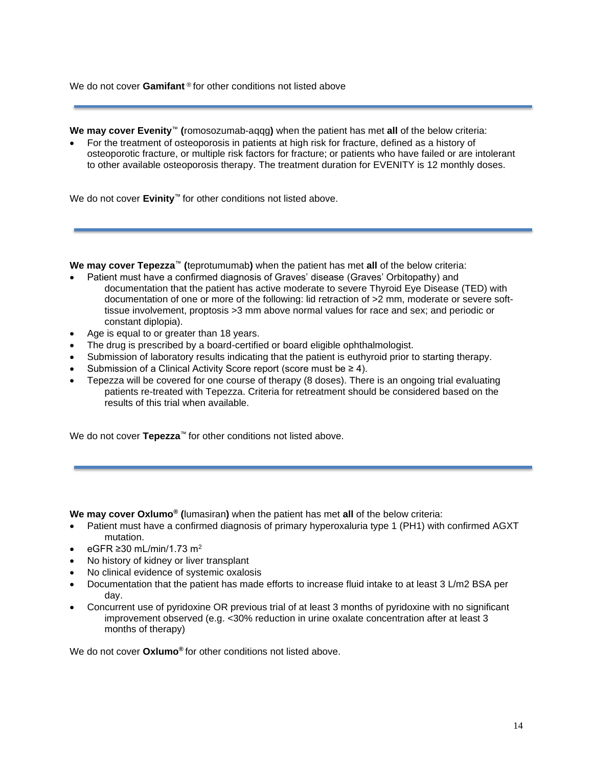We do not cover **Gamifant**<sup>®</sup> for other conditions not listed above

<span id="page-13-2"></span>**We may cover Evenity**™ **(**romosozumab-aqqg**)** when the patient has met **all** of the below criteria:

• For the treatment of osteoporosis in patients at high risk for fracture, defined as a history of osteoporotic fracture, or multiple risk factors for fracture; or patients who have failed or are intolerant to other available osteoporosis therapy. The treatment duration for EVENITY is 12 monthly doses.

We do not cover **Evinity**™ for other conditions not listed above.

<span id="page-13-0"></span>**We may cover Tepezza**™ **(**teprotumumab**)** when the patient has met **all** of the below criteria:

- Patient must have a confirmed diagnosis of Graves' disease (Graves' Orbitopathy) and documentation that the patient has active moderate to severe Thyroid Eye Disease (TED) with documentation of one or more of the following: lid retraction of >2 mm, moderate or severe softtissue involvement, proptosis >3 mm above normal values for race and sex; and periodic or constant diplopia).
- Age is equal to or greater than 18 years.
- The drug is prescribed by a board-certified or board eligible ophthalmologist.
- Submission of laboratory results indicating that the patient is euthyroid prior to starting therapy.
- Submission of a Clinical Activity Score report (score must be  $\geq 4$ ).
- Tepezza will be covered for one course of therapy (8 doses). There is an ongoing trial evaluating patients re-treated with Tepezza. Criteria for retreatment should be considered based on the results of this trial when available.

We do not cover **Tepezza**™ for other conditions not listed above.

<span id="page-13-1"></span>**We may cover Oxlumo® (**lumasiran**)** when the patient has met **all** of the below criteria:

- Patient must have a confirmed diagnosis of primary hyperoxaluria type 1 (PH1) with confirmed AGXT mutation.
- eGFR ≥30 mL/min/1.73 m<sup>2</sup>
- No history of kidney or liver transplant
- No clinical evidence of systemic oxalosis
- Documentation that the patient has made efforts to increase fluid intake to at least 3 L/m2 BSA per day.
- Concurrent use of pyridoxine OR previous trial of at least 3 months of pyridoxine with no significant improvement observed (e.g. <30% reduction in urine oxalate concentration after at least 3 months of therapy)

We do not cover **Oxlumo®** for other conditions not listed above.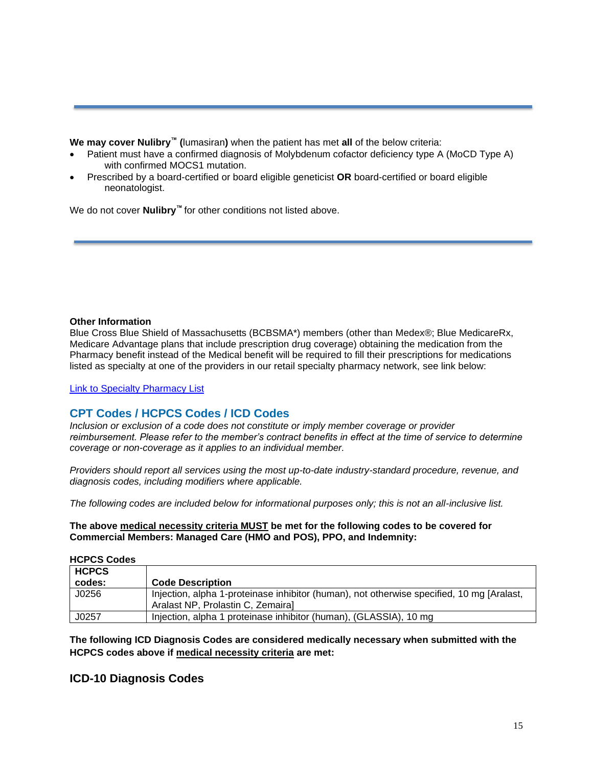<span id="page-14-1"></span>**We may cover Nulibry™ (**lumasiran**)** when the patient has met **all** of the below criteria:

- Patient must have a confirmed diagnosis of Molybdenum cofactor deficiency type A (MoCD Type A) with confirmed MOCS1 mutation.
- Prescribed by a board-certified or board eligible geneticist **OR** board-certified or board eligible neonatologist.

We do not cover **Nulibry™** for other conditions not listed above.

#### **Other Information**

Blue Cross Blue Shield of Massachusetts (BCBSMA\*) members (other than Medex®; Blue MedicareRx, Medicare Advantage plans that include prescription drug coverage) obtaining the medication from the Pharmacy benefit instead of the Medical benefit will be required to fill their prescriptions for medications listed as specialty at one of the providers in our retail specialty pharmacy network, see link below:

[Link to Specialty Pharmacy List](https://www.bluecrossma.org/medical-policies/sites/g/files/csphws2091/files/acquiadam-assets/051%20Pharmacy%20Specialty%20List%20prn.pdf)

## <span id="page-14-0"></span>**CPT Codes / HCPCS Codes / ICD Codes**

*Inclusion or exclusion of a code does not constitute or imply member coverage or provider reimbursement. Please refer to the member's contract benefits in effect at the time of service to determine coverage or non-coverage as it applies to an individual member.*

*Providers should report all services using the most up-to-date industry-standard procedure, revenue, and diagnosis codes, including modifiers where applicable.*

*The following codes are included below for informational purposes only; this is not an all-inclusive list.*

**The above medical necessity criteria MUST be met for the following codes to be covered for Commercial Members: Managed Care (HMO and POS), PPO, and Indemnity:**

#### **HCPCS Codes**

| <b>HCPCS</b> |                                                                                                                                |
|--------------|--------------------------------------------------------------------------------------------------------------------------------|
| codes:       | <b>Code Description</b>                                                                                                        |
| J0256        | Injection, alpha 1-proteinase inhibitor (human), not otherwise specified, 10 mg [Aralast,<br>Aralast NP, Prolastin C, Zemaira] |
| J0257        | Injection, alpha 1 proteinase inhibitor (human), (GLASSIA), 10 mg                                                              |

**The following ICD Diagnosis Codes are considered medically necessary when submitted with the HCPCS codes above if medical necessity criteria are met:**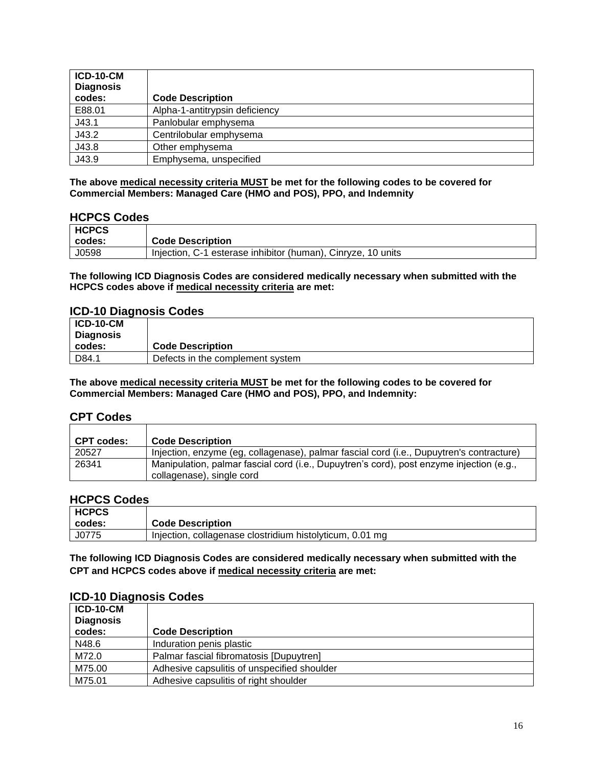| <b>ICD-10-CM</b><br><b>Diagnosis</b><br>codes: | <b>Code Description</b>        |
|------------------------------------------------|--------------------------------|
| E88.01                                         | Alpha-1-antitrypsin deficiency |
| J43.1                                          | Panlobular emphysema           |
| J43.2                                          | Centrilobular emphysema        |
| J43.8                                          | Other emphysema                |
| J43.9                                          | Emphysema, unspecified         |

### **HCPCS Codes**

| <b>HCPCS</b> |                                                              |
|--------------|--------------------------------------------------------------|
| codes:       | <b>Code Description</b>                                      |
| J0598        | Injection, C-1 esterase inhibitor (human), Cinryze, 10 units |

**The following ICD Diagnosis Codes are considered medically necessary when submitted with the HCPCS codes above if medical necessity criteria are met:**

## **ICD-10 Diagnosis Codes**

| $ICD-10-CM$<br>  Diagnosis |                                  |
|----------------------------|----------------------------------|
| codes:                     | <b>Code Description</b>          |
| D84.1                      | Defects in the complement system |

**The above medical necessity criteria MUST be met for the following codes to be covered for Commercial Members: Managed Care (HMO and POS), PPO, and Indemnity:**

### **CPT Codes**

| <b>CPT codes:</b> | <b>Code Description</b>                                                                                               |
|-------------------|-----------------------------------------------------------------------------------------------------------------------|
| 20527             | Injection, enzyme (eg, collagenase), palmar fascial cord (i.e., Dupuytren's contracture)                              |
| 26341             | Manipulation, palmar fascial cord (i.e., Dupuytren's cord), post enzyme injection (e.g.,<br>collagenase), single cord |

## **HCPCS Codes**

| <b>HCPCS</b> |                                                          |
|--------------|----------------------------------------------------------|
| codes:       | <b>Code Description</b>                                  |
| J0775        | Injection, collagenase clostridium histolyticum, 0.01 mg |

**The following ICD Diagnosis Codes are considered medically necessary when submitted with the CPT and HCPCS codes above if medical necessity criteria are met:**

| <b>ICD-10-CM</b> |                                             |
|------------------|---------------------------------------------|
| <b>Diagnosis</b> |                                             |
| codes:           | <b>Code Description</b>                     |
| N48.6            | Induration penis plastic                    |
| M72.0            | Palmar fascial fibromatosis [Dupuytren]     |
| M75.00           | Adhesive capsulitis of unspecified shoulder |
| M75.01           | Adhesive capsulitis of right shoulder       |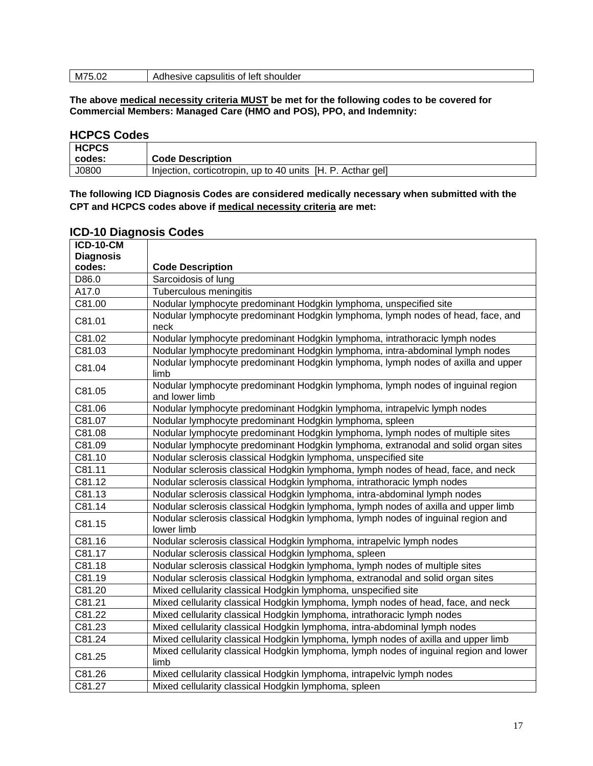| M75.02 | Adhesive capsulitis of left shoulder |
|--------|--------------------------------------|
|        |                                      |

## **HCPCS Codes**

| <b>HCPCS</b> |                                                             |
|--------------|-------------------------------------------------------------|
| codes:       | <b>Code Description</b>                                     |
| J0800        | Injection, corticotropin, up to 40 units [H. P. Acthar gel] |

**The following ICD Diagnosis Codes are considered medically necessary when submitted with the CPT and HCPCS codes above if medical necessity criteria are met:**

| iopalo piagriosis ocucs<br><b>ICD-10-CM</b> |                                                                                                   |
|---------------------------------------------|---------------------------------------------------------------------------------------------------|
| <b>Diagnosis</b>                            |                                                                                                   |
| codes:                                      | <b>Code Description</b>                                                                           |
| D86.0                                       | Sarcoidosis of lung                                                                               |
| A17.0                                       | <b>Tuberculous meningitis</b>                                                                     |
| C81.00                                      | Nodular lymphocyte predominant Hodgkin lymphoma, unspecified site                                 |
| C81.01                                      | Nodular lymphocyte predominant Hodgkin lymphoma, lymph nodes of head, face, and<br>neck           |
| C81.02                                      | Nodular lymphocyte predominant Hodgkin lymphoma, intrathoracic lymph nodes                        |
| C81.03                                      | Nodular lymphocyte predominant Hodgkin lymphoma, intra-abdominal lymph nodes                      |
| C81.04                                      | Nodular lymphocyte predominant Hodgkin lymphoma, lymph nodes of axilla and upper<br>limb          |
| C81.05                                      | Nodular lymphocyte predominant Hodgkin lymphoma, lymph nodes of inguinal region<br>and lower limb |
| C81.06                                      | Nodular lymphocyte predominant Hodgkin lymphoma, intrapelvic lymph nodes                          |
| C81.07                                      | Nodular lymphocyte predominant Hodgkin lymphoma, spleen                                           |
| C81.08                                      | Nodular lymphocyte predominant Hodgkin lymphoma, lymph nodes of multiple sites                    |
| C81.09                                      | Nodular lymphocyte predominant Hodgkin lymphoma, extranodal and solid organ sites                 |
| C81.10                                      | Nodular sclerosis classical Hodgkin lymphoma, unspecified site                                    |
| C81.11                                      | Nodular sclerosis classical Hodgkin lymphoma, lymph nodes of head, face, and neck                 |
| C81.12                                      | Nodular sclerosis classical Hodgkin lymphoma, intrathoracic lymph nodes                           |
| C81.13                                      | Nodular sclerosis classical Hodgkin lymphoma, intra-abdominal lymph nodes                         |
| C81.14                                      | Nodular sclerosis classical Hodgkin lymphoma, lymph nodes of axilla and upper limb                |
| C81.15                                      | Nodular sclerosis classical Hodgkin lymphoma, lymph nodes of inguinal region and<br>lower limb    |
| C81.16                                      | Nodular sclerosis classical Hodgkin lymphoma, intrapelvic lymph nodes                             |
| C81.17                                      | Nodular sclerosis classical Hodgkin lymphoma, spleen                                              |
| C81.18                                      | Nodular sclerosis classical Hodgkin lymphoma, lymph nodes of multiple sites                       |
| C81.19                                      | Nodular sclerosis classical Hodgkin lymphoma, extranodal and solid organ sites                    |
| C81.20                                      | Mixed cellularity classical Hodgkin lymphoma, unspecified site                                    |
| C81.21                                      | Mixed cellularity classical Hodgkin lymphoma, lymph nodes of head, face, and neck                 |
| C81.22                                      | Mixed cellularity classical Hodgkin lymphoma, intrathoracic lymph nodes                           |
| C81.23                                      | Mixed cellularity classical Hodgkin lymphoma, intra-abdominal lymph nodes                         |
| C81.24                                      | Mixed cellularity classical Hodgkin lymphoma, lymph nodes of axilla and upper limb                |
| C81.25                                      | Mixed cellularity classical Hodgkin lymphoma, lymph nodes of inguinal region and lower<br>limb    |
| C81.26                                      | Mixed cellularity classical Hodgkin lymphoma, intrapelvic lymph nodes                             |
| C81.27                                      | Mixed cellularity classical Hodgkin lymphoma, spleen                                              |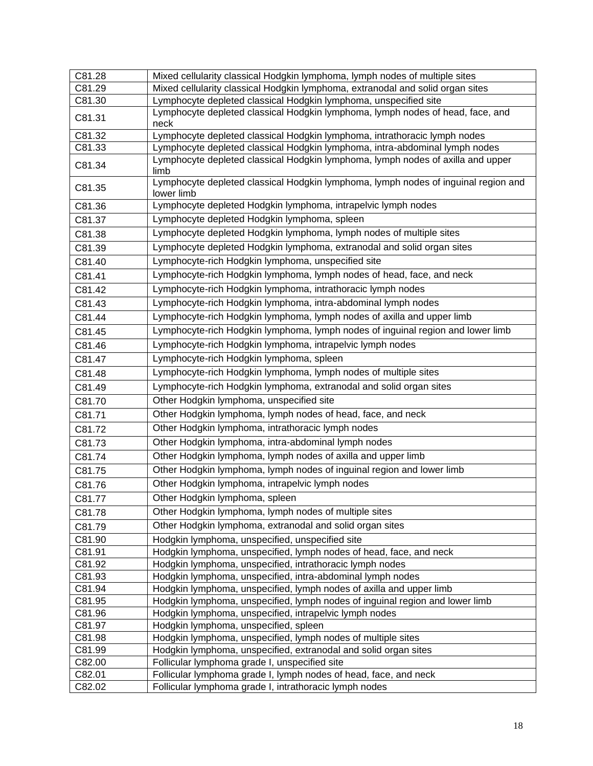| C81.28           | Mixed cellularity classical Hodgkin lymphoma, lymph nodes of multiple sites                                       |
|------------------|-------------------------------------------------------------------------------------------------------------------|
| C81.29           | Mixed cellularity classical Hodgkin lymphoma, extranodal and solid organ sites                                    |
| C81.30           | Lymphocyte depleted classical Hodgkin lymphoma, unspecified site                                                  |
| C81.31           | Lymphocyte depleted classical Hodgkin lymphoma, lymph nodes of head, face, and<br>neck                            |
| C81.32           | Lymphocyte depleted classical Hodgkin lymphoma, intrathoracic lymph nodes                                         |
| C81.33           | Lymphocyte depleted classical Hodgkin lymphoma, intra-abdominal lymph nodes                                       |
| C81.34           | Lymphocyte depleted classical Hodgkin lymphoma, lymph nodes of axilla and upper<br>limb                           |
| C81.35           | Lymphocyte depleted classical Hodgkin lymphoma, lymph nodes of inguinal region and<br>lower limb                  |
| C81.36           | Lymphocyte depleted Hodgkin lymphoma, intrapelvic lymph nodes                                                     |
| C81.37           | Lymphocyte depleted Hodgkin lymphoma, spleen                                                                      |
| C81.38           | Lymphocyte depleted Hodgkin lymphoma, lymph nodes of multiple sites                                               |
| C81.39           | Lymphocyte depleted Hodgkin lymphoma, extranodal and solid organ sites                                            |
| C81.40           | Lymphocyte-rich Hodgkin lymphoma, unspecified site                                                                |
| C81.41           | Lymphocyte-rich Hodgkin lymphoma, lymph nodes of head, face, and neck                                             |
| C81.42           | Lymphocyte-rich Hodgkin lymphoma, intrathoracic lymph nodes                                                       |
| C81.43           | Lymphocyte-rich Hodgkin lymphoma, intra-abdominal lymph nodes                                                     |
| C81.44           | Lymphocyte-rich Hodgkin lymphoma, lymph nodes of axilla and upper limb                                            |
| C81.45           | Lymphocyte-rich Hodgkin lymphoma, lymph nodes of inguinal region and lower limb                                   |
| C81.46           | Lymphocyte-rich Hodgkin lymphoma, intrapelvic lymph nodes                                                         |
| C81.47           | Lymphocyte-rich Hodgkin lymphoma, spleen                                                                          |
| C81.48           | Lymphocyte-rich Hodgkin lymphoma, lymph nodes of multiple sites                                                   |
| C81.49           | Lymphocyte-rich Hodgkin lymphoma, extranodal and solid organ sites                                                |
| C81.70           | Other Hodgkin lymphoma, unspecified site                                                                          |
| C81.71           | Other Hodgkin lymphoma, lymph nodes of head, face, and neck                                                       |
| C81.72           | Other Hodgkin lymphoma, intrathoracic lymph nodes                                                                 |
| C81.73           | Other Hodgkin lymphoma, intra-abdominal lymph nodes                                                               |
| C81.74           | Other Hodgkin lymphoma, lymph nodes of axilla and upper limb                                                      |
| C81.75           | Other Hodgkin lymphoma, lymph nodes of inguinal region and lower limb                                             |
| C81.76           | Other Hodgkin lymphoma, intrapelvic lymph nodes                                                                   |
| C81.77           | Other Hodgkin lymphoma, spleen                                                                                    |
| C81.78           | Other Hodgkin lymphoma, lymph nodes of multiple sites                                                             |
| C81.79           | Other Hodgkin lymphoma, extranodal and solid organ sites                                                          |
| C81.90           | Hodgkin lymphoma, unspecified, unspecified site                                                                   |
| C81.91           | Hodgkin lymphoma, unspecified, lymph nodes of head, face, and neck                                                |
| C81.92           | Hodgkin lymphoma, unspecified, intrathoracic lymph nodes                                                          |
| C81.93           | Hodgkin lymphoma, unspecified, intra-abdominal lymph nodes                                                        |
| C81.94           | Hodgkin lymphoma, unspecified, lymph nodes of axilla and upper limb                                               |
| C81.95           | Hodgkin lymphoma, unspecified, lymph nodes of inguinal region and lower limb                                      |
| C81.96           | Hodgkin lymphoma, unspecified, intrapelvic lymph nodes                                                            |
| C81.97           | Hodgkin lymphoma, unspecified, spleen                                                                             |
| C81.98           | Hodgkin lymphoma, unspecified, lymph nodes of multiple sites                                                      |
| C81.99           | Hodgkin lymphoma, unspecified, extranodal and solid organ sites                                                   |
| C82.00<br>C82.01 | Follicular lymphoma grade I, unspecified site<br>Follicular lymphoma grade I, lymph nodes of head, face, and neck |
| C82.02           | Follicular lymphoma grade I, intrathoracic lymph nodes                                                            |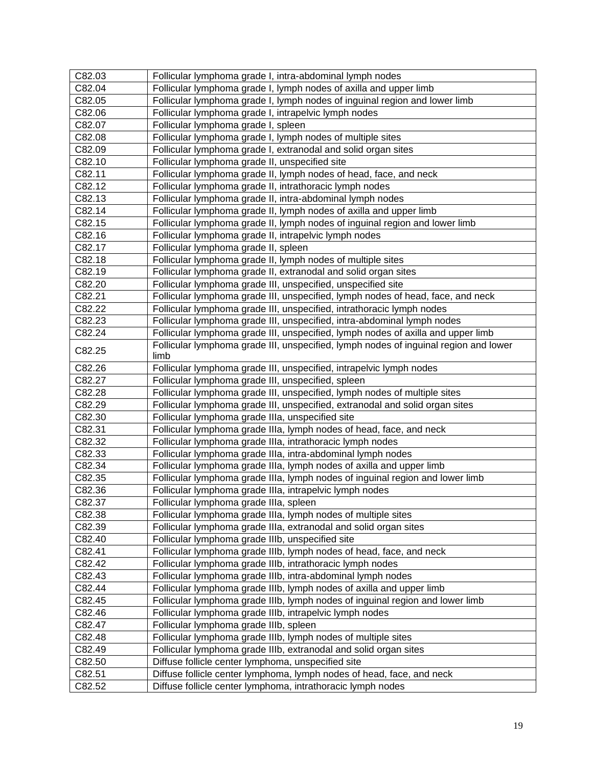| C82.03 | Follicular lymphoma grade I, intra-abdominal lymph nodes                             |
|--------|--------------------------------------------------------------------------------------|
| C82.04 | Follicular lymphoma grade I, lymph nodes of axilla and upper limb                    |
| C82.05 | Follicular lymphoma grade I, lymph nodes of inguinal region and lower limb           |
| C82.06 | Follicular lymphoma grade I, intrapelvic lymph nodes                                 |
| C82.07 | Follicular lymphoma grade I, spleen                                                  |
| C82.08 | Follicular lymphoma grade I, lymph nodes of multiple sites                           |
| C82.09 | Follicular lymphoma grade I, extranodal and solid organ sites                        |
| C82.10 | Follicular lymphoma grade II, unspecified site                                       |
| C82.11 | Follicular lymphoma grade II, lymph nodes of head, face, and neck                    |
| C82.12 | Follicular lymphoma grade II, intrathoracic lymph nodes                              |
| C82.13 | Follicular lymphoma grade II, intra-abdominal lymph nodes                            |
| C82.14 | Follicular lymphoma grade II, lymph nodes of axilla and upper limb                   |
| C82.15 | Follicular lymphoma grade II, lymph nodes of inguinal region and lower limb          |
| C82.16 | Follicular lymphoma grade II, intrapelvic lymph nodes                                |
| C82.17 | Follicular lymphoma grade II, spleen                                                 |
| C82.18 | Follicular lymphoma grade II, lymph nodes of multiple sites                          |
| C82.19 | Follicular lymphoma grade II, extranodal and solid organ sites                       |
| C82.20 | Follicular lymphoma grade III, unspecified, unspecified site                         |
| C82.21 | Follicular lymphoma grade III, unspecified, lymph nodes of head, face, and neck      |
| C82.22 | Follicular lymphoma grade III, unspecified, intrathoracic lymph nodes                |
| C82.23 | Follicular lymphoma grade III, unspecified, intra-abdominal lymph nodes              |
| C82.24 | Follicular lymphoma grade III, unspecified, lymph nodes of axilla and upper limb     |
|        | Follicular lymphoma grade III, unspecified, lymph nodes of inguinal region and lower |
| C82.25 | limb                                                                                 |
| C82.26 | Follicular lymphoma grade III, unspecified, intrapelvic lymph nodes                  |
| C82.27 | Follicular lymphoma grade III, unspecified, spleen                                   |
| C82.28 | Follicular lymphoma grade III, unspecified, lymph nodes of multiple sites            |
| C82.29 | Follicular lymphoma grade III, unspecified, extranodal and solid organ sites         |
| C82.30 | Follicular lymphoma grade IIIa, unspecified site                                     |
| C82.31 | Follicular lymphoma grade IIIa, lymph nodes of head, face, and neck                  |
| C82.32 | Follicular lymphoma grade IIIa, intrathoracic lymph nodes                            |
| C82.33 | Follicular lymphoma grade IIIa, intra-abdominal lymph nodes                          |
| C82.34 | Follicular lymphoma grade IIIa, lymph nodes of axilla and upper limb                 |
| C82.35 | Follicular lymphoma grade IIIa, lymph nodes of inguinal region and lower limb        |
| C82.36 | Follicular lymphoma grade IIIa, intrapelvic lymph nodes                              |
| C82.37 | Follicular lymphoma grade IIIa, spleen                                               |
| C82.38 | Follicular lymphoma grade IIIa, lymph nodes of multiple sites                        |
| C82.39 | Follicular lymphoma grade IIIa, extranodal and solid organ sites                     |
| C82.40 | Follicular lymphoma grade IIIb, unspecified site                                     |
| C82.41 | Follicular lymphoma grade IIIb, lymph nodes of head, face, and neck                  |
| C82.42 | Follicular lymphoma grade IIIb, intrathoracic lymph nodes                            |
| C82.43 | Follicular lymphoma grade IIIb, intra-abdominal lymph nodes                          |
| C82.44 | Follicular lymphoma grade IIIb, lymph nodes of axilla and upper limb                 |
| C82.45 | Follicular lymphoma grade IIIb, lymph nodes of inguinal region and lower limb        |
| C82.46 | Follicular lymphoma grade IIIb, intrapelvic lymph nodes                              |
| C82.47 | Follicular lymphoma grade IIIb, spleen                                               |
| C82.48 | Follicular lymphoma grade IIIb, lymph nodes of multiple sites                        |
| C82.49 | Follicular lymphoma grade IIIb, extranodal and solid organ sites                     |
| C82.50 | Diffuse follicle center lymphoma, unspecified site                                   |
| C82.51 | Diffuse follicle center lymphoma, lymph nodes of head, face, and neck                |
| C82.52 | Diffuse follicle center lymphoma, intrathoracic lymph nodes                          |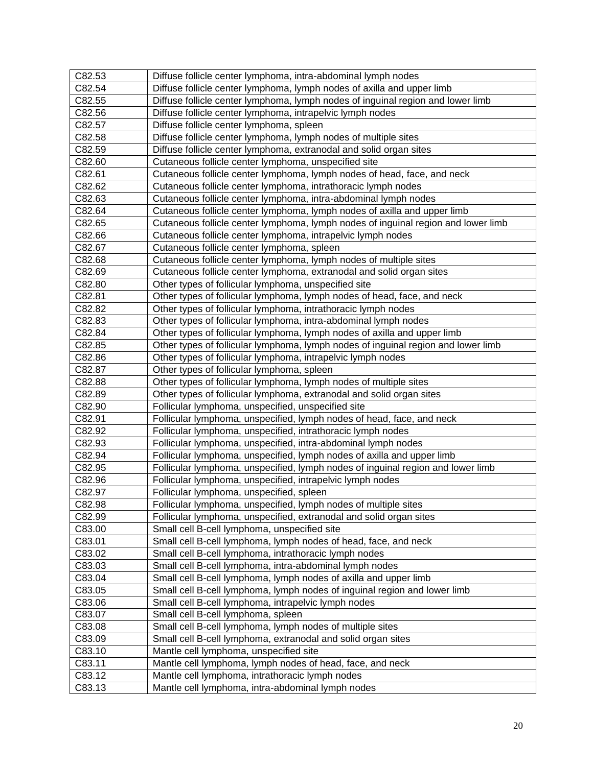| C82.53 | Diffuse follicle center lymphoma, intra-abdominal lymph nodes                     |
|--------|-----------------------------------------------------------------------------------|
| C82.54 | Diffuse follicle center lymphoma, lymph nodes of axilla and upper limb            |
| C82.55 | Diffuse follicle center lymphoma, lymph nodes of inguinal region and lower limb   |
| C82.56 | Diffuse follicle center lymphoma, intrapelvic lymph nodes                         |
| C82.57 | Diffuse follicle center lymphoma, spleen                                          |
| C82.58 | Diffuse follicle center lymphoma, lymph nodes of multiple sites                   |
| C82.59 | Diffuse follicle center lymphoma, extranodal and solid organ sites                |
| C82.60 | Cutaneous follicle center lymphoma, unspecified site                              |
| C82.61 | Cutaneous follicle center lymphoma, lymph nodes of head, face, and neck           |
| C82.62 | Cutaneous follicle center lymphoma, intrathoracic lymph nodes                     |
| C82.63 | Cutaneous follicle center lymphoma, intra-abdominal lymph nodes                   |
| C82.64 | Cutaneous follicle center lymphoma, lymph nodes of axilla and upper limb          |
| C82.65 | Cutaneous follicle center lymphoma, lymph nodes of inguinal region and lower limb |
| C82.66 | Cutaneous follicle center lymphoma, intrapelvic lymph nodes                       |
| C82.67 | Cutaneous follicle center lymphoma, spleen                                        |
| C82.68 | Cutaneous follicle center lymphoma, lymph nodes of multiple sites                 |
| C82.69 | Cutaneous follicle center lymphoma, extranodal and solid organ sites              |
| C82.80 | Other types of follicular lymphoma, unspecified site                              |
| C82.81 | Other types of follicular lymphoma, lymph nodes of head, face, and neck           |
| C82.82 | Other types of follicular lymphoma, intrathoracic lymph nodes                     |
| C82.83 | Other types of follicular lymphoma, intra-abdominal lymph nodes                   |
| C82.84 | Other types of follicular lymphoma, lymph nodes of axilla and upper limb          |
| C82.85 | Other types of follicular lymphoma, lymph nodes of inguinal region and lower limb |
| C82.86 | Other types of follicular lymphoma, intrapelvic lymph nodes                       |
| C82.87 | Other types of follicular lymphoma, spleen                                        |
| C82.88 | Other types of follicular lymphoma, lymph nodes of multiple sites                 |
| C82.89 | Other types of follicular lymphoma, extranodal and solid organ sites              |
| C82.90 | Follicular lymphoma, unspecified, unspecified site                                |
| C82.91 | Follicular lymphoma, unspecified, lymph nodes of head, face, and neck             |
| C82.92 | Follicular lymphoma, unspecified, intrathoracic lymph nodes                       |
| C82.93 | Follicular lymphoma, unspecified, intra-abdominal lymph nodes                     |
| C82.94 | Follicular lymphoma, unspecified, lymph nodes of axilla and upper limb            |
| C82.95 | Follicular lymphoma, unspecified, lymph nodes of inguinal region and lower limb   |
| C82.96 | Follicular lymphoma, unspecified, intrapelvic lymph nodes                         |
| C82.97 | Follicular lymphoma, unspecified, spleen                                          |
| C82.98 | Follicular lymphoma, unspecified, lymph nodes of multiple sites                   |
| C82.99 | Follicular lymphoma, unspecified, extranodal and solid organ sites                |
| C83.00 | Small cell B-cell lymphoma, unspecified site                                      |
| C83.01 | Small cell B-cell lymphoma, lymph nodes of head, face, and neck                   |
| C83.02 | Small cell B-cell lymphoma, intrathoracic lymph nodes                             |
| C83.03 | Small cell B-cell lymphoma, intra-abdominal lymph nodes                           |
| C83.04 | Small cell B-cell lymphoma, lymph nodes of axilla and upper limb                  |
| C83.05 | Small cell B-cell lymphoma, lymph nodes of inguinal region and lower limb         |
| C83.06 | Small cell B-cell lymphoma, intrapelvic lymph nodes                               |
| C83.07 | Small cell B-cell lymphoma, spleen                                                |
| C83.08 | Small cell B-cell lymphoma, lymph nodes of multiple sites                         |
| C83.09 | Small cell B-cell lymphoma, extranodal and solid organ sites                      |
| C83.10 | Mantle cell lymphoma, unspecified site                                            |
| C83.11 | Mantle cell lymphoma, lymph nodes of head, face, and neck                         |
| C83.12 | Mantle cell lymphoma, intrathoracic lymph nodes                                   |
| C83.13 | Mantle cell lymphoma, intra-abdominal lymph nodes                                 |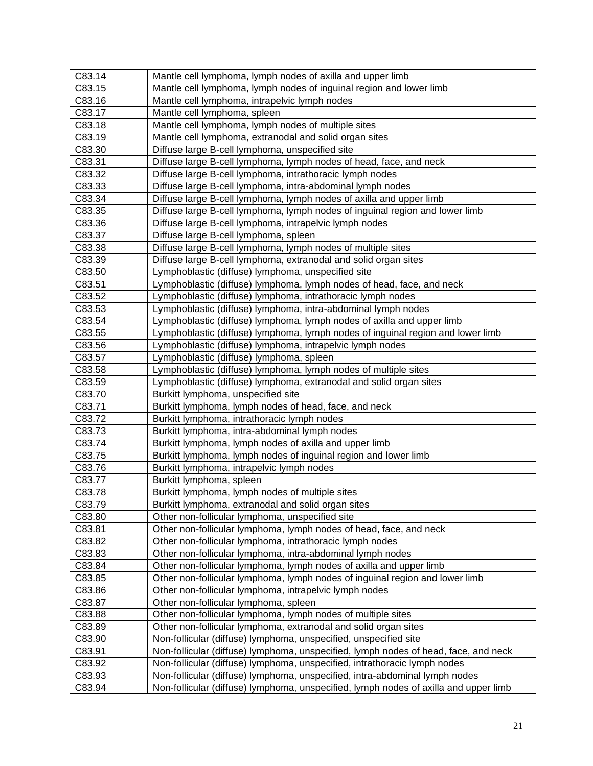| C83.14 | Mantle cell lymphoma, lymph nodes of axilla and upper limb                           |
|--------|--------------------------------------------------------------------------------------|
| C83.15 | Mantle cell lymphoma, lymph nodes of inguinal region and lower limb                  |
| C83.16 | Mantle cell lymphoma, intrapelvic lymph nodes                                        |
| C83.17 | Mantle cell lymphoma, spleen                                                         |
| C83.18 | Mantle cell lymphoma, lymph nodes of multiple sites                                  |
| C83.19 | Mantle cell lymphoma, extranodal and solid organ sites                               |
| C83.30 | Diffuse large B-cell lymphoma, unspecified site                                      |
| C83.31 | Diffuse large B-cell lymphoma, lymph nodes of head, face, and neck                   |
| C83.32 | Diffuse large B-cell lymphoma, intrathoracic lymph nodes                             |
| C83.33 | Diffuse large B-cell lymphoma, intra-abdominal lymph nodes                           |
| C83.34 | Diffuse large B-cell lymphoma, lymph nodes of axilla and upper limb                  |
| C83.35 | Diffuse large B-cell lymphoma, lymph nodes of inguinal region and lower limb         |
| C83.36 | Diffuse large B-cell lymphoma, intrapelvic lymph nodes                               |
| C83.37 | Diffuse large B-cell lymphoma, spleen                                                |
| C83.38 | Diffuse large B-cell lymphoma, lymph nodes of multiple sites                         |
| C83.39 | Diffuse large B-cell lymphoma, extranodal and solid organ sites                      |
| C83.50 | Lymphoblastic (diffuse) lymphoma, unspecified site                                   |
| C83.51 | Lymphoblastic (diffuse) lymphoma, lymph nodes of head, face, and neck                |
| C83.52 | Lymphoblastic (diffuse) lymphoma, intrathoracic lymph nodes                          |
| C83.53 | Lymphoblastic (diffuse) lymphoma, intra-abdominal lymph nodes                        |
| C83.54 | Lymphoblastic (diffuse) lymphoma, lymph nodes of axilla and upper limb               |
| C83.55 | Lymphoblastic (diffuse) lymphoma, lymph nodes of inguinal region and lower limb      |
| C83.56 | Lymphoblastic (diffuse) lymphoma, intrapelvic lymph nodes                            |
| C83.57 | Lymphoblastic (diffuse) lymphoma, spleen                                             |
| C83.58 | Lymphoblastic (diffuse) lymphoma, lymph nodes of multiple sites                      |
| C83.59 | Lymphoblastic (diffuse) lymphoma, extranodal and solid organ sites                   |
| C83.70 | Burkitt lymphoma, unspecified site                                                   |
| C83.71 | Burkitt lymphoma, lymph nodes of head, face, and neck                                |
| C83.72 | Burkitt lymphoma, intrathoracic lymph nodes                                          |
| C83.73 | Burkitt lymphoma, intra-abdominal lymph nodes                                        |
| C83.74 | Burkitt lymphoma, lymph nodes of axilla and upper limb                               |
| C83.75 | Burkitt lymphoma, lymph nodes of inguinal region and lower limb                      |
| C83.76 | Burkitt lymphoma, intrapelvic lymph nodes                                            |
| C83.77 | Burkitt lymphoma, spleen                                                             |
| C83.78 | Burkitt lymphoma, lymph nodes of multiple sites                                      |
| C83.79 | Burkitt lymphoma, extranodal and solid organ sites                                   |
| C83.80 | Other non-follicular lymphoma, unspecified site                                      |
| C83.81 | Other non-follicular lymphoma, lymph nodes of head, face, and neck                   |
| C83.82 | Other non-follicular lymphoma, intrathoracic lymph nodes                             |
| C83.83 | Other non-follicular lymphoma, intra-abdominal lymph nodes                           |
| C83.84 | Other non-follicular lymphoma, lymph nodes of axilla and upper limb                  |
| C83.85 | Other non-follicular lymphoma, lymph nodes of inguinal region and lower limb         |
| C83.86 | Other non-follicular lymphoma, intrapelvic lymph nodes                               |
| C83.87 | Other non-follicular lymphoma, spleen                                                |
| C83.88 | Other non-follicular lymphoma, lymph nodes of multiple sites                         |
| C83.89 | Other non-follicular lymphoma, extranodal and solid organ sites                      |
| C83.90 | Non-follicular (diffuse) lymphoma, unspecified, unspecified site                     |
| C83.91 | Non-follicular (diffuse) lymphoma, unspecified, lymph nodes of head, face, and neck  |
| C83.92 | Non-follicular (diffuse) lymphoma, unspecified, intrathoracic lymph nodes            |
| C83.93 | Non-follicular (diffuse) lymphoma, unspecified, intra-abdominal lymph nodes          |
| C83.94 | Non-follicular (diffuse) lymphoma, unspecified, lymph nodes of axilla and upper limb |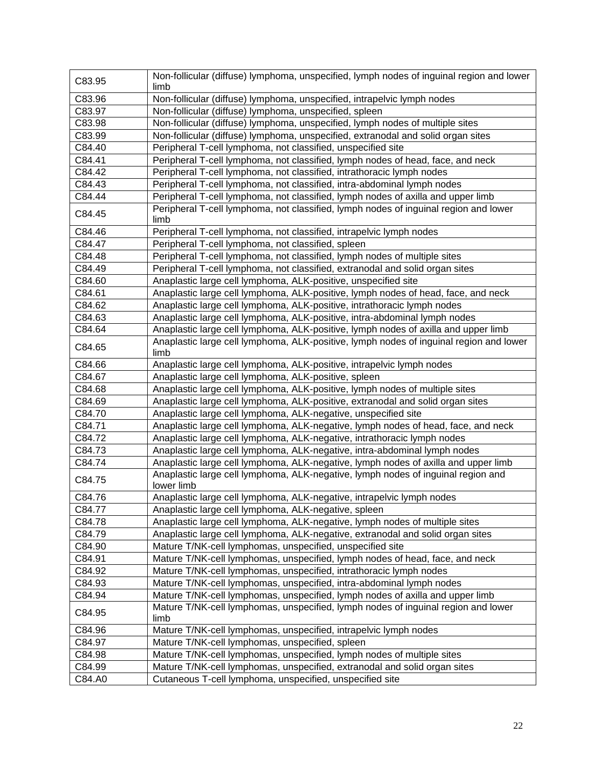| C83.95 | Non-follicular (diffuse) lymphoma, unspecified, lymph nodes of inguinal region and lower<br>limb |
|--------|--------------------------------------------------------------------------------------------------|
| C83.96 | Non-follicular (diffuse) lymphoma, unspecified, intrapelvic lymph nodes                          |
| C83.97 | Non-follicular (diffuse) lymphoma, unspecified, spleen                                           |
| C83.98 | Non-follicular (diffuse) lymphoma, unspecified, lymph nodes of multiple sites                    |
| C83.99 | Non-follicular (diffuse) lymphoma, unspecified, extranodal and solid organ sites                 |
| C84.40 | Peripheral T-cell lymphoma, not classified, unspecified site                                     |
| C84.41 | Peripheral T-cell lymphoma, not classified, lymph nodes of head, face, and neck                  |
| C84.42 | Peripheral T-cell lymphoma, not classified, intrathoracic lymph nodes                            |
| C84.43 | Peripheral T-cell lymphoma, not classified, intra-abdominal lymph nodes                          |
| C84.44 | Peripheral T-cell lymphoma, not classified, lymph nodes of axilla and upper limb                 |
|        | Peripheral T-cell lymphoma, not classified, lymph nodes of inguinal region and lower             |
| C84.45 | limb                                                                                             |
| C84.46 | Peripheral T-cell lymphoma, not classified, intrapelvic lymph nodes                              |
| C84.47 | Peripheral T-cell lymphoma, not classified, spleen                                               |
| C84.48 | Peripheral T-cell lymphoma, not classified, lymph nodes of multiple sites                        |
| C84.49 | Peripheral T-cell lymphoma, not classified, extranodal and solid organ sites                     |
| C84.60 | Anaplastic large cell lymphoma, ALK-positive, unspecified site                                   |
| C84.61 | Anaplastic large cell lymphoma, ALK-positive, lymph nodes of head, face, and neck                |
| C84.62 | Anaplastic large cell lymphoma, ALK-positive, intrathoracic lymph nodes                          |
| C84.63 | Anaplastic large cell lymphoma, ALK-positive, intra-abdominal lymph nodes                        |
| C84.64 | Anaplastic large cell lymphoma, ALK-positive, lymph nodes of axilla and upper limb               |
| C84.65 | Anaplastic large cell lymphoma, ALK-positive, lymph nodes of inguinal region and lower<br>limb   |
| C84.66 | Anaplastic large cell lymphoma, ALK-positive, intrapelvic lymph nodes                            |
| C84.67 | Anaplastic large cell lymphoma, ALK-positive, spleen                                             |
| C84.68 | Anaplastic large cell lymphoma, ALK-positive, lymph nodes of multiple sites                      |
| C84.69 | Anaplastic large cell lymphoma, ALK-positive, extranodal and solid organ sites                   |
| C84.70 | Anaplastic large cell lymphoma, ALK-negative, unspecified site                                   |
| C84.71 | Anaplastic large cell lymphoma, ALK-negative, lymph nodes of head, face, and neck                |
| C84.72 | Anaplastic large cell lymphoma, ALK-negative, intrathoracic lymph nodes                          |
| C84.73 | Anaplastic large cell lymphoma, ALK-negative, intra-abdominal lymph nodes                        |
| C84.74 | Anaplastic large cell lymphoma, ALK-negative, lymph nodes of axilla and upper limb               |
| C84.75 | Anaplastic large cell lymphoma, ALK-negative, lymph nodes of inguinal region and                 |
|        | lower limb                                                                                       |
| C84.76 | Anaplastic large cell lymphoma, ALK-negative, intrapelvic lymph nodes                            |
| C84.77 | Anaplastic large cell lymphoma, ALK-negative, spleen                                             |
| C84.78 | Anaplastic large cell lymphoma, ALK-negative, lymph nodes of multiple sites                      |
| C84.79 | Anaplastic large cell lymphoma, ALK-negative, extranodal and solid organ sites                   |
| C84.90 | Mature T/NK-cell lymphomas, unspecified, unspecified site                                        |
| C84.91 | Mature T/NK-cell lymphomas, unspecified, lymph nodes of head, face, and neck                     |
| C84.92 | Mature T/NK-cell lymphomas, unspecified, intrathoracic lymph nodes                               |
| C84.93 | Mature T/NK-cell lymphomas, unspecified, intra-abdominal lymph nodes                             |
| C84.94 | Mature T/NK-cell lymphomas, unspecified, lymph nodes of axilla and upper limb                    |
| C84.95 | Mature T/NK-cell lymphomas, unspecified, lymph nodes of inguinal region and lower<br>limb        |
| C84.96 | Mature T/NK-cell lymphomas, unspecified, intrapelvic lymph nodes                                 |
| C84.97 | Mature T/NK-cell lymphomas, unspecified, spleen                                                  |
| C84.98 | Mature T/NK-cell lymphomas, unspecified, lymph nodes of multiple sites                           |
| C84.99 | Mature T/NK-cell lymphomas, unspecified, extranodal and solid organ sites                        |
| C84.A0 | Cutaneous T-cell lymphoma, unspecified, unspecified site                                         |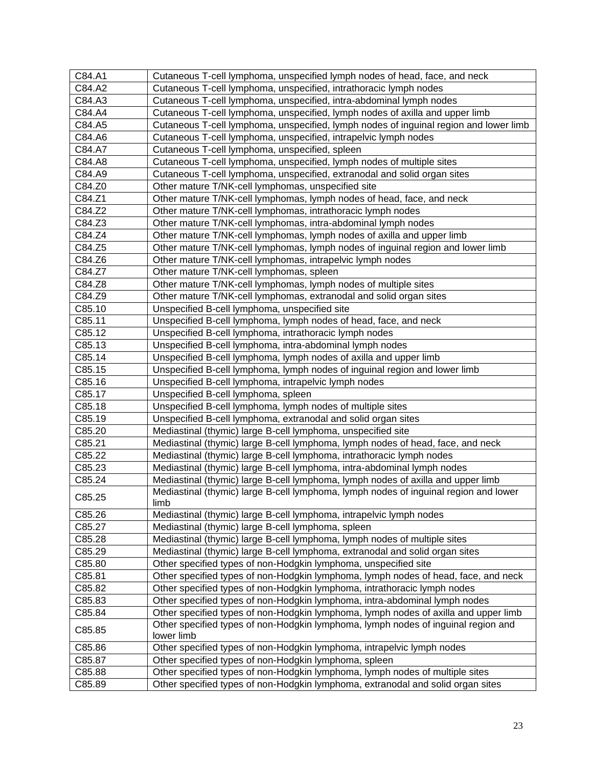| C84.A1 | Cutaneous T-cell lymphoma, unspecified lymph nodes of head, face, and neck                      |
|--------|-------------------------------------------------------------------------------------------------|
| C84.A2 | Cutaneous T-cell lymphoma, unspecified, intrathoracic lymph nodes                               |
| C84.A3 | Cutaneous T-cell lymphoma, unspecified, intra-abdominal lymph nodes                             |
| C84.A4 | Cutaneous T-cell lymphoma, unspecified, lymph nodes of axilla and upper limb                    |
| C84.A5 | Cutaneous T-cell lymphoma, unspecified, lymph nodes of inguinal region and lower limb           |
| C84.A6 | Cutaneous T-cell lymphoma, unspecified, intrapelvic lymph nodes                                 |
| C84.A7 | Cutaneous T-cell lymphoma, unspecified, spleen                                                  |
| C84.A8 | Cutaneous T-cell lymphoma, unspecified, lymph nodes of multiple sites                           |
| C84.A9 | Cutaneous T-cell lymphoma, unspecified, extranodal and solid organ sites                        |
| C84.Z0 | Other mature T/NK-cell lymphomas, unspecified site                                              |
| C84.Z1 | Other mature T/NK-cell lymphomas, lymph nodes of head, face, and neck                           |
| C84.Z2 | Other mature T/NK-cell lymphomas, intrathoracic lymph nodes                                     |
| C84.Z3 | Other mature T/NK-cell lymphomas, intra-abdominal lymph nodes                                   |
| C84.Z4 | Other mature T/NK-cell lymphomas, lymph nodes of axilla and upper limb                          |
| C84.Z5 | Other mature T/NK-cell lymphomas, lymph nodes of inguinal region and lower limb                 |
| C84.Z6 | Other mature T/NK-cell lymphomas, intrapelvic lymph nodes                                       |
| C84.Z7 | Other mature T/NK-cell lymphomas, spleen                                                        |
| C84.Z8 | Other mature T/NK-cell lymphomas, lymph nodes of multiple sites                                 |
| C84.Z9 | Other mature T/NK-cell lymphomas, extranodal and solid organ sites                              |
| C85.10 | Unspecified B-cell lymphoma, unspecified site                                                   |
| C85.11 | Unspecified B-cell lymphoma, lymph nodes of head, face, and neck                                |
| C85.12 | Unspecified B-cell lymphoma, intrathoracic lymph nodes                                          |
| C85.13 | Unspecified B-cell lymphoma, intra-abdominal lymph nodes                                        |
| C85.14 | Unspecified B-cell lymphoma, lymph nodes of axilla and upper limb                               |
| C85.15 | Unspecified B-cell lymphoma, lymph nodes of inguinal region and lower limb                      |
| C85.16 | Unspecified B-cell lymphoma, intrapelvic lymph nodes                                            |
| C85.17 | Unspecified B-cell lymphoma, spleen                                                             |
| C85.18 | Unspecified B-cell lymphoma, lymph nodes of multiple sites                                      |
| C85.19 | Unspecified B-cell lymphoma, extranodal and solid organ sites                                   |
| C85.20 | Mediastinal (thymic) large B-cell lymphoma, unspecified site                                    |
| C85.21 | Mediastinal (thymic) large B-cell lymphoma, lymph nodes of head, face, and neck                 |
| C85.22 | Mediastinal (thymic) large B-cell lymphoma, intrathoracic lymph nodes                           |
| C85.23 | Mediastinal (thymic) large B-cell lymphoma, intra-abdominal lymph nodes                         |
| C85.24 | Mediastinal (thymic) large B-cell lymphoma, lymph nodes of axilla and upper limb                |
| C85.25 | Mediastinal (thymic) large B-cell lymphoma, lymph nodes of inguinal region and lower<br>limb    |
| C85.26 | Mediastinal (thymic) large B-cell lymphoma, intrapelvic lymph nodes                             |
| C85.27 | Mediastinal (thymic) large B-cell lymphoma, spleen                                              |
| C85.28 | Mediastinal (thymic) large B-cell lymphoma, lymph nodes of multiple sites                       |
| C85.29 | Mediastinal (thymic) large B-cell lymphoma, extranodal and solid organ sites                    |
| C85.80 | Other specified types of non-Hodgkin lymphoma, unspecified site                                 |
| C85.81 | Other specified types of non-Hodgkin lymphoma, lymph nodes of head, face, and neck              |
| C85.82 | Other specified types of non-Hodgkin lymphoma, intrathoracic lymph nodes                        |
| C85.83 | Other specified types of non-Hodgkin lymphoma, intra-abdominal lymph nodes                      |
| C85.84 | Other specified types of non-Hodgkin lymphoma, lymph nodes of axilla and upper limb             |
| C85.85 | Other specified types of non-Hodgkin lymphoma, lymph nodes of inguinal region and<br>lower limb |
| C85.86 | Other specified types of non-Hodgkin lymphoma, intrapelvic lymph nodes                          |
| C85.87 | Other specified types of non-Hodgkin lymphoma, spleen                                           |
| C85.88 | Other specified types of non-Hodgkin lymphoma, lymph nodes of multiple sites                    |
| C85.89 | Other specified types of non-Hodgkin lymphoma, extranodal and solid organ sites                 |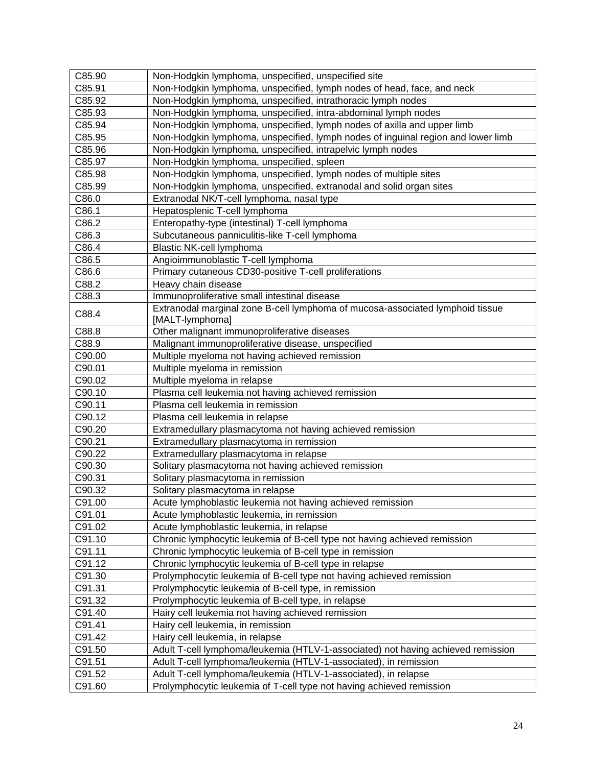| C85.90 | Non-Hodgkin lymphoma, unspecified, unspecified site                              |
|--------|----------------------------------------------------------------------------------|
| C85.91 | Non-Hodgkin lymphoma, unspecified, lymph nodes of head, face, and neck           |
| C85.92 | Non-Hodgkin lymphoma, unspecified, intrathoracic lymph nodes                     |
| C85.93 | Non-Hodgkin lymphoma, unspecified, intra-abdominal lymph nodes                   |
| C85.94 | Non-Hodgkin lymphoma, unspecified, lymph nodes of axilla and upper limb          |
| C85.95 | Non-Hodgkin lymphoma, unspecified, lymph nodes of inguinal region and lower limb |
| C85.96 | Non-Hodgkin lymphoma, unspecified, intrapelvic lymph nodes                       |
| C85.97 | Non-Hodgkin lymphoma, unspecified, spleen                                        |
| C85.98 | Non-Hodgkin lymphoma, unspecified, lymph nodes of multiple sites                 |
| C85.99 | Non-Hodgkin lymphoma, unspecified, extranodal and solid organ sites              |
| C86.0  | Extranodal NK/T-cell lymphoma, nasal type                                        |
| C86.1  | Hepatosplenic T-cell lymphoma                                                    |
| C86.2  | Enteropathy-type (intestinal) T-cell lymphoma                                    |
| C86.3  | Subcutaneous panniculitis-like T-cell lymphoma                                   |
| C86.4  | Blastic NK-cell lymphoma                                                         |
| C86.5  | Angioimmunoblastic T-cell lymphoma                                               |
| C86.6  | Primary cutaneous CD30-positive T-cell proliferations                            |
| C88.2  | Heavy chain disease                                                              |
| C88.3  | Immunoproliferative small intestinal disease                                     |
|        | Extranodal marginal zone B-cell lymphoma of mucosa-associated lymphoid tissue    |
| C88.4  | [MALT-lymphoma]                                                                  |
| C88.8  | Other malignant immunoproliferative diseases                                     |
| C88.9  | Malignant immunoproliferative disease, unspecified                               |
| C90.00 | Multiple myeloma not having achieved remission                                   |
| C90.01 | Multiple myeloma in remission                                                    |
| C90.02 | Multiple myeloma in relapse                                                      |
| C90.10 | Plasma cell leukemia not having achieved remission                               |
| C90.11 | Plasma cell leukemia in remission                                                |
| C90.12 | Plasma cell leukemia in relapse                                                  |
| C90.20 | Extramedullary plasmacytoma not having achieved remission                        |
| C90.21 | Extramedullary plasmacytoma in remission                                         |
| C90.22 | Extramedullary plasmacytoma in relapse                                           |
| C90.30 | Solitary plasmacytoma not having achieved remission                              |
| C90.31 | Solitary plasmacytoma in remission                                               |
| C90.32 | Solitary plasmacytoma in relapse                                                 |
| C91.00 | Acute lymphoblastic leukemia not having achieved remission                       |
| C91.01 | Acute lymphoblastic leukemia, in remission                                       |
| C91.02 | Acute lymphoblastic leukemia, in relapse                                         |
| C91.10 | Chronic lymphocytic leukemia of B-cell type not having achieved remission        |
| C91.11 | Chronic lymphocytic leukemia of B-cell type in remission                         |
| C91.12 | Chronic lymphocytic leukemia of B-cell type in relapse                           |
| C91.30 | Prolymphocytic leukemia of B-cell type not having achieved remission             |
| C91.31 | Prolymphocytic leukemia of B-cell type, in remission                             |
| C91.32 | Prolymphocytic leukemia of B-cell type, in relapse                               |
| C91.40 | Hairy cell leukemia not having achieved remission                                |
| C91.41 | Hairy cell leukemia, in remission                                                |
| C91.42 | Hairy cell leukemia, in relapse                                                  |
| C91.50 | Adult T-cell lymphoma/leukemia (HTLV-1-associated) not having achieved remission |
| C91.51 | Adult T-cell lymphoma/leukemia (HTLV-1-associated), in remission                 |
| C91.52 | Adult T-cell lymphoma/leukemia (HTLV-1-associated), in relapse                   |
| C91.60 | Prolymphocytic leukemia of T-cell type not having achieved remission             |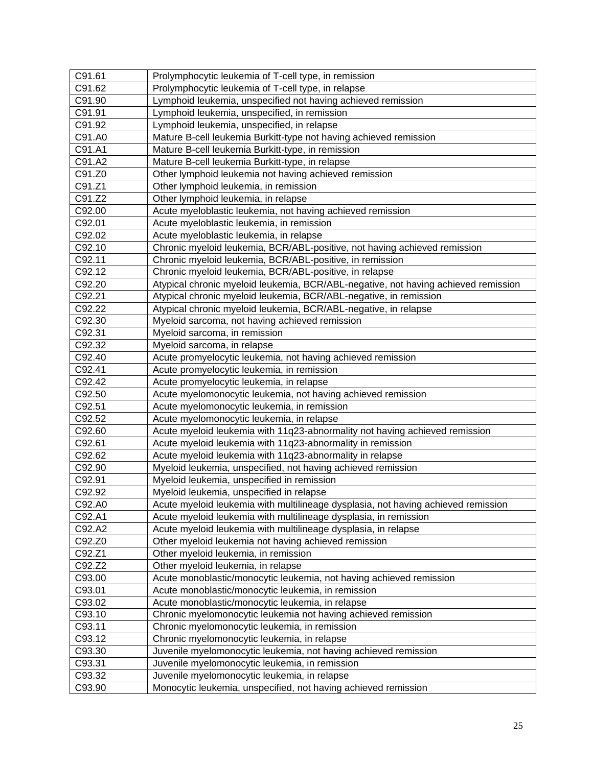| C91.61 | Prolymphocytic leukemia of T-cell type, in remission                               |
|--------|------------------------------------------------------------------------------------|
| C91.62 | Prolymphocytic leukemia of T-cell type, in relapse                                 |
| C91.90 | Lymphoid leukemia, unspecified not having achieved remission                       |
| C91.91 | Lymphoid leukemia, unspecified, in remission                                       |
| C91.92 | Lymphoid leukemia, unspecified, in relapse                                         |
| C91.A0 | Mature B-cell leukemia Burkitt-type not having achieved remission                  |
| C91.A1 | Mature B-cell leukemia Burkitt-type, in remission                                  |
| C91.A2 | Mature B-cell leukemia Burkitt-type, in relapse                                    |
| C91.Z0 | Other lymphoid leukemia not having achieved remission                              |
| C91.Z1 | Other lymphoid leukemia, in remission                                              |
| C91.Z2 | Other lymphoid leukemia, in relapse                                                |
| C92.00 | Acute myeloblastic leukemia, not having achieved remission                         |
| C92.01 | Acute myeloblastic leukemia, in remission                                          |
| C92.02 | Acute myeloblastic leukemia, in relapse                                            |
| C92.10 | Chronic myeloid leukemia, BCR/ABL-positive, not having achieved remission          |
| C92.11 | Chronic myeloid leukemia, BCR/ABL-positive, in remission                           |
| C92.12 | Chronic myeloid leukemia, BCR/ABL-positive, in relapse                             |
| C92.20 | Atypical chronic myeloid leukemia, BCR/ABL-negative, not having achieved remission |
| C92.21 | Atypical chronic myeloid leukemia, BCR/ABL-negative, in remission                  |
| C92.22 | Atypical chronic myeloid leukemia, BCR/ABL-negative, in relapse                    |
| C92.30 | Myeloid sarcoma, not having achieved remission                                     |
| C92.31 | Myeloid sarcoma, in remission                                                      |
| C92.32 | Myeloid sarcoma, in relapse                                                        |
| C92.40 | Acute promyelocytic leukemia, not having achieved remission                        |
| C92.41 | Acute promyelocytic leukemia, in remission                                         |
| C92.42 | Acute promyelocytic leukemia, in relapse                                           |
| C92.50 | Acute myelomonocytic leukemia, not having achieved remission                       |
| C92.51 | Acute myelomonocytic leukemia, in remission                                        |
| C92.52 | Acute myelomonocytic leukemia, in relapse                                          |
| C92.60 | Acute myeloid leukemia with 11q23-abnormality not having achieved remission        |
| C92.61 | Acute myeloid leukemia with 11q23-abnormality in remission                         |
| C92.62 | Acute myeloid leukemia with 11q23-abnormality in relapse                           |
| C92.90 | Myeloid leukemia, unspecified, not having achieved remission                       |
| C92.91 | Myeloid leukemia, unspecified in remission                                         |
| C92.92 | Myeloid leukemia, unspecified in relapse                                           |
| C92.A0 | Acute myeloid leukemia with multilineage dysplasia, not having achieved remission  |
| C92.A1 | Acute myeloid leukemia with multilineage dysplasia, in remission                   |
| C92.A2 | Acute myeloid leukemia with multilineage dysplasia, in relapse                     |
| C92.Z0 | Other myeloid leukemia not having achieved remission                               |
| C92.Z1 | Other myeloid leukemia, in remission                                               |
| C92.Z2 | Other myeloid leukemia, in relapse                                                 |
| C93.00 | Acute monoblastic/monocytic leukemia, not having achieved remission                |
| C93.01 | Acute monoblastic/monocytic leukemia, in remission                                 |
| C93.02 | Acute monoblastic/monocytic leukemia, in relapse                                   |
| C93.10 | Chronic myelomonocytic leukemia not having achieved remission                      |
| C93.11 | Chronic myelomonocytic leukemia, in remission                                      |
| C93.12 | Chronic myelomonocytic leukemia, in relapse                                        |
| C93.30 | Juvenile myelomonocytic leukemia, not having achieved remission                    |
| C93.31 | Juvenile myelomonocytic leukemia, in remission                                     |
| C93.32 | Juvenile myelomonocytic leukemia, in relapse                                       |
| C93.90 | Monocytic leukemia, unspecified, not having achieved remission                     |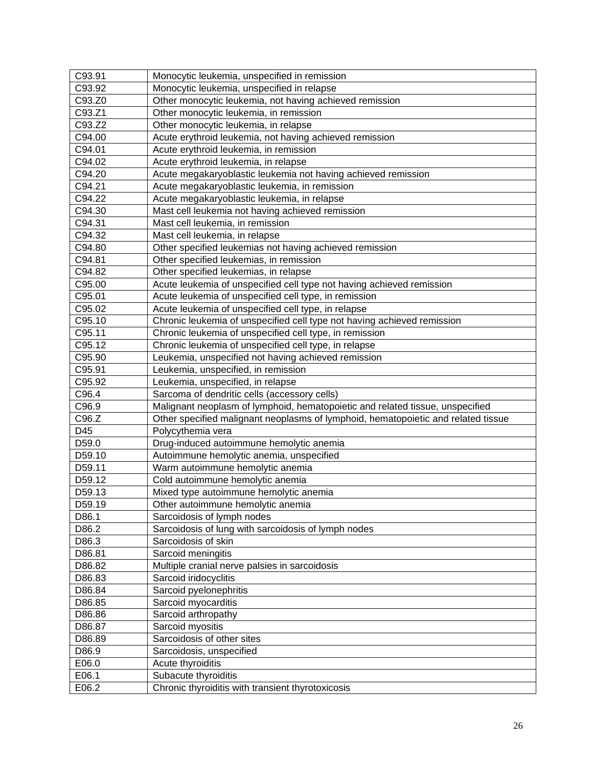| C93.91 | Monocytic leukemia, unspecified in remission                                      |
|--------|-----------------------------------------------------------------------------------|
| C93.92 | Monocytic leukemia, unspecified in relapse                                        |
| C93.Z0 | Other monocytic leukemia, not having achieved remission                           |
| C93.Z1 | Other monocytic leukemia, in remission                                            |
| C93.Z2 | Other monocytic leukemia, in relapse                                              |
| C94.00 | Acute erythroid leukemia, not having achieved remission                           |
| C94.01 | Acute erythroid leukemia, in remission                                            |
| C94.02 | Acute erythroid leukemia, in relapse                                              |
| C94.20 | Acute megakaryoblastic leukemia not having achieved remission                     |
| C94.21 | Acute megakaryoblastic leukemia, in remission                                     |
| C94.22 | Acute megakaryoblastic leukemia, in relapse                                       |
| C94.30 | Mast cell leukemia not having achieved remission                                  |
| C94.31 | Mast cell leukemia, in remission                                                  |
| C94.32 | Mast cell leukemia, in relapse                                                    |
| C94.80 | Other specified leukemias not having achieved remission                           |
| C94.81 | Other specified leukemias, in remission                                           |
| C94.82 | Other specified leukemias, in relapse                                             |
| C95.00 | Acute leukemia of unspecified cell type not having achieved remission             |
| C95.01 | Acute leukemia of unspecified cell type, in remission                             |
| C95.02 | Acute leukemia of unspecified cell type, in relapse                               |
| C95.10 | Chronic leukemia of unspecified cell type not having achieved remission           |
| C95.11 | Chronic leukemia of unspecified cell type, in remission                           |
| C95.12 | Chronic leukemia of unspecified cell type, in relapse                             |
| C95.90 | Leukemia, unspecified not having achieved remission                               |
| C95.91 | Leukemia, unspecified, in remission                                               |
| C95.92 | Leukemia, unspecified, in relapse                                                 |
| C96.4  | Sarcoma of dendritic cells (accessory cells)                                      |
| C96.9  | Malignant neoplasm of lymphoid, hematopoietic and related tissue, unspecified     |
| C96.Z  | Other specified malignant neoplasms of lymphoid, hematopoietic and related tissue |
| D45    | Polycythemia vera                                                                 |
| D59.0  | Drug-induced autoimmune hemolytic anemia                                          |
| D59.10 | Autoimmune hemolytic anemia, unspecified                                          |
| D59.11 | Warm autoimmune hemolytic anemia                                                  |
| D59.12 | Cold autoimmune hemolytic anemia                                                  |
| D59.13 | Mixed type autoimmune hemolytic anemia                                            |
| D59.19 | Other autoimmune hemolytic anemia                                                 |
| D86.1  | Sarcoidosis of lymph nodes                                                        |
| D86.2  | Sarcoidosis of lung with sarcoidosis of lymph nodes                               |
| D86.3  | Sarcoidosis of skin                                                               |
| D86.81 | Sarcoid meningitis                                                                |
| D86.82 | Multiple cranial nerve palsies in sarcoidosis                                     |
| D86.83 | Sarcoid iridocyclitis                                                             |
| D86.84 | Sarcoid pyelonephritis                                                            |
| D86.85 | Sarcoid myocarditis                                                               |
| D86.86 | Sarcoid arthropathy                                                               |
| D86.87 | Sarcoid myositis                                                                  |
| D86.89 | Sarcoidosis of other sites                                                        |
| D86.9  | Sarcoidosis, unspecified                                                          |
| E06.0  | Acute thyroiditis                                                                 |
| E06.1  | Subacute thyroiditis                                                              |
| E06.2  | Chronic thyroiditis with transient thyrotoxicosis                                 |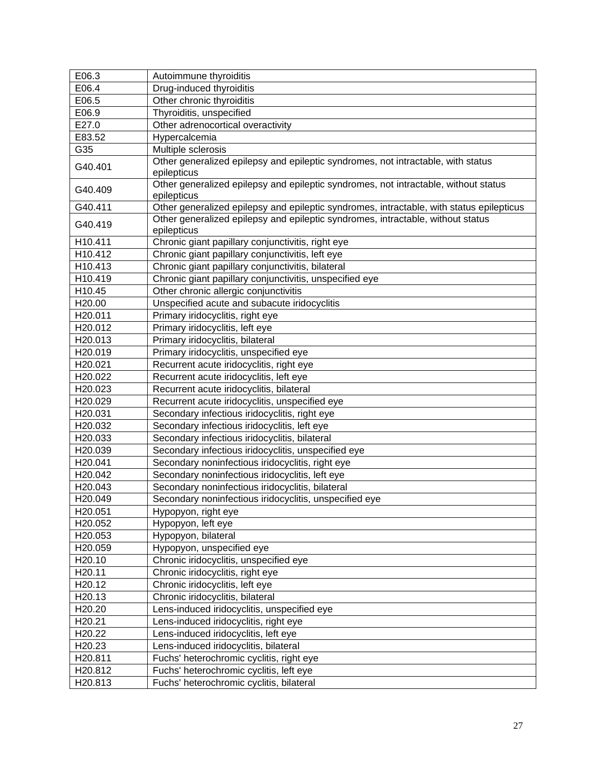| E06.3              | Autoimmune thyroiditis                                                                   |
|--------------------|------------------------------------------------------------------------------------------|
| E06.4              | Drug-induced thyroiditis                                                                 |
| E06.5              | Other chronic thyroiditis                                                                |
| E06.9              | Thyroiditis, unspecified                                                                 |
| E27.0              | Other adrenocortical overactivity                                                        |
| E83.52             | Hypercalcemia                                                                            |
| G35                | Multiple sclerosis                                                                       |
|                    | Other generalized epilepsy and epileptic syndromes, not intractable, with status         |
| G40.401            | epilepticus                                                                              |
|                    | Other generalized epilepsy and epileptic syndromes, not intractable, without status      |
| G40.409            | epilepticus                                                                              |
| G40.411            | Other generalized epilepsy and epileptic syndromes, intractable, with status epilepticus |
| G40.419            | Other generalized epilepsy and epileptic syndromes, intractable, without status          |
|                    | epilepticus                                                                              |
| H10.411            | Chronic giant papillary conjunctivitis, right eye                                        |
| H10.412            | Chronic giant papillary conjunctivitis, left eye                                         |
| H10.413            | Chronic giant papillary conjunctivitis, bilateral                                        |
| H10.419            | Chronic giant papillary conjunctivitis, unspecified eye                                  |
| H10.45             | Other chronic allergic conjunctivitis                                                    |
| H <sub>20.00</sub> | Unspecified acute and subacute iridocyclitis                                             |
| H20.011            | Primary iridocyclitis, right eye                                                         |
| H20.012            | Primary iridocyclitis, left eye                                                          |
| H20.013            | Primary iridocyclitis, bilateral                                                         |
| H20.019            | Primary iridocyclitis, unspecified eye                                                   |
| H20.021            | Recurrent acute iridocyclitis, right eye                                                 |
| H20.022            | Recurrent acute iridocyclitis, left eye                                                  |
| H20.023            | Recurrent acute iridocyclitis, bilateral                                                 |
| H20.029            | Recurrent acute iridocyclitis, unspecified eye                                           |
| H20.031            | Secondary infectious iridocyclitis, right eye                                            |
| H20.032            | Secondary infectious iridocyclitis, left eye                                             |
| H20.033            | Secondary infectious iridocyclitis, bilateral                                            |
| H20.039            | Secondary infectious iridocyclitis, unspecified eye                                      |
| H20.041            | Secondary noninfectious iridocyclitis, right eye                                         |
| H20.042            | Secondary noninfectious iridocyclitis, left eye                                          |
| H20.043            | Secondary noninfectious iridocyclitis, bilateral                                         |
| H20.049            | Secondary noninfectious iridocyclitis, unspecified eye                                   |
| H20.051            | Hypopyon, right eye                                                                      |
| H20.052            | Hypopyon, left eye                                                                       |
| H20.053            | Hypopyon, bilateral                                                                      |
| H20.059            | Hypopyon, unspecified eye                                                                |
| H20.10             | Chronic iridocyclitis, unspecified eye                                                   |
| H20.11             | Chronic iridocyclitis, right eye                                                         |
| H20.12             | Chronic iridocyclitis, left eye                                                          |
| H20.13             | Chronic iridocyclitis, bilateral                                                         |
| H20.20             | Lens-induced iridocyclitis, unspecified eye                                              |
| H20.21             | Lens-induced iridocyclitis, right eye                                                    |
| H20.22             | Lens-induced iridocyclitis, left eye                                                     |
| H20.23             | Lens-induced iridocyclitis, bilateral                                                    |
| H20.811            | Fuchs' heterochromic cyclitis, right eye                                                 |
| H20.812            | Fuchs' heterochromic cyclitis, left eye                                                  |
| H20.813            | Fuchs' heterochromic cyclitis, bilateral                                                 |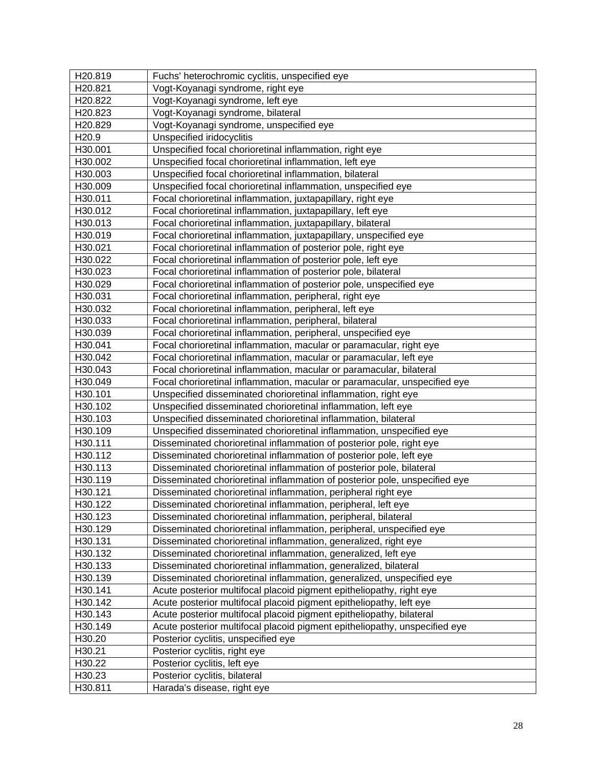| H20.819           | Fuchs' heterochromic cyclitis, unspecified eye                             |
|-------------------|----------------------------------------------------------------------------|
| H20.821           | Vogt-Koyanagi syndrome, right eye                                          |
| H20.822           | Vogt-Koyanagi syndrome, left eye                                           |
| H20.823           | Vogt-Koyanagi syndrome, bilateral                                          |
| H20.829           | Vogt-Koyanagi syndrome, unspecified eye                                    |
| H <sub>20.9</sub> | Unspecified iridocyclitis                                                  |
| H30.001           | Unspecified focal chorioretinal inflammation, right eye                    |
| H30.002           | Unspecified focal chorioretinal inflammation, left eye                     |
| H30.003           | Unspecified focal chorioretinal inflammation, bilateral                    |
| H30.009           | Unspecified focal chorioretinal inflammation, unspecified eye              |
| H30.011           | Focal chorioretinal inflammation, juxtapapillary, right eye                |
| H30.012           | Focal chorioretinal inflammation, juxtapapillary, left eye                 |
| H30.013           | Focal chorioretinal inflammation, juxtapapillary, bilateral                |
| H30.019           | Focal chorioretinal inflammation, juxtapapillary, unspecified eye          |
| H30.021           | Focal chorioretinal inflammation of posterior pole, right eye              |
| H30.022           | Focal chorioretinal inflammation of posterior pole, left eye               |
| H30.023           | Focal chorioretinal inflammation of posterior pole, bilateral              |
| H30.029           | Focal chorioretinal inflammation of posterior pole, unspecified eye        |
| H30.031           | Focal chorioretinal inflammation, peripheral, right eye                    |
| H30.032           | Focal chorioretinal inflammation, peripheral, left eye                     |
| H30.033           | Focal chorioretinal inflammation, peripheral, bilateral                    |
| H30.039           | Focal chorioretinal inflammation, peripheral, unspecified eye              |
| H30.041           | Focal chorioretinal inflammation, macular or paramacular, right eye        |
| H30.042           | Focal chorioretinal inflammation, macular or paramacular, left eye         |
| H30.043           | Focal chorioretinal inflammation, macular or paramacular, bilateral        |
| H30.049           | Focal chorioretinal inflammation, macular or paramacular, unspecified eye  |
| H30.101           | Unspecified disseminated chorioretinal inflammation, right eye             |
| H30.102           | Unspecified disseminated chorioretinal inflammation, left eye              |
| H30.103           | Unspecified disseminated chorioretinal inflammation, bilateral             |
| H30.109           | Unspecified disseminated chorioretinal inflammation, unspecified eye       |
| H30.111           | Disseminated chorioretinal inflammation of posterior pole, right eye       |
| H30.112           | Disseminated chorioretinal inflammation of posterior pole, left eye        |
| H30.113           | Disseminated chorioretinal inflammation of posterior pole, bilateral       |
| H30.119           | Disseminated chorioretinal inflammation of posterior pole, unspecified eye |
| H30.121           | Disseminated chorioretinal inflammation, peripheral right eye              |
| H30.122           | Disseminated chorioretinal inflammation, peripheral, left eye              |
| H30.123           | Disseminated chorioretinal inflammation, peripheral, bilateral             |
| H30.129           | Disseminated chorioretinal inflammation, peripheral, unspecified eye       |
| H30.131           | Disseminated chorioretinal inflammation, generalized, right eye            |
| H30.132           | Disseminated chorioretinal inflammation, generalized, left eye             |
| H30.133           | Disseminated chorioretinal inflammation, generalized, bilateral            |
| H30.139           | Disseminated chorioretinal inflammation, generalized, unspecified eye      |
| H30.141           | Acute posterior multifocal placoid pigment epitheliopathy, right eye       |
| H30.142           | Acute posterior multifocal placoid pigment epitheliopathy, left eye        |
| H30.143           | Acute posterior multifocal placoid pigment epitheliopathy, bilateral       |
| H30.149           | Acute posterior multifocal placoid pigment epitheliopathy, unspecified eye |
| H30.20            | Posterior cyclitis, unspecified eye                                        |
| H30.21            | Posterior cyclitis, right eye                                              |
| H30.22            | Posterior cyclitis, left eye                                               |
| H30.23            | Posterior cyclitis, bilateral                                              |
| H30.811           | Harada's disease, right eye                                                |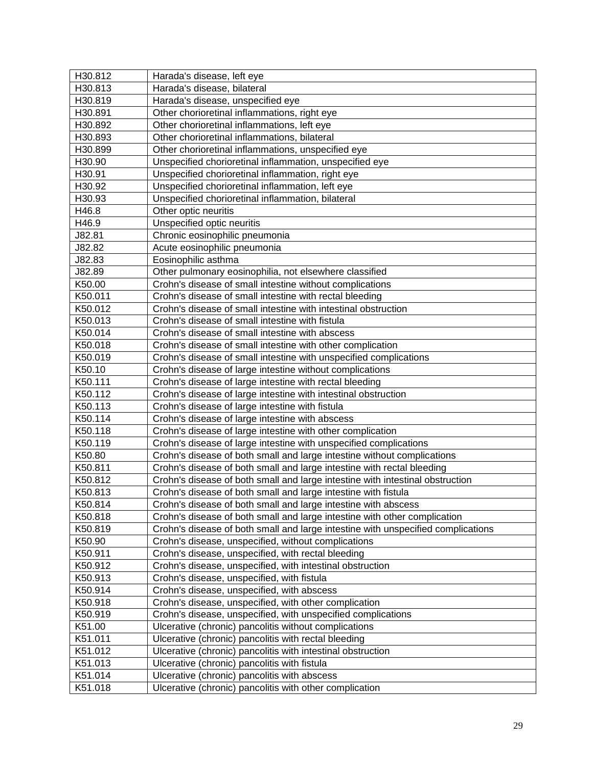| H30.812 | Harada's disease, left eye                                                       |
|---------|----------------------------------------------------------------------------------|
| H30.813 | Harada's disease, bilateral                                                      |
| H30.819 | Harada's disease, unspecified eye                                                |
| H30.891 | Other chorioretinal inflammations, right eye                                     |
| H30.892 | Other chorioretinal inflammations, left eye                                      |
| H30.893 | Other chorioretinal inflammations, bilateral                                     |
| H30.899 | Other chorioretinal inflammations, unspecified eye                               |
| H30.90  | Unspecified chorioretinal inflammation, unspecified eye                          |
| H30.91  | Unspecified chorioretinal inflammation, right eye                                |
| H30.92  | Unspecified chorioretinal inflammation, left eye                                 |
| H30.93  | Unspecified chorioretinal inflammation, bilateral                                |
| H46.8   | Other optic neuritis                                                             |
| H46.9   | Unspecified optic neuritis                                                       |
| J82.81  | Chronic eosinophilic pneumonia                                                   |
| J82.82  | Acute eosinophilic pneumonia                                                     |
| J82.83  | Eosinophilic asthma                                                              |
| J82.89  | Other pulmonary eosinophilia, not elsewhere classified                           |
| K50.00  | Crohn's disease of small intestine without complications                         |
| K50.011 | Crohn's disease of small intestine with rectal bleeding                          |
| K50.012 | Crohn's disease of small intestine with intestinal obstruction                   |
| K50.013 | Crohn's disease of small intestine with fistula                                  |
| K50.014 | Crohn's disease of small intestine with abscess                                  |
| K50.018 | Crohn's disease of small intestine with other complication                       |
| K50.019 | Crohn's disease of small intestine with unspecified complications                |
| K50.10  | Crohn's disease of large intestine without complications                         |
| K50.111 | Crohn's disease of large intestine with rectal bleeding                          |
| K50.112 | Crohn's disease of large intestine with intestinal obstruction                   |
| K50.113 | Crohn's disease of large intestine with fistula                                  |
| K50.114 | Crohn's disease of large intestine with abscess                                  |
| K50.118 | Crohn's disease of large intestine with other complication                       |
| K50.119 | Crohn's disease of large intestine with unspecified complications                |
| K50.80  | Crohn's disease of both small and large intestine without complications          |
| K50.811 | Crohn's disease of both small and large intestine with rectal bleeding           |
| K50.812 | Crohn's disease of both small and large intestine with intestinal obstruction    |
| K50.813 | Crohn's disease of both small and large intestine with fistula                   |
| K50.814 | Crohn's disease of both small and large intestine with abscess                   |
| K50.818 | Crohn's disease of both small and large intestine with other complication        |
| K50.819 | Crohn's disease of both small and large intestine with unspecified complications |
| K50.90  | Crohn's disease, unspecified, without complications                              |
| K50.911 | Crohn's disease, unspecified, with rectal bleeding                               |
| K50.912 | Crohn's disease, unspecified, with intestinal obstruction                        |
| K50.913 | Crohn's disease, unspecified, with fistula                                       |
| K50.914 | Crohn's disease, unspecified, with abscess                                       |
| K50.918 | Crohn's disease, unspecified, with other complication                            |
| K50.919 | Crohn's disease, unspecified, with unspecified complications                     |
| K51.00  | Ulcerative (chronic) pancolitis without complications                            |
| K51.011 | Ulcerative (chronic) pancolitis with rectal bleeding                             |
| K51.012 | Ulcerative (chronic) pancolitis with intestinal obstruction                      |
| K51.013 | Ulcerative (chronic) pancolitis with fistula                                     |
| K51.014 | Ulcerative (chronic) pancolitis with abscess                                     |
| K51.018 | Ulcerative (chronic) pancolitis with other complication                          |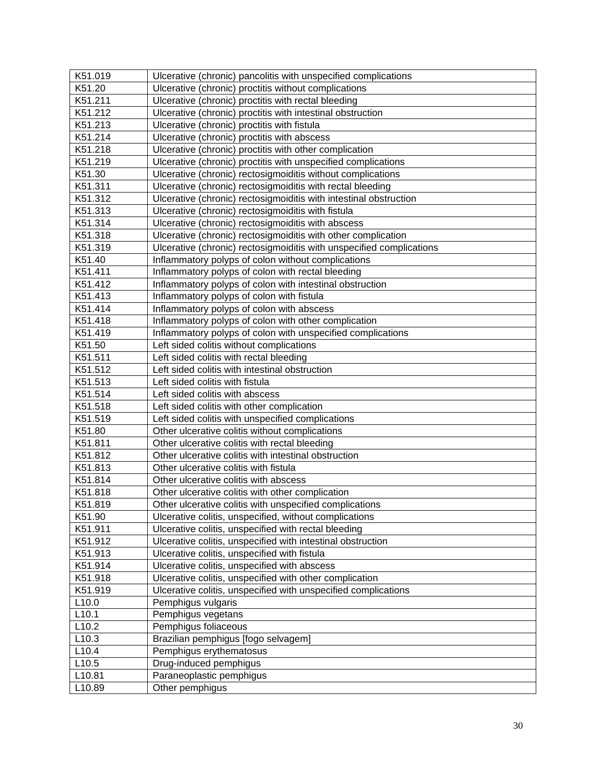| K51.019           | Ulcerative (chronic) pancolitis with unspecified complications       |
|-------------------|----------------------------------------------------------------------|
| K51.20            | Ulcerative (chronic) proctitis without complications                 |
| K51.211           | Ulcerative (chronic) proctitis with rectal bleeding                  |
| K51.212           | Ulcerative (chronic) proctitis with intestinal obstruction           |
| K51.213           | Ulcerative (chronic) proctitis with fistula                          |
| K51.214           | Ulcerative (chronic) proctitis with abscess                          |
| K51.218           | Ulcerative (chronic) proctitis with other complication               |
| K51.219           | Ulcerative (chronic) proctitis with unspecified complications        |
| K51.30            | Ulcerative (chronic) rectosigmoiditis without complications          |
| K51.311           | Ulcerative (chronic) rectosigmoiditis with rectal bleeding           |
| K51.312           | Ulcerative (chronic) rectosigmoiditis with intestinal obstruction    |
| K51.313           | Ulcerative (chronic) rectosigmoiditis with fistula                   |
| K51.314           | Ulcerative (chronic) rectosigmoiditis with abscess                   |
| K51.318           | Ulcerative (chronic) rectosigmoiditis with other complication        |
| K51.319           | Ulcerative (chronic) rectosigmoiditis with unspecified complications |
| K51.40            | Inflammatory polyps of colon without complications                   |
| K51.411           | Inflammatory polyps of colon with rectal bleeding                    |
| K51.412           | Inflammatory polyps of colon with intestinal obstruction             |
| K51.413           | Inflammatory polyps of colon with fistula                            |
| K51.414           | Inflammatory polyps of colon with abscess                            |
| K51.418           | Inflammatory polyps of colon with other complication                 |
| K51.419           | Inflammatory polyps of colon with unspecified complications          |
| K51.50            | Left sided colitis without complications                             |
| K51.511           | Left sided colitis with rectal bleeding                              |
| K51.512           | Left sided colitis with intestinal obstruction                       |
| K51.513           | Left sided colitis with fistula                                      |
| K51.514           | Left sided colitis with abscess                                      |
| K51.518           | Left sided colitis with other complication                           |
| K51.519           | Left sided colitis with unspecified complications                    |
| K51.80            | Other ulcerative colitis without complications                       |
| K51.811           | Other ulcerative colitis with rectal bleeding                        |
| K51.812           | Other ulcerative colitis with intestinal obstruction                 |
| K51.813           | Other ulcerative colitis with fistula                                |
| K51.814           | Other ulcerative colitis with abscess                                |
| K51.818           | Other ulcerative colitis with other complication                     |
| K51.819           | Other ulcerative colitis with unspecified complications              |
| K51.90            | Ulcerative colitis, unspecified, without complications               |
| K51.911           | Ulcerative colitis, unspecified with rectal bleeding                 |
| K51.912           | Ulcerative colitis, unspecified with intestinal obstruction          |
| K51.913           | Ulcerative colitis, unspecified with fistula                         |
| K51.914           | Ulcerative colitis, unspecified with abscess                         |
| K51.918           | Ulcerative colitis, unspecified with other complication              |
| K51.919           | Ulcerative colitis, unspecified with unspecified complications       |
| L <sub>10.0</sub> | Pemphigus vulgaris                                                   |
| L10.1             | Pemphigus vegetans                                                   |
| L <sub>10.2</sub> | Pemphigus foliaceous                                                 |
| L <sub>10.3</sub> | Brazilian pemphigus [fogo selvagem]                                  |
| L <sub>10.4</sub> | Pemphigus erythematosus                                              |
| L <sub>10.5</sub> | Drug-induced pemphigus                                               |
| L10.81            | Paraneoplastic pemphigus                                             |
| L10.89            | Other pemphigus                                                      |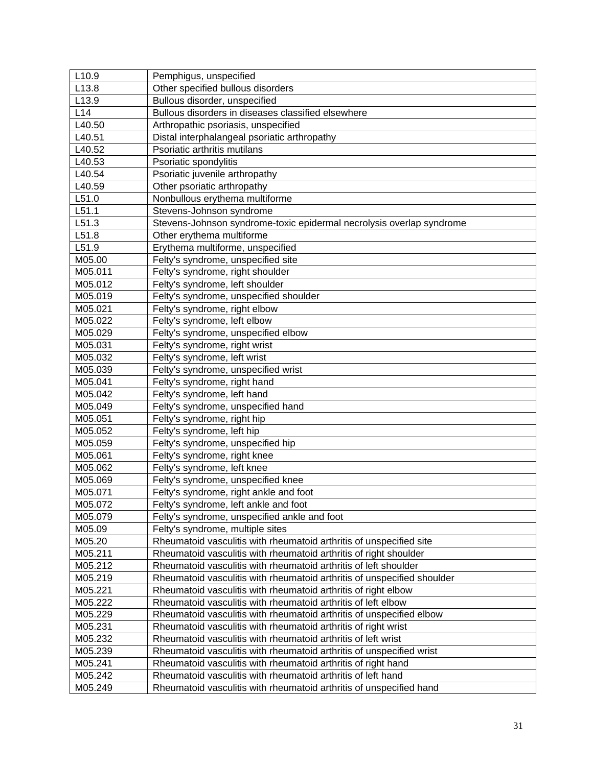| L <sub>10.9</sub> | Pemphigus, unspecified                                                  |
|-------------------|-------------------------------------------------------------------------|
| L13.8             | Other specified bullous disorders                                       |
| L <sub>13.9</sub> | Bullous disorder, unspecified                                           |
| L14               | Bullous disorders in diseases classified elsewhere                      |
| L40.50            | Arthropathic psoriasis, unspecified                                     |
| L40.51            | Distal interphalangeal psoriatic arthropathy                            |
| L40.52            | Psoriatic arthritis mutilans                                            |
| L40.53            | Psoriatic spondylitis                                                   |
| L40.54            | Psoriatic juvenile arthropathy                                          |
| L40.59            | Other psoriatic arthropathy                                             |
| L51.0             | Nonbullous erythema multiforme                                          |
| L51.1             | Stevens-Johnson syndrome                                                |
| L51.3             | Stevens-Johnson syndrome-toxic epidermal necrolysis overlap syndrome    |
| L51.8             | Other erythema multiforme                                               |
| L51.9             | Erythema multiforme, unspecified                                        |
| M05.00            | Felty's syndrome, unspecified site                                      |
| M05.011           | Felty's syndrome, right shoulder                                        |
| M05.012           | Felty's syndrome, left shoulder                                         |
| M05.019           | Felty's syndrome, unspecified shoulder                                  |
| M05.021           | Felty's syndrome, right elbow                                           |
| M05.022           | Felty's syndrome, left elbow                                            |
| M05.029           | Felty's syndrome, unspecified elbow                                     |
| M05.031           | Felty's syndrome, right wrist                                           |
| M05.032           | Felty's syndrome, left wrist                                            |
| M05.039           | Felty's syndrome, unspecified wrist                                     |
| M05.041           | Felty's syndrome, right hand                                            |
| M05.042           | Felty's syndrome, left hand                                             |
| M05.049           | Felty's syndrome, unspecified hand                                      |
| M05.051           | Felty's syndrome, right hip                                             |
| M05.052           | Felty's syndrome, left hip                                              |
| M05.059           | Felty's syndrome, unspecified hip                                       |
| M05.061           | Felty's syndrome, right knee                                            |
| M05.062           | Felty's syndrome, left knee                                             |
| M05.069           | Felty's syndrome, unspecified knee                                      |
| M05.071           | Felty's syndrome, right ankle and foot                                  |
| M05.072           | Felty's syndrome, left ankle and foot                                   |
| M05.079           | Felty's syndrome, unspecified ankle and foot                            |
| M05.09            | Felty's syndrome, multiple sites                                        |
| M05.20            | Rheumatoid vasculitis with rheumatoid arthritis of unspecified site     |
| M05.211           | Rheumatoid vasculitis with rheumatoid arthritis of right shoulder       |
| M05.212           | Rheumatoid vasculitis with rheumatoid arthritis of left shoulder        |
| M05.219           | Rheumatoid vasculitis with rheumatoid arthritis of unspecified shoulder |
| M05.221           | Rheumatoid vasculitis with rheumatoid arthritis of right elbow          |
| M05.222           | Rheumatoid vasculitis with rheumatoid arthritis of left elbow           |
| M05.229           | Rheumatoid vasculitis with rheumatoid arthritis of unspecified elbow    |
| M05.231           | Rheumatoid vasculitis with rheumatoid arthritis of right wrist          |
| M05.232           | Rheumatoid vasculitis with rheumatoid arthritis of left wrist           |
| M05.239           | Rheumatoid vasculitis with rheumatoid arthritis of unspecified wrist    |
| M05.241           | Rheumatoid vasculitis with rheumatoid arthritis of right hand           |
| M05.242           | Rheumatoid vasculitis with rheumatoid arthritis of left hand            |
| M05.249           | Rheumatoid vasculitis with rheumatoid arthritis of unspecified hand     |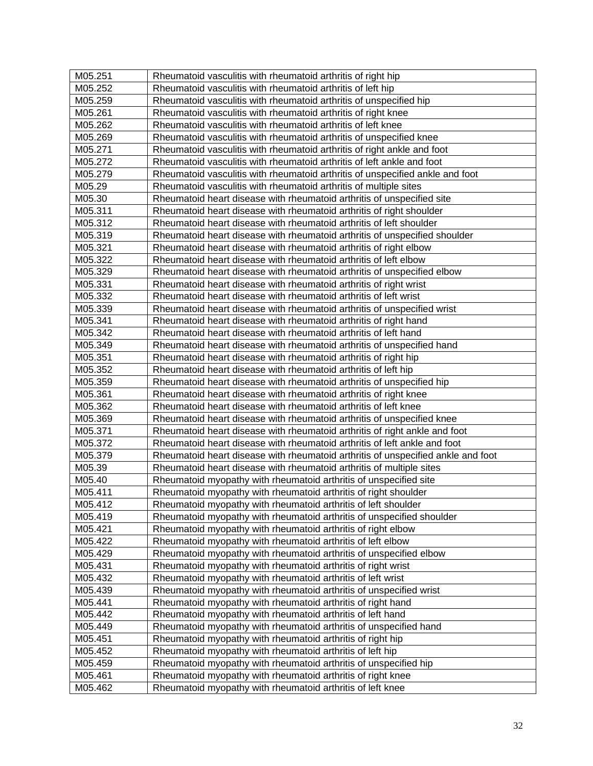| M05.251 | Rheumatoid vasculitis with rheumatoid arthritis of right hip                     |
|---------|----------------------------------------------------------------------------------|
| M05.252 | Rheumatoid vasculitis with rheumatoid arthritis of left hip                      |
| M05.259 | Rheumatoid vasculitis with rheumatoid arthritis of unspecified hip               |
| M05.261 | Rheumatoid vasculitis with rheumatoid arthritis of right knee                    |
| M05.262 | Rheumatoid vasculitis with rheumatoid arthritis of left knee                     |
| M05.269 | Rheumatoid vasculitis with rheumatoid arthritis of unspecified knee              |
| M05.271 | Rheumatoid vasculitis with rheumatoid arthritis of right ankle and foot          |
| M05.272 | Rheumatoid vasculitis with rheumatoid arthritis of left ankle and foot           |
| M05.279 | Rheumatoid vasculitis with rheumatoid arthritis of unspecified ankle and foot    |
| M05.29  | Rheumatoid vasculitis with rheumatoid arthritis of multiple sites                |
| M05.30  | Rheumatoid heart disease with rheumatoid arthritis of unspecified site           |
| M05.311 | Rheumatoid heart disease with rheumatoid arthritis of right shoulder             |
| M05.312 | Rheumatoid heart disease with rheumatoid arthritis of left shoulder              |
| M05.319 | Rheumatoid heart disease with rheumatoid arthritis of unspecified shoulder       |
| M05.321 | Rheumatoid heart disease with rheumatoid arthritis of right elbow                |
| M05.322 | Rheumatoid heart disease with rheumatoid arthritis of left elbow                 |
| M05.329 | Rheumatoid heart disease with rheumatoid arthritis of unspecified elbow          |
| M05.331 | Rheumatoid heart disease with rheumatoid arthritis of right wrist                |
| M05.332 | Rheumatoid heart disease with rheumatoid arthritis of left wrist                 |
| M05.339 | Rheumatoid heart disease with rheumatoid arthritis of unspecified wrist          |
| M05.341 | Rheumatoid heart disease with rheumatoid arthritis of right hand                 |
| M05.342 | Rheumatoid heart disease with rheumatoid arthritis of left hand                  |
| M05.349 | Rheumatoid heart disease with rheumatoid arthritis of unspecified hand           |
| M05.351 | Rheumatoid heart disease with rheumatoid arthritis of right hip                  |
| M05.352 | Rheumatoid heart disease with rheumatoid arthritis of left hip                   |
| M05.359 | Rheumatoid heart disease with rheumatoid arthritis of unspecified hip            |
| M05.361 | Rheumatoid heart disease with rheumatoid arthritis of right knee                 |
| M05.362 | Rheumatoid heart disease with rheumatoid arthritis of left knee                  |
| M05.369 | Rheumatoid heart disease with rheumatoid arthritis of unspecified knee           |
| M05.371 | Rheumatoid heart disease with rheumatoid arthritis of right ankle and foot       |
| M05.372 | Rheumatoid heart disease with rheumatoid arthritis of left ankle and foot        |
| M05.379 | Rheumatoid heart disease with rheumatoid arthritis of unspecified ankle and foot |
| M05.39  | Rheumatoid heart disease with rheumatoid arthritis of multiple sites             |
| M05.40  | Rheumatoid myopathy with rheumatoid arthritis of unspecified site                |
| M05.411 | Rheumatoid myopathy with rheumatoid arthritis of right shoulder                  |
| M05.412 | Rheumatoid myopathy with rheumatoid arthritis of left shoulder                   |
| M05.419 | Rheumatoid myopathy with rheumatoid arthritis of unspecified shoulder            |
| M05.421 | Rheumatoid myopathy with rheumatoid arthritis of right elbow                     |
| M05.422 | Rheumatoid myopathy with rheumatoid arthritis of left elbow                      |
| M05.429 | Rheumatoid myopathy with rheumatoid arthritis of unspecified elbow               |
| M05.431 | Rheumatoid myopathy with rheumatoid arthritis of right wrist                     |
| M05.432 | Rheumatoid myopathy with rheumatoid arthritis of left wrist                      |
| M05.439 | Rheumatoid myopathy with rheumatoid arthritis of unspecified wrist               |
| M05.441 | Rheumatoid myopathy with rheumatoid arthritis of right hand                      |
| M05.442 | Rheumatoid myopathy with rheumatoid arthritis of left hand                       |
| M05.449 | Rheumatoid myopathy with rheumatoid arthritis of unspecified hand                |
| M05.451 | Rheumatoid myopathy with rheumatoid arthritis of right hip                       |
| M05.452 | Rheumatoid myopathy with rheumatoid arthritis of left hip                        |
| M05.459 | Rheumatoid myopathy with rheumatoid arthritis of unspecified hip                 |
| M05.461 | Rheumatoid myopathy with rheumatoid arthritis of right knee                      |
| M05.462 | Rheumatoid myopathy with rheumatoid arthritis of left knee                       |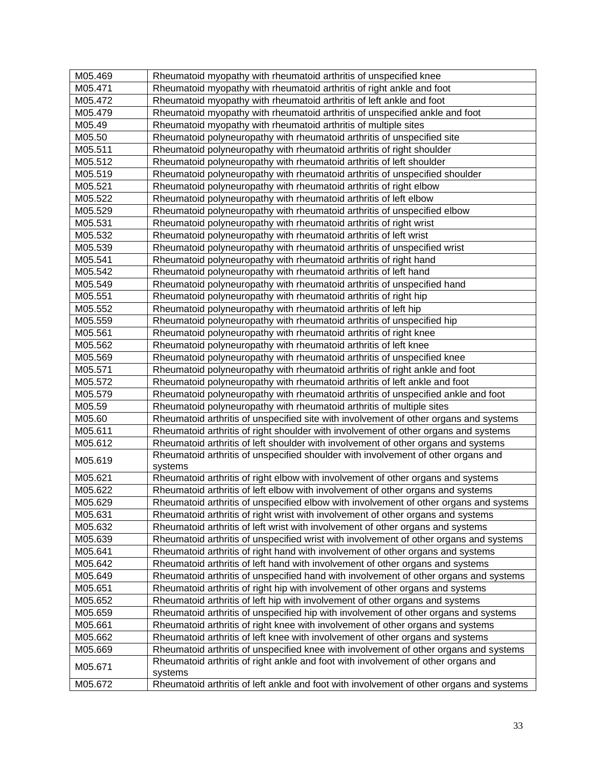| M05.469            | Rheumatoid myopathy with rheumatoid arthritis of unspecified knee                                                                                                         |
|--------------------|---------------------------------------------------------------------------------------------------------------------------------------------------------------------------|
| M05.471            | Rheumatoid myopathy with rheumatoid arthritis of right ankle and foot                                                                                                     |
| M05.472            | Rheumatoid myopathy with rheumatoid arthritis of left ankle and foot                                                                                                      |
| M05.479            | Rheumatoid myopathy with rheumatoid arthritis of unspecified ankle and foot                                                                                               |
| M05.49             | Rheumatoid myopathy with rheumatoid arthritis of multiple sites                                                                                                           |
| M05.50             | Rheumatoid polyneuropathy with rheumatoid arthritis of unspecified site                                                                                                   |
| M05.511            | Rheumatoid polyneuropathy with rheumatoid arthritis of right shoulder                                                                                                     |
| M05.512            | Rheumatoid polyneuropathy with rheumatoid arthritis of left shoulder                                                                                                      |
| M05.519            | Rheumatoid polyneuropathy with rheumatoid arthritis of unspecified shoulder                                                                                               |
| M05.521            | Rheumatoid polyneuropathy with rheumatoid arthritis of right elbow                                                                                                        |
| M05.522            | Rheumatoid polyneuropathy with rheumatoid arthritis of left elbow                                                                                                         |
| M05.529            | Rheumatoid polyneuropathy with rheumatoid arthritis of unspecified elbow                                                                                                  |
| M05.531            | Rheumatoid polyneuropathy with rheumatoid arthritis of right wrist                                                                                                        |
| M05.532            | Rheumatoid polyneuropathy with rheumatoid arthritis of left wrist                                                                                                         |
| M05.539            | Rheumatoid polyneuropathy with rheumatoid arthritis of unspecified wrist                                                                                                  |
| M05.541            | Rheumatoid polyneuropathy with rheumatoid arthritis of right hand                                                                                                         |
| M05.542            | Rheumatoid polyneuropathy with rheumatoid arthritis of left hand                                                                                                          |
| M05.549            | Rheumatoid polyneuropathy with rheumatoid arthritis of unspecified hand                                                                                                   |
| M05.551            | Rheumatoid polyneuropathy with rheumatoid arthritis of right hip                                                                                                          |
| M05.552            | Rheumatoid polyneuropathy with rheumatoid arthritis of left hip                                                                                                           |
| M05.559            | Rheumatoid polyneuropathy with rheumatoid arthritis of unspecified hip                                                                                                    |
| M05.561            | Rheumatoid polyneuropathy with rheumatoid arthritis of right knee                                                                                                         |
| M05.562            | Rheumatoid polyneuropathy with rheumatoid arthritis of left knee                                                                                                          |
| M05.569            | Rheumatoid polyneuropathy with rheumatoid arthritis of unspecified knee                                                                                                   |
| M05.571            | Rheumatoid polyneuropathy with rheumatoid arthritis of right ankle and foot                                                                                               |
| M05.572            | Rheumatoid polyneuropathy with rheumatoid arthritis of left ankle and foot                                                                                                |
| M05.579            | Rheumatoid polyneuropathy with rheumatoid arthritis of unspecified ankle and foot                                                                                         |
| M05.59             | Rheumatoid polyneuropathy with rheumatoid arthritis of multiple sites                                                                                                     |
| M05.60             | Rheumatoid arthritis of unspecified site with involvement of other organs and systems                                                                                     |
| M05.611<br>M05.612 | Rheumatoid arthritis of right shoulder with involvement of other organs and systems<br>Rheumatoid arthritis of left shoulder with involvement of other organs and systems |
|                    | Rheumatoid arthritis of unspecified shoulder with involvement of other organs and                                                                                         |
| M05.619            | systems                                                                                                                                                                   |
| M05.621            | Rheumatoid arthritis of right elbow with involvement of other organs and systems                                                                                          |
| M05.622            | Rheumatoid arthritis of left elbow with involvement of other organs and systems                                                                                           |
| M05.629            | Rheumatoid arthritis of unspecified elbow with involvement of other organs and systems                                                                                    |
| M05.631            | Rheumatoid arthritis of right wrist with involvement of other organs and systems                                                                                          |
| M05.632            | Rheumatoid arthritis of left wrist with involvement of other organs and systems                                                                                           |
| M05.639            | Rheumatoid arthritis of unspecified wrist with involvement of other organs and systems                                                                                    |
| M05.641            | Rheumatoid arthritis of right hand with involvement of other organs and systems                                                                                           |
| M05.642            | Rheumatoid arthritis of left hand with involvement of other organs and systems                                                                                            |
| M05.649            | Rheumatoid arthritis of unspecified hand with involvement of other organs and systems                                                                                     |
| M05.651            | Rheumatoid arthritis of right hip with involvement of other organs and systems                                                                                            |
| M05.652            | Rheumatoid arthritis of left hip with involvement of other organs and systems                                                                                             |
| M05.659            | Rheumatoid arthritis of unspecified hip with involvement of other organs and systems                                                                                      |
| M05.661            | Rheumatoid arthritis of right knee with involvement of other organs and systems                                                                                           |
| M05.662            | Rheumatoid arthritis of left knee with involvement of other organs and systems                                                                                            |
| M05.669            | Rheumatoid arthritis of unspecified knee with involvement of other organs and systems                                                                                     |
| M05.671            | Rheumatoid arthritis of right ankle and foot with involvement of other organs and<br>systems                                                                              |
| M05.672            | Rheumatoid arthritis of left ankle and foot with involvement of other organs and systems                                                                                  |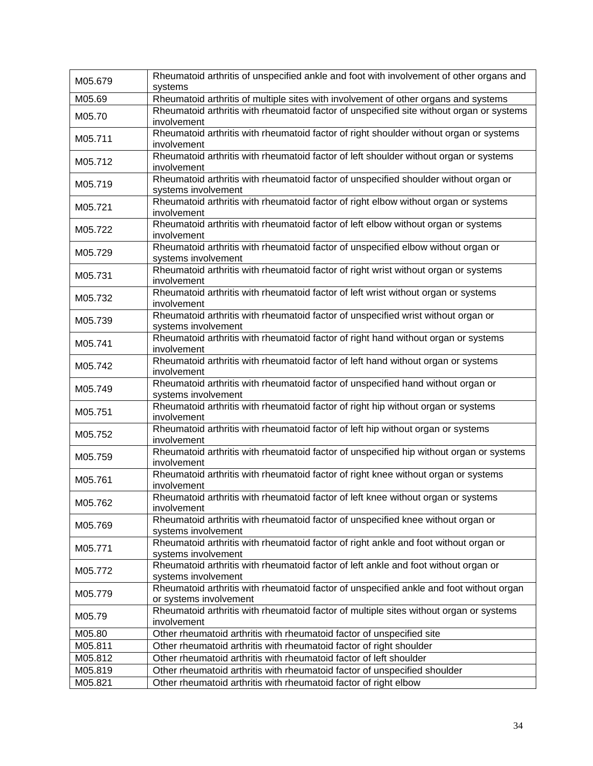| M05.679 | Rheumatoid arthritis of unspecified ankle and foot with involvement of other organs and<br>systems         |
|---------|------------------------------------------------------------------------------------------------------------|
| M05.69  | Rheumatoid arthritis of multiple sites with involvement of other organs and systems                        |
|         | Rheumatoid arthritis with rheumatoid factor of unspecified site without organ or systems                   |
| M05.70  | involvement                                                                                                |
|         | Rheumatoid arthritis with rheumatoid factor of right shoulder without organ or systems                     |
| M05.711 | involvement                                                                                                |
| M05.712 | Rheumatoid arthritis with rheumatoid factor of left shoulder without organ or systems                      |
|         | involvement                                                                                                |
| M05.719 | Rheumatoid arthritis with rheumatoid factor of unspecified shoulder without organ or                       |
|         | systems involvement                                                                                        |
| M05.721 | Rheumatoid arthritis with rheumatoid factor of right elbow without organ or systems                        |
|         | involvement                                                                                                |
| M05.722 | Rheumatoid arthritis with rheumatoid factor of left elbow without organ or systems                         |
|         | involvement                                                                                                |
| M05.729 | Rheumatoid arthritis with rheumatoid factor of unspecified elbow without organ or<br>systems involvement   |
|         | Rheumatoid arthritis with rheumatoid factor of right wrist without organ or systems                        |
| M05.731 | involvement                                                                                                |
|         | Rheumatoid arthritis with rheumatoid factor of left wrist without organ or systems                         |
| M05.732 | involvement                                                                                                |
|         | Rheumatoid arthritis with rheumatoid factor of unspecified wrist without organ or                          |
| M05.739 | systems involvement                                                                                        |
| M05.741 | Rheumatoid arthritis with rheumatoid factor of right hand without organ or systems                         |
|         | involvement                                                                                                |
| M05.742 | Rheumatoid arthritis with rheumatoid factor of left hand without organ or systems                          |
|         | involvement                                                                                                |
| M05.749 | Rheumatoid arthritis with rheumatoid factor of unspecified hand without organ or                           |
|         | systems involvement<br>Rheumatoid arthritis with rheumatoid factor of right hip without organ or systems   |
| M05.751 | involvement                                                                                                |
|         | Rheumatoid arthritis with rheumatoid factor of left hip without organ or systems                           |
| M05.752 | involvement                                                                                                |
|         | Rheumatoid arthritis with rheumatoid factor of unspecified hip without organ or systems                    |
| M05.759 | involvement                                                                                                |
|         | Rheumatoid arthritis with rheumatoid factor of right knee without organ or systems                         |
| M05.761 | involvement                                                                                                |
| M05.762 | Rheumatoid arthritis with rheumatoid factor of left knee without organ or systems                          |
|         | involvement                                                                                                |
| M05.769 | Rheumatoid arthritis with rheumatoid factor of unspecified knee without organ or                           |
|         | systems involvement                                                                                        |
| M05.771 | Rheumatoid arthritis with rheumatoid factor of right ankle and foot without organ or                       |
|         | systems involvement<br>Rheumatoid arthritis with rheumatoid factor of left ankle and foot without organ or |
| M05.772 | systems involvement                                                                                        |
|         | Rheumatoid arthritis with rheumatoid factor of unspecified ankle and foot without organ                    |
| M05.779 | or systems involvement                                                                                     |
| M05.79  | Rheumatoid arthritis with rheumatoid factor of multiple sites without organ or systems                     |
|         | involvement                                                                                                |
| M05.80  | Other rheumatoid arthritis with rheumatoid factor of unspecified site                                      |
| M05.811 | Other rheumatoid arthritis with rheumatoid factor of right shoulder                                        |
| M05.812 | Other rheumatoid arthritis with rheumatoid factor of left shoulder                                         |
| M05.819 | Other rheumatoid arthritis with rheumatoid factor of unspecified shoulder                                  |
| M05.821 | Other rheumatoid arthritis with rheumatoid factor of right elbow                                           |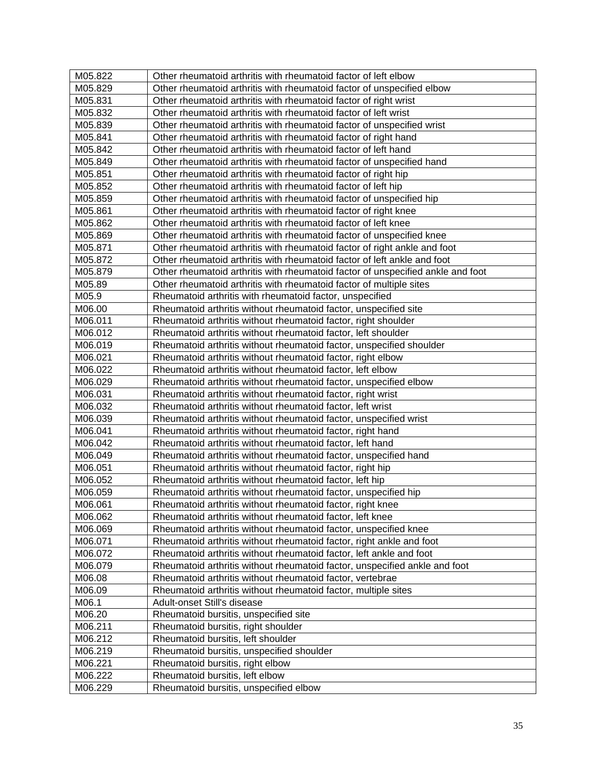| M05.822 | Other rheumatoid arthritis with rheumatoid factor of left elbow                 |
|---------|---------------------------------------------------------------------------------|
| M05.829 | Other rheumatoid arthritis with rheumatoid factor of unspecified elbow          |
| M05.831 | Other rheumatoid arthritis with rheumatoid factor of right wrist                |
| M05.832 | Other rheumatoid arthritis with rheumatoid factor of left wrist                 |
| M05.839 | Other rheumatoid arthritis with rheumatoid factor of unspecified wrist          |
| M05.841 | Other rheumatoid arthritis with rheumatoid factor of right hand                 |
| M05.842 | Other rheumatoid arthritis with rheumatoid factor of left hand                  |
| M05.849 | Other rheumatoid arthritis with rheumatoid factor of unspecified hand           |
| M05.851 | Other rheumatoid arthritis with rheumatoid factor of right hip                  |
| M05.852 | Other rheumatoid arthritis with rheumatoid factor of left hip                   |
| M05.859 | Other rheumatoid arthritis with rheumatoid factor of unspecified hip            |
| M05.861 | Other rheumatoid arthritis with rheumatoid factor of right knee                 |
| M05.862 | Other rheumatoid arthritis with rheumatoid factor of left knee                  |
| M05.869 | Other rheumatoid arthritis with rheumatoid factor of unspecified knee           |
| M05.871 | Other rheumatoid arthritis with rheumatoid factor of right ankle and foot       |
| M05.872 | Other rheumatoid arthritis with rheumatoid factor of left ankle and foot        |
| M05.879 | Other rheumatoid arthritis with rheumatoid factor of unspecified ankle and foot |
| M05.89  | Other rheumatoid arthritis with rheumatoid factor of multiple sites             |
| M05.9   | Rheumatoid arthritis with rheumatoid factor, unspecified                        |
| M06.00  | Rheumatoid arthritis without rheumatoid factor, unspecified site                |
| M06.011 | Rheumatoid arthritis without rheumatoid factor, right shoulder                  |
| M06.012 | Rheumatoid arthritis without rheumatoid factor, left shoulder                   |
| M06.019 | Rheumatoid arthritis without rheumatoid factor, unspecified shoulder            |
| M06.021 | Rheumatoid arthritis without rheumatoid factor, right elbow                     |
| M06.022 | Rheumatoid arthritis without rheumatoid factor, left elbow                      |
| M06.029 | Rheumatoid arthritis without rheumatoid factor, unspecified elbow               |
| M06.031 | Rheumatoid arthritis without rheumatoid factor, right wrist                     |
| M06.032 | Rheumatoid arthritis without rheumatoid factor, left wrist                      |
| M06.039 | Rheumatoid arthritis without rheumatoid factor, unspecified wrist               |
| M06.041 | Rheumatoid arthritis without rheumatoid factor, right hand                      |
| M06.042 | Rheumatoid arthritis without rheumatoid factor, left hand                       |
| M06.049 | Rheumatoid arthritis without rheumatoid factor, unspecified hand                |
| M06.051 | Rheumatoid arthritis without rheumatoid factor, right hip                       |
| M06.052 | Rheumatoid arthritis without rheumatoid factor, left hip                        |
| M06.059 | Rheumatoid arthritis without rheumatoid factor, unspecified hip                 |
| M06.061 | Rheumatoid arthritis without rheumatoid factor, right knee                      |
| M06.062 | Rheumatoid arthritis without rheumatoid factor, left knee                       |
| M06.069 | Rheumatoid arthritis without rheumatoid factor, unspecified knee                |
| M06.071 | Rheumatoid arthritis without rheumatoid factor, right ankle and foot            |
| M06.072 | Rheumatoid arthritis without rheumatoid factor, left ankle and foot             |
| M06.079 | Rheumatoid arthritis without rheumatoid factor, unspecified ankle and foot      |
| M06.08  | Rheumatoid arthritis without rheumatoid factor, vertebrae                       |
| M06.09  | Rheumatoid arthritis without rheumatoid factor, multiple sites                  |
| M06.1   | Adult-onset Still's disease                                                     |
| M06.20  | Rheumatoid bursitis, unspecified site                                           |
| M06.211 | Rheumatoid bursitis, right shoulder                                             |
| M06.212 | Rheumatoid bursitis, left shoulder                                              |
| M06.219 | Rheumatoid bursitis, unspecified shoulder                                       |
| M06.221 | Rheumatoid bursitis, right elbow                                                |
| M06.222 | Rheumatoid bursitis, left elbow                                                 |
| M06.229 | Rheumatoid bursitis, unspecified elbow                                          |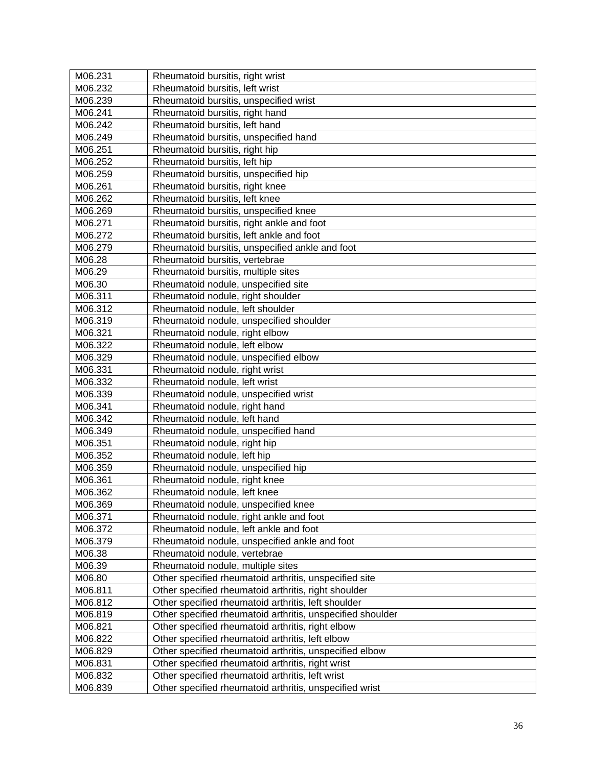| M06.231 | Rheumatoid bursitis, right wrist                           |
|---------|------------------------------------------------------------|
| M06.232 | Rheumatoid bursitis, left wrist                            |
| M06.239 | Rheumatoid bursitis, unspecified wrist                     |
| M06.241 | Rheumatoid bursitis, right hand                            |
| M06.242 | Rheumatoid bursitis, left hand                             |
| M06.249 | Rheumatoid bursitis, unspecified hand                      |
| M06.251 | Rheumatoid bursitis, right hip                             |
| M06.252 | Rheumatoid bursitis, left hip                              |
| M06.259 | Rheumatoid bursitis, unspecified hip                       |
| M06.261 | Rheumatoid bursitis, right knee                            |
| M06.262 | Rheumatoid bursitis, left knee                             |
| M06.269 | Rheumatoid bursitis, unspecified knee                      |
| M06.271 | Rheumatoid bursitis, right ankle and foot                  |
| M06.272 | Rheumatoid bursitis, left ankle and foot                   |
| M06.279 | Rheumatoid bursitis, unspecified ankle and foot            |
| M06.28  | Rheumatoid bursitis, vertebrae                             |
| M06.29  | Rheumatoid bursitis, multiple sites                        |
| M06.30  | Rheumatoid nodule, unspecified site                        |
| M06.311 | Rheumatoid nodule, right shoulder                          |
| M06.312 | Rheumatoid nodule, left shoulder                           |
| M06.319 | Rheumatoid nodule, unspecified shoulder                    |
| M06.321 | Rheumatoid nodule, right elbow                             |
| M06.322 | Rheumatoid nodule, left elbow                              |
| M06.329 | Rheumatoid nodule, unspecified elbow                       |
| M06.331 | Rheumatoid nodule, right wrist                             |
| M06.332 | Rheumatoid nodule, left wrist                              |
| M06.339 | Rheumatoid nodule, unspecified wrist                       |
| M06.341 | Rheumatoid nodule, right hand                              |
| M06.342 | Rheumatoid nodule, left hand                               |
| M06.349 | Rheumatoid nodule, unspecified hand                        |
| M06.351 | Rheumatoid nodule, right hip                               |
| M06.352 | Rheumatoid nodule, left hip                                |
| M06.359 | Rheumatoid nodule, unspecified hip                         |
| M06.361 | Rheumatoid nodule, right knee                              |
| M06.362 | Rheumatoid nodule, left knee                               |
| M06.369 | Rheumatoid nodule, unspecified knee                        |
| M06.371 | Rheumatoid nodule, right ankle and foot                    |
| M06.372 | Rheumatoid nodule, left ankle and foot                     |
| M06.379 | Rheumatoid nodule, unspecified ankle and foot              |
| M06.38  | Rheumatoid nodule, vertebrae                               |
| M06.39  | Rheumatoid nodule, multiple sites                          |
| M06.80  | Other specified rheumatoid arthritis, unspecified site     |
| M06.811 | Other specified rheumatoid arthritis, right shoulder       |
| M06.812 | Other specified rheumatoid arthritis, left shoulder        |
| M06.819 | Other specified rheumatoid arthritis, unspecified shoulder |
| M06.821 | Other specified rheumatoid arthritis, right elbow          |
| M06.822 | Other specified rheumatoid arthritis, left elbow           |
| M06.829 | Other specified rheumatoid arthritis, unspecified elbow    |
| M06.831 | Other specified rheumatoid arthritis, right wrist          |
| M06.832 | Other specified rheumatoid arthritis, left wrist           |
| M06.839 | Other specified rheumatoid arthritis, unspecified wrist    |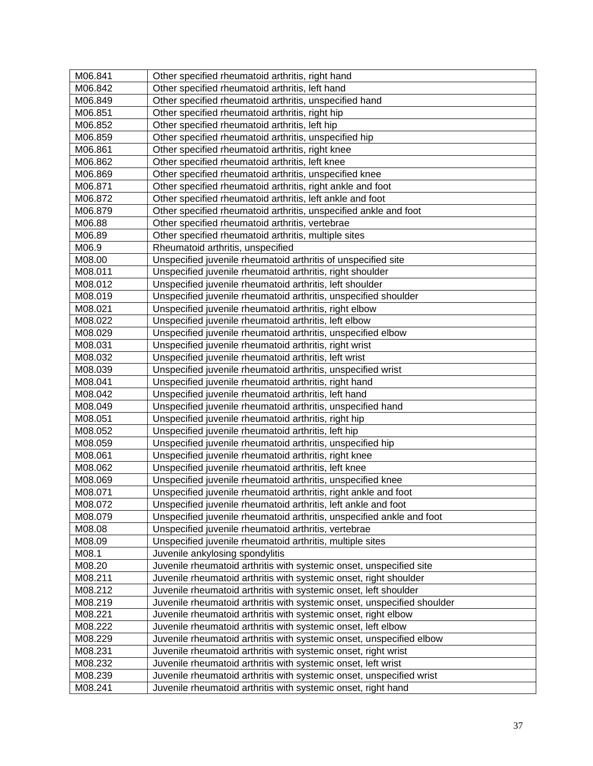| M06.841 | Other specified rheumatoid arthritis, right hand                        |
|---------|-------------------------------------------------------------------------|
| M06.842 | Other specified rheumatoid arthritis, left hand                         |
| M06.849 | Other specified rheumatoid arthritis, unspecified hand                  |
| M06.851 | Other specified rheumatoid arthritis, right hip                         |
| M06.852 | Other specified rheumatoid arthritis, left hip                          |
| M06.859 | Other specified rheumatoid arthritis, unspecified hip                   |
| M06.861 | Other specified rheumatoid arthritis, right knee                        |
| M06.862 | Other specified rheumatoid arthritis, left knee                         |
| M06.869 | Other specified rheumatoid arthritis, unspecified knee                  |
| M06.871 | Other specified rheumatoid arthritis, right ankle and foot              |
| M06.872 | Other specified rheumatoid arthritis, left ankle and foot               |
| M06.879 | Other specified rheumatoid arthritis, unspecified ankle and foot        |
| M06.88  | Other specified rheumatoid arthritis, vertebrae                         |
| M06.89  | Other specified rheumatoid arthritis, multiple sites                    |
| M06.9   | Rheumatoid arthritis, unspecified                                       |
| M08.00  | Unspecified juvenile rheumatoid arthritis of unspecified site           |
| M08.011 | Unspecified juvenile rheumatoid arthritis, right shoulder               |
| M08.012 | Unspecified juvenile rheumatoid arthritis, left shoulder                |
| M08.019 | Unspecified juvenile rheumatoid arthritis, unspecified shoulder         |
| M08.021 | Unspecified juvenile rheumatoid arthritis, right elbow                  |
| M08.022 | Unspecified juvenile rheumatoid arthritis, left elbow                   |
| M08.029 | Unspecified juvenile rheumatoid arthritis, unspecified elbow            |
| M08.031 | Unspecified juvenile rheumatoid arthritis, right wrist                  |
| M08.032 | Unspecified juvenile rheumatoid arthritis, left wrist                   |
| M08.039 | Unspecified juvenile rheumatoid arthritis, unspecified wrist            |
| M08.041 | Unspecified juvenile rheumatoid arthritis, right hand                   |
| M08.042 | Unspecified juvenile rheumatoid arthritis, left hand                    |
| M08.049 | Unspecified juvenile rheumatoid arthritis, unspecified hand             |
| M08.051 | Unspecified juvenile rheumatoid arthritis, right hip                    |
| M08.052 | Unspecified juvenile rheumatoid arthritis, left hip                     |
| M08.059 | Unspecified juvenile rheumatoid arthritis, unspecified hip              |
| M08.061 | Unspecified juvenile rheumatoid arthritis, right knee                   |
| M08.062 | Unspecified juvenile rheumatoid arthritis, left knee                    |
| M08.069 | Unspecified juvenile rheumatoid arthritis, unspecified knee             |
| M08.071 | Unspecified juvenile rheumatoid arthritis, right ankle and foot         |
| M08.072 | Unspecified juvenile rheumatoid arthritis, left ankle and foot          |
| M08.079 | Unspecified juvenile rheumatoid arthritis, unspecified ankle and foot   |
| M08.08  | Unspecified juvenile rheumatoid arthritis, vertebrae                    |
| M08.09  | Unspecified juvenile rheumatoid arthritis, multiple sites               |
| M08.1   | Juvenile ankylosing spondylitis                                         |
| M08.20  | Juvenile rheumatoid arthritis with systemic onset, unspecified site     |
| M08.211 | Juvenile rheumatoid arthritis with systemic onset, right shoulder       |
| M08.212 | Juvenile rheumatoid arthritis with systemic onset, left shoulder        |
| M08.219 | Juvenile rheumatoid arthritis with systemic onset, unspecified shoulder |
| M08.221 | Juvenile rheumatoid arthritis with systemic onset, right elbow          |
| M08.222 | Juvenile rheumatoid arthritis with systemic onset, left elbow           |
| M08.229 | Juvenile rheumatoid arthritis with systemic onset, unspecified elbow    |
| M08.231 | Juvenile rheumatoid arthritis with systemic onset, right wrist          |
| M08.232 | Juvenile rheumatoid arthritis with systemic onset, left wrist           |
| M08.239 | Juvenile rheumatoid arthritis with systemic onset, unspecified wrist    |
| M08.241 | Juvenile rheumatoid arthritis with systemic onset, right hand           |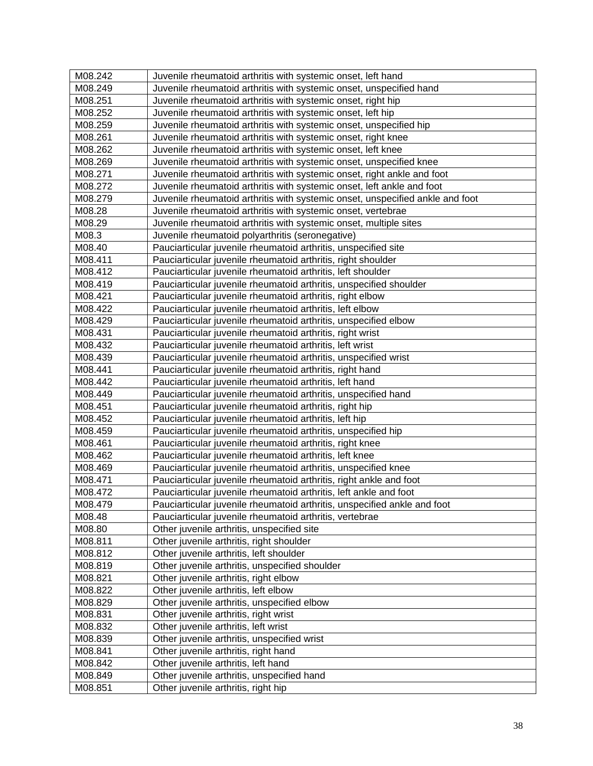| M08.242            | Juvenile rheumatoid arthritis with systemic onset, left hand                                                        |
|--------------------|---------------------------------------------------------------------------------------------------------------------|
| M08.249            | Juvenile rheumatoid arthritis with systemic onset, unspecified hand                                                 |
| M08.251            | Juvenile rheumatoid arthritis with systemic onset, right hip                                                        |
| M08.252            | Juvenile rheumatoid arthritis with systemic onset, left hip                                                         |
| M08.259            | Juvenile rheumatoid arthritis with systemic onset, unspecified hip                                                  |
| M08.261            | Juvenile rheumatoid arthritis with systemic onset, right knee                                                       |
| M08.262            | Juvenile rheumatoid arthritis with systemic onset, left knee                                                        |
| M08.269            | Juvenile rheumatoid arthritis with systemic onset, unspecified knee                                                 |
| M08.271            | Juvenile rheumatoid arthritis with systemic onset, right ankle and foot                                             |
| M08.272            | Juvenile rheumatoid arthritis with systemic onset, left ankle and foot                                              |
| M08.279            | Juvenile rheumatoid arthritis with systemic onset, unspecified ankle and foot                                       |
| M08.28             | Juvenile rheumatoid arthritis with systemic onset, vertebrae                                                        |
| M08.29             | Juvenile rheumatoid arthritis with systemic onset, multiple sites                                                   |
| M08.3              | Juvenile rheumatoid polyarthritis (seronegative)                                                                    |
| M08.40             | Pauciarticular juvenile rheumatoid arthritis, unspecified site                                                      |
| M08.411            | Pauciarticular juvenile rheumatoid arthritis, right shoulder                                                        |
| M08.412            | Pauciarticular juvenile rheumatoid arthritis, left shoulder                                                         |
| M08.419            | Pauciarticular juvenile rheumatoid arthritis, unspecified shoulder                                                  |
| M08.421            | Pauciarticular juvenile rheumatoid arthritis, right elbow                                                           |
| M08.422            | Pauciarticular juvenile rheumatoid arthritis, left elbow                                                            |
| M08.429            | Pauciarticular juvenile rheumatoid arthritis, unspecified elbow                                                     |
| M08.431            | Pauciarticular juvenile rheumatoid arthritis, right wrist                                                           |
| M08.432            | Pauciarticular juvenile rheumatoid arthritis, left wrist                                                            |
| M08.439            | Pauciarticular juvenile rheumatoid arthritis, unspecified wrist                                                     |
| M08.441            | Pauciarticular juvenile rheumatoid arthritis, right hand                                                            |
|                    |                                                                                                                     |
| M08.442            | Pauciarticular juvenile rheumatoid arthritis, left hand                                                             |
| M08.449<br>M08.451 | Pauciarticular juvenile rheumatoid arthritis, unspecified hand                                                      |
|                    | Pauciarticular juvenile rheumatoid arthritis, right hip                                                             |
| M08.452<br>M08.459 | Pauciarticular juvenile rheumatoid arthritis, left hip                                                              |
| M08.461            | Pauciarticular juvenile rheumatoid arthritis, unspecified hip                                                       |
| M08.462            | Pauciarticular juvenile rheumatoid arthritis, right knee<br>Pauciarticular juvenile rheumatoid arthritis, left knee |
| M08.469            | Pauciarticular juvenile rheumatoid arthritis, unspecified knee                                                      |
| M08.471            |                                                                                                                     |
|                    | Pauciarticular juvenile rheumatoid arthritis, right ankle and foot                                                  |
| M08.472            | Pauciarticular juvenile rheumatoid arthritis, left ankle and foot                                                   |
| M08.479            | Pauciarticular juvenile rheumatoid arthritis, unspecified ankle and foot                                            |
| M08.48             | Pauciarticular juvenile rheumatoid arthritis, vertebrae                                                             |
| M08.80             | Other juvenile arthritis, unspecified site                                                                          |
| M08.811            | Other juvenile arthritis, right shoulder                                                                            |
| M08.812            | Other juvenile arthritis, left shoulder                                                                             |
| M08.819            | Other juvenile arthritis, unspecified shoulder                                                                      |
| M08.821            | Other juvenile arthritis, right elbow                                                                               |
| M08.822            | Other juvenile arthritis, left elbow                                                                                |
| M08.829            | Other juvenile arthritis, unspecified elbow                                                                         |
| M08.831            | Other juvenile arthritis, right wrist                                                                               |
| M08.832            | Other juvenile arthritis, left wrist                                                                                |
| M08.839            | Other juvenile arthritis, unspecified wrist                                                                         |
| M08.841            | Other juvenile arthritis, right hand                                                                                |
| M08.842            | Other juvenile arthritis, left hand                                                                                 |
| M08.849            | Other juvenile arthritis, unspecified hand                                                                          |
| M08.851            | Other juvenile arthritis, right hip                                                                                 |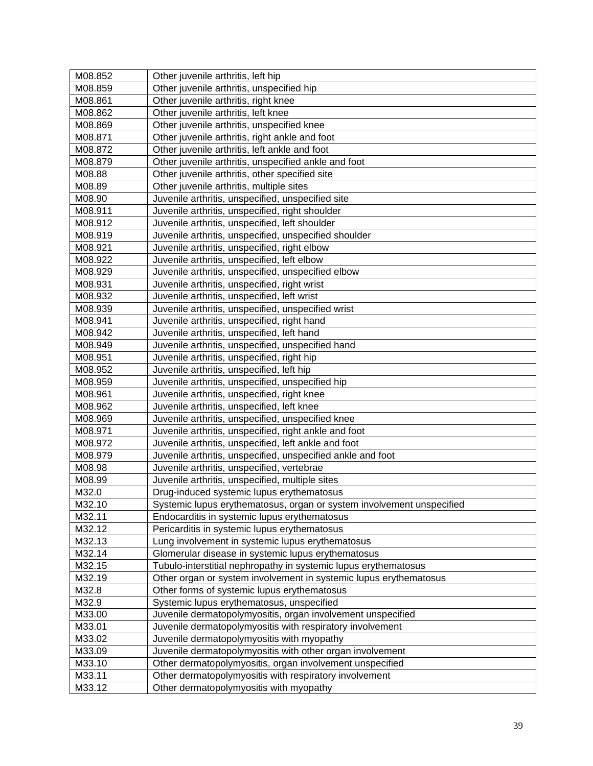| M08.852 | Other juvenile arthritis, left hip                                    |
|---------|-----------------------------------------------------------------------|
| M08.859 | Other juvenile arthritis, unspecified hip                             |
| M08.861 | Other juvenile arthritis, right knee                                  |
| M08.862 | Other juvenile arthritis, left knee                                   |
| M08.869 | Other juvenile arthritis, unspecified knee                            |
| M08.871 | Other juvenile arthritis, right ankle and foot                        |
| M08.872 | Other juvenile arthritis, left ankle and foot                         |
| M08.879 | Other juvenile arthritis, unspecified ankle and foot                  |
| M08.88  | Other juvenile arthritis, other specified site                        |
| M08.89  | Other juvenile arthritis, multiple sites                              |
| M08.90  | Juvenile arthritis, unspecified, unspecified site                     |
| M08.911 | Juvenile arthritis, unspecified, right shoulder                       |
| M08.912 | Juvenile arthritis, unspecified, left shoulder                        |
| M08.919 | Juvenile arthritis, unspecified, unspecified shoulder                 |
| M08.921 | Juvenile arthritis, unspecified, right elbow                          |
| M08.922 | Juvenile arthritis, unspecified, left elbow                           |
| M08.929 | Juvenile arthritis, unspecified, unspecified elbow                    |
| M08.931 | Juvenile arthritis, unspecified, right wrist                          |
| M08.932 | Juvenile arthritis, unspecified, left wrist                           |
| M08.939 | Juvenile arthritis, unspecified, unspecified wrist                    |
| M08.941 | Juvenile arthritis, unspecified, right hand                           |
| M08.942 | Juvenile arthritis, unspecified, left hand                            |
| M08.949 | Juvenile arthritis, unspecified, unspecified hand                     |
| M08.951 | Juvenile arthritis, unspecified, right hip                            |
| M08.952 | Juvenile arthritis, unspecified, left hip                             |
| M08.959 | Juvenile arthritis, unspecified, unspecified hip                      |
| M08.961 | Juvenile arthritis, unspecified, right knee                           |
| M08.962 | Juvenile arthritis, unspecified, left knee                            |
| M08.969 | Juvenile arthritis, unspecified, unspecified knee                     |
| M08.971 | Juvenile arthritis, unspecified, right ankle and foot                 |
| M08.972 | Juvenile arthritis, unspecified, left ankle and foot                  |
| M08.979 | Juvenile arthritis, unspecified, unspecified ankle and foot           |
| M08.98  | Juvenile arthritis, unspecified, vertebrae                            |
| M08.99  | Juvenile arthritis, unspecified, multiple sites                       |
| M32.0   | Drug-induced systemic lupus erythematosus                             |
| M32.10  | Systemic lupus erythematosus, organ or system involvement unspecified |
| M32.11  | Endocarditis in systemic lupus erythematosus                          |
| M32.12  | Pericarditis in systemic lupus erythematosus                          |
| M32.13  | Lung involvement in systemic lupus erythematosus                      |
| M32.14  | Glomerular disease in systemic lupus erythematosus                    |
| M32.15  | Tubulo-interstitial nephropathy in systemic lupus erythematosus       |
| M32.19  | Other organ or system involvement in systemic lupus erythematosus     |
| M32.8   | Other forms of systemic lupus erythematosus                           |
| M32.9   | Systemic lupus erythematosus, unspecified                             |
| M33.00  | Juvenile dermatopolymyositis, organ involvement unspecified           |
| M33.01  | Juvenile dermatopolymyositis with respiratory involvement             |
| M33.02  | Juvenile dermatopolymyositis with myopathy                            |
| M33.09  | Juvenile dermatopolymyositis with other organ involvement             |
| M33.10  | Other dermatopolymyositis, organ involvement unspecified              |
| M33.11  | Other dermatopolymyositis with respiratory involvement                |
| M33.12  | Other dermatopolymyositis with myopathy                               |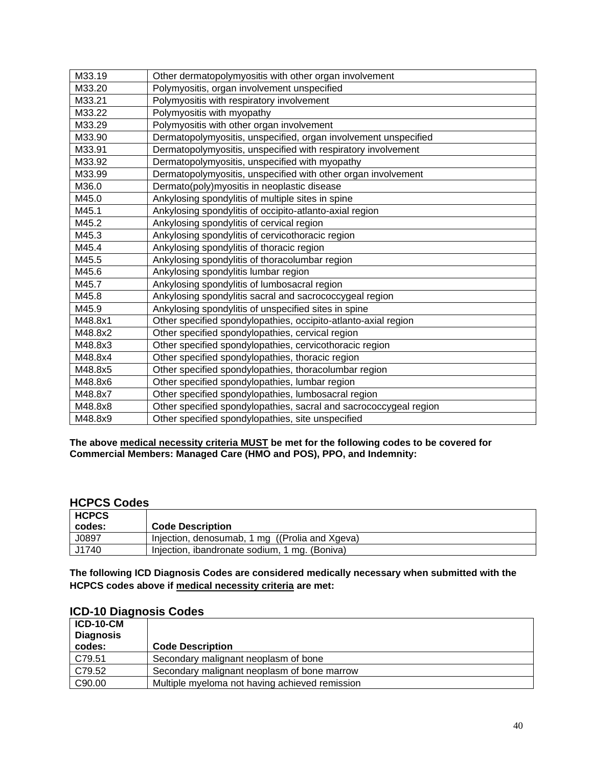| M33.19  | Other dermatopolymyositis with other organ involvement            |
|---------|-------------------------------------------------------------------|
| M33.20  | Polymyositis, organ involvement unspecified                       |
| M33.21  | Polymyositis with respiratory involvement                         |
| M33.22  | Polymyositis with myopathy                                        |
| M33.29  | Polymyositis with other organ involvement                         |
| M33.90  | Dermatopolymyositis, unspecified, organ involvement unspecified   |
| M33.91  | Dermatopolymyositis, unspecified with respiratory involvement     |
| M33.92  | Dermatopolymyositis, unspecified with myopathy                    |
| M33.99  | Dermatopolymyositis, unspecified with other organ involvement     |
| M36.0   | Dermato(poly)myositis in neoplastic disease                       |
| M45.0   | Ankylosing spondylitis of multiple sites in spine                 |
| M45.1   | Ankylosing spondylitis of occipito-atlanto-axial region           |
| M45.2   | Ankylosing spondylitis of cervical region                         |
| M45.3   | Ankylosing spondylitis of cervicothoracic region                  |
| M45.4   | Ankylosing spondylitis of thoracic region                         |
| M45.5   | Ankylosing spondylitis of thoracolumbar region                    |
| M45.6   | Ankylosing spondylitis lumbar region                              |
| M45.7   | Ankylosing spondylitis of lumbosacral region                      |
| M45.8   | Ankylosing spondylitis sacral and sacrococcygeal region           |
| M45.9   | Ankylosing spondylitis of unspecified sites in spine              |
| M48.8x1 | Other specified spondylopathies, occipito-atlanto-axial region    |
| M48.8x2 | Other specified spondylopathies, cervical region                  |
| M48.8x3 | Other specified spondylopathies, cervicothoracic region           |
| M48.8x4 | Other specified spondylopathies, thoracic region                  |
| M48.8x5 | Other specified spondylopathies, thoracolumbar region             |
| M48.8x6 | Other specified spondylopathies, lumbar region                    |
| M48.8x7 | Other specified spondylopathies, lumbosacral region               |
| M48.8x8 | Other specified spondylopathies, sacral and sacrococcygeal region |
| M48.8x9 | Other specified spondylopathies, site unspecified                 |

## **HCPCS Codes**

| HCPCS<br>codes: | <b>Code Description</b>                        |
|-----------------|------------------------------------------------|
| J0897           | Injection, denosumab, 1 mg ((Prolia and Xgeva) |
| J1740           | Injection, ibandronate sodium, 1 mg. (Boniva)  |

**The following ICD Diagnosis Codes are considered medically necessary when submitted with the HCPCS codes above if medical necessity criteria are met:**

| <b>ICD-10-CM</b><br><b>Diagnosis</b><br>codes: | <b>Code Description</b>                        |
|------------------------------------------------|------------------------------------------------|
| C79.51                                         | Secondary malignant neoplasm of bone           |
| C79.52                                         | Secondary malignant neoplasm of bone marrow    |
| C90.00                                         | Multiple myeloma not having achieved remission |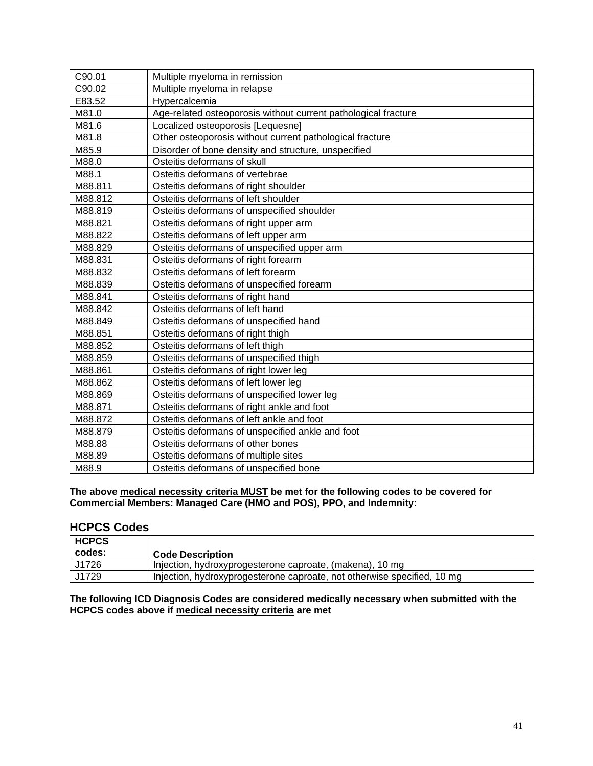| C90.01  | Multiple myeloma in remission                                  |
|---------|----------------------------------------------------------------|
| C90.02  | Multiple myeloma in relapse                                    |
| E83.52  | Hypercalcemia                                                  |
| M81.0   | Age-related osteoporosis without current pathological fracture |
| M81.6   | Localized osteoporosis [Lequesne]                              |
| M81.8   | Other osteoporosis without current pathological fracture       |
| M85.9   | Disorder of bone density and structure, unspecified            |
| M88.0   | Osteitis deformans of skull                                    |
| M88.1   | Osteitis deformans of vertebrae                                |
| M88.811 | Osteitis deformans of right shoulder                           |
| M88.812 | Osteitis deformans of left shoulder                            |
| M88.819 | Osteitis deformans of unspecified shoulder                     |
| M88.821 | Osteitis deformans of right upper arm                          |
| M88.822 | Osteitis deformans of left upper arm                           |
| M88.829 | Osteitis deformans of unspecified upper arm                    |
| M88.831 | Osteitis deformans of right forearm                            |
| M88.832 | Osteitis deformans of left forearm                             |
| M88.839 | Osteitis deformans of unspecified forearm                      |
| M88.841 | Osteitis deformans of right hand                               |
| M88.842 | Osteitis deformans of left hand                                |
| M88.849 | Osteitis deformans of unspecified hand                         |
| M88.851 | Osteitis deformans of right thigh                              |
| M88.852 | Osteitis deformans of left thigh                               |
| M88.859 | Osteitis deformans of unspecified thigh                        |
| M88.861 | Osteitis deformans of right lower leg                          |
| M88.862 | Osteitis deformans of left lower leg                           |
| M88.869 | Osteitis deformans of unspecified lower leg                    |
| M88.871 | Osteitis deformans of right ankle and foot                     |
| M88.872 | Osteitis deformans of left ankle and foot                      |
| M88.879 | Osteitis deformans of unspecified ankle and foot               |
| M88.88  | Osteitis deformans of other bones                              |
| M88.89  | Osteitis deformans of multiple sites                           |
| M88.9   | Osteitis deformans of unspecified bone                         |

## **HCPCS Codes**

| ∣ HCPCS<br>codes: | <b>Code Description</b>                                                 |
|-------------------|-------------------------------------------------------------------------|
| J1726             | Injection, hydroxyprogesterone caproate, (makena), 10 mg                |
| J1729             | Injection, hydroxyprogesterone caproate, not otherwise specified, 10 mg |

**The following ICD Diagnosis Codes are considered medically necessary when submitted with the HCPCS codes above if medical necessity criteria are met**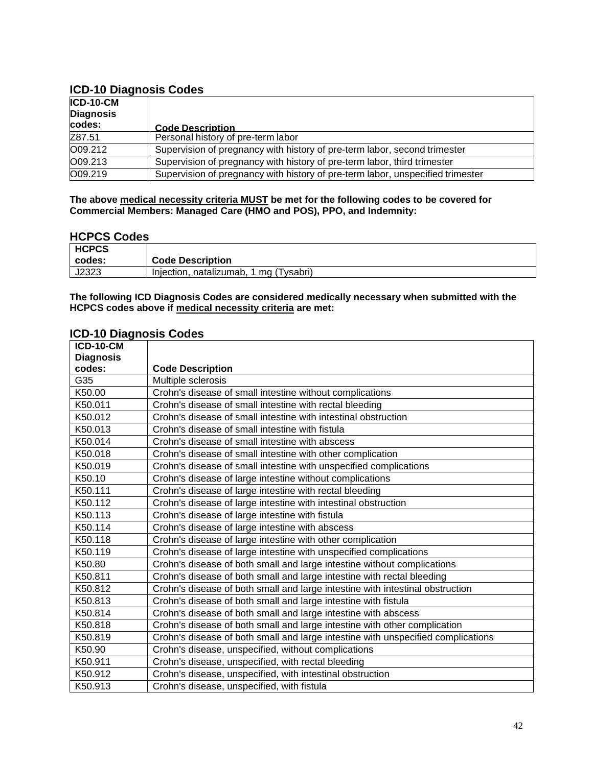## **ICD-10 Diagnosis Codes**

| ICD-10-CM<br><b>Diagnosis</b><br>codes: | <b>Code Description</b>                                                        |  |
|-----------------------------------------|--------------------------------------------------------------------------------|--|
| Z87.51                                  | Personal history of pre-term labor                                             |  |
| O09.212                                 | Supervision of pregnancy with history of pre-term labor, second trimester      |  |
| O09.213                                 | Supervision of pregnancy with history of pre-term labor, third trimester       |  |
| O09.219                                 | Supervision of pregnancy with history of pre-term labor, unspecified trimester |  |

**The above medical necessity criteria MUST be met for the following codes to be covered for Commercial Members: Managed Care (HMO and POS), PPO, and Indemnity:**

## **HCPCS Codes**

| <b>HCPCS</b> |                                           |
|--------------|-------------------------------------------|
| codes:       | <b>Code Description</b>                   |
| J2323        | ` mg (Tysabri)<br>Injection, natalizumab, |

**The following ICD Diagnosis Codes are considered medically necessary when submitted with the HCPCS codes above if medical necessity criteria are met:**

| <b>ICD-10-CM</b> |                                                                                  |
|------------------|----------------------------------------------------------------------------------|
| <b>Diagnosis</b> |                                                                                  |
| codes:           | <b>Code Description</b>                                                          |
| G35              | Multiple sclerosis                                                               |
| K50.00           | Crohn's disease of small intestine without complications                         |
| K50.011          | Crohn's disease of small intestine with rectal bleeding                          |
| K50.012          | Crohn's disease of small intestine with intestinal obstruction                   |
| K50.013          | Crohn's disease of small intestine with fistula                                  |
| K50.014          | Crohn's disease of small intestine with abscess                                  |
| K50.018          | Crohn's disease of small intestine with other complication                       |
| K50.019          | Crohn's disease of small intestine with unspecified complications                |
| K50.10           | Crohn's disease of large intestine without complications                         |
| K50.111          | Crohn's disease of large intestine with rectal bleeding                          |
| K50.112          | Crohn's disease of large intestine with intestinal obstruction                   |
| K50.113          | Crohn's disease of large intestine with fistula                                  |
| K50.114          | Crohn's disease of large intestine with abscess                                  |
| K50.118          | Crohn's disease of large intestine with other complication                       |
| K50.119          | Crohn's disease of large intestine with unspecified complications                |
| K50.80           | Crohn's disease of both small and large intestine without complications          |
| K50.811          | Crohn's disease of both small and large intestine with rectal bleeding           |
| K50.812          | Crohn's disease of both small and large intestine with intestinal obstruction    |
| K50.813          | Crohn's disease of both small and large intestine with fistula                   |
| K50.814          | Crohn's disease of both small and large intestine with abscess                   |
| K50.818          | Crohn's disease of both small and large intestine with other complication        |
| K50.819          | Crohn's disease of both small and large intestine with unspecified complications |
| K50.90           | Crohn's disease, unspecified, without complications                              |
| K50.911          | Crohn's disease, unspecified, with rectal bleeding                               |
| K50.912          | Crohn's disease, unspecified, with intestinal obstruction                        |
| K50.913          | Crohn's disease, unspecified, with fistula                                       |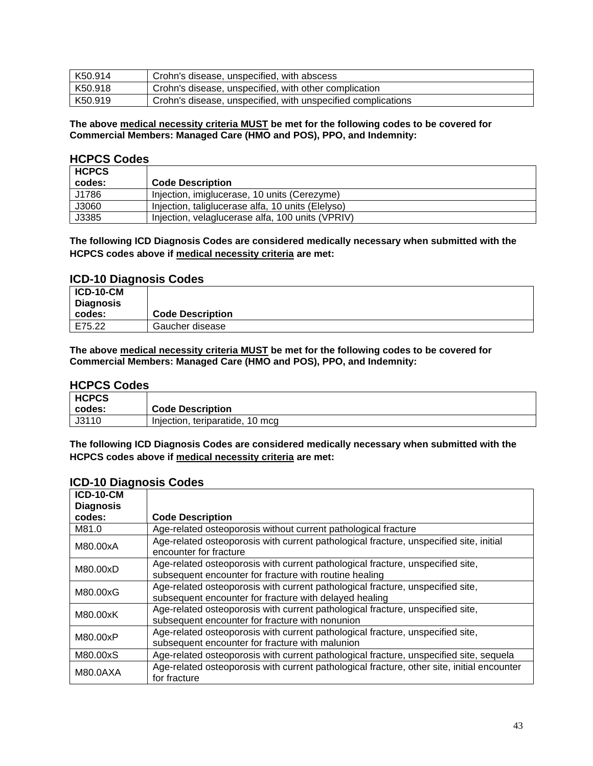| K50.914 | Crohn's disease, unspecified, with abscess                   |
|---------|--------------------------------------------------------------|
| K50.918 | Crohn's disease, unspecified, with other complication        |
| K50.919 | Crohn's disease, unspecified, with unspecified complications |

### **HCPCS Codes**

| <b>HCPCS</b> |                                                   |
|--------------|---------------------------------------------------|
| codes:       | <b>Code Description</b>                           |
| J1786        | Injection, imiglucerase, 10 units (Cerezyme)      |
| J3060        | Injection, taliglucerase alfa, 10 units (Elelyso) |
| J3385        | Injection, velaglucerase alfa, 100 units (VPRIV)  |

**The following ICD Diagnosis Codes are considered medically necessary when submitted with the HCPCS codes above if medical necessity criteria are met:**

### **ICD-10 Diagnosis Codes**

| $ICD-10-CM$<br><b>Diagnosis</b> |                         |
|---------------------------------|-------------------------|
| codes:                          | <b>Code Description</b> |
| E75.22                          | Gaucher disease         |

#### **The above medical necessity criteria MUST be met for the following codes to be covered for Commercial Members: Managed Care (HMO and POS), PPO, and Indemnity:**

### **HCPCS Codes**

| <b>HCPCS</b><br>codes: | <b>Code Description</b>         |
|------------------------|---------------------------------|
| J3110                  | Injection, teriparatide, 10 mcg |

**The following ICD Diagnosis Codes are considered medically necessary when submitted with the HCPCS codes above if medical necessity criteria are met:**

| <b>ICD-10-CM</b> |                                                                                                                                          |
|------------------|------------------------------------------------------------------------------------------------------------------------------------------|
| <b>Diagnosis</b> |                                                                                                                                          |
| codes:           | <b>Code Description</b>                                                                                                                  |
| M81.0            | Age-related osteoporosis without current pathological fracture                                                                           |
| M80.00xA         | Age-related osteoporosis with current pathological fracture, unspecified site, initial<br>encounter for fracture                         |
| M80.00xD         | Age-related osteoporosis with current pathological fracture, unspecified site,<br>subsequent encounter for fracture with routine healing |
| M80.00xG         | Age-related osteoporosis with current pathological fracture, unspecified site,<br>subsequent encounter for fracture with delayed healing |
| M80.00xK         | Age-related osteoporosis with current pathological fracture, unspecified site,<br>subsequent encounter for fracture with nonunion        |
| M80.00xP         | Age-related osteoporosis with current pathological fracture, unspecified site,<br>subsequent encounter for fracture with malunion        |
| M80.00xS         | Age-related osteoporosis with current pathological fracture, unspecified site, sequela                                                   |
| M80.0AXA         | Age-related osteoporosis with current pathological fracture, other site, initial encounter<br>for fracture                               |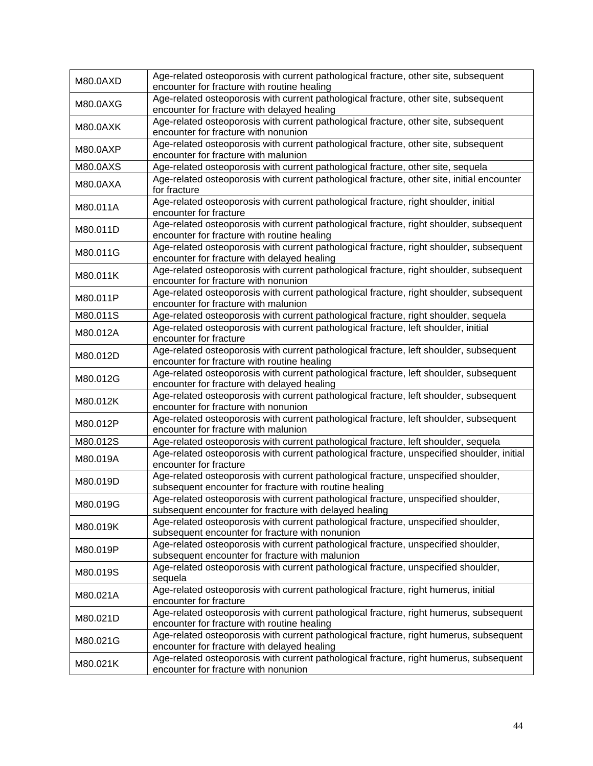| M80.0AXD | Age-related osteoporosis with current pathological fracture, other site, subsequent<br>encounter for fracture with routine healing           |
|----------|----------------------------------------------------------------------------------------------------------------------------------------------|
| M80.0AXG | Age-related osteoporosis with current pathological fracture, other site, subsequent<br>encounter for fracture with delayed healing           |
| M80.0AXK | Age-related osteoporosis with current pathological fracture, other site, subsequent<br>encounter for fracture with nonunion                  |
| M80.0AXP | Age-related osteoporosis with current pathological fracture, other site, subsequent<br>encounter for fracture with malunion                  |
| M80.0AXS | Age-related osteoporosis with current pathological fracture, other site, sequela                                                             |
| M80.0AXA | Age-related osteoporosis with current pathological fracture, other site, initial encounter<br>for fracture                                   |
| M80.011A | Age-related osteoporosis with current pathological fracture, right shoulder, initial<br>encounter for fracture                               |
| M80.011D | Age-related osteoporosis with current pathological fracture, right shoulder, subsequent<br>encounter for fracture with routine healing       |
| M80.011G | Age-related osteoporosis with current pathological fracture, right shoulder, subsequent<br>encounter for fracture with delayed healing       |
| M80.011K | Age-related osteoporosis with current pathological fracture, right shoulder, subsequent<br>encounter for fracture with nonunion              |
| M80.011P | Age-related osteoporosis with current pathological fracture, right shoulder, subsequent<br>encounter for fracture with malunion              |
| M80.011S | Age-related osteoporosis with current pathological fracture, right shoulder, sequela                                                         |
| M80.012A | Age-related osteoporosis with current pathological fracture, left shoulder, initial<br>encounter for fracture                                |
| M80.012D | Age-related osteoporosis with current pathological fracture, left shoulder, subsequent<br>encounter for fracture with routine healing        |
| M80.012G | Age-related osteoporosis with current pathological fracture, left shoulder, subsequent<br>encounter for fracture with delayed healing        |
| M80.012K | Age-related osteoporosis with current pathological fracture, left shoulder, subsequent<br>encounter for fracture with nonunion               |
| M80.012P | Age-related osteoporosis with current pathological fracture, left shoulder, subsequent<br>encounter for fracture with malunion               |
| M80.012S | Age-related osteoporosis with current pathological fracture, left shoulder, sequela                                                          |
| M80.019A | Age-related osteoporosis with current pathological fracture, unspecified shoulder, initial<br>encounter for fracture                         |
| M80.019D | Age-related osteoporosis with current pathological fracture, unspecified shoulder,<br>subsequent encounter for fracture with routine healing |
| M80.019G | Age-related osteoporosis with current pathological fracture, unspecified shoulder,<br>subsequent encounter for fracture with delayed healing |
| M80.019K | Age-related osteoporosis with current pathological fracture, unspecified shoulder,<br>subsequent encounter for fracture with nonunion        |
| M80.019P | Age-related osteoporosis with current pathological fracture, unspecified shoulder,<br>subsequent encounter for fracture with malunion        |
| M80.019S | Age-related osteoporosis with current pathological fracture, unspecified shoulder,<br>sequela                                                |
| M80.021A | Age-related osteoporosis with current pathological fracture, right humerus, initial<br>encounter for fracture                                |
| M80.021D | Age-related osteoporosis with current pathological fracture, right humerus, subsequent<br>encounter for fracture with routine healing        |
| M80.021G | Age-related osteoporosis with current pathological fracture, right humerus, subsequent<br>encounter for fracture with delayed healing        |
| M80.021K | Age-related osteoporosis with current pathological fracture, right humerus, subsequent<br>encounter for fracture with nonunion               |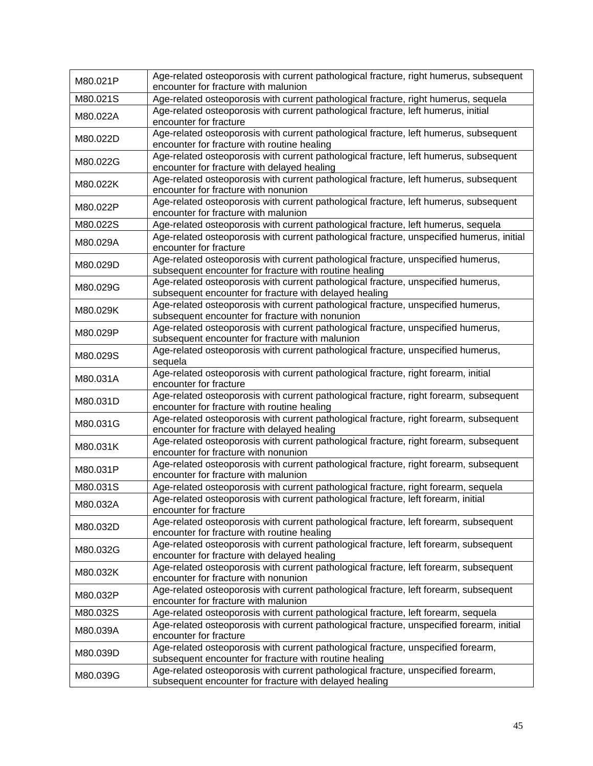| M80.021P | Age-related osteoporosis with current pathological fracture, right humerus, subsequent<br>encounter for fracture with malunion              |
|----------|---------------------------------------------------------------------------------------------------------------------------------------------|
| M80.021S | Age-related osteoporosis with current pathological fracture, right humerus, sequela                                                         |
| M80.022A | Age-related osteoporosis with current pathological fracture, left humerus, initial<br>encounter for fracture                                |
| M80.022D | Age-related osteoporosis with current pathological fracture, left humerus, subsequent<br>encounter for fracture with routine healing        |
| M80.022G | Age-related osteoporosis with current pathological fracture, left humerus, subsequent<br>encounter for fracture with delayed healing        |
| M80.022K | Age-related osteoporosis with current pathological fracture, left humerus, subsequent<br>encounter for fracture with nonunion               |
| M80.022P | Age-related osteoporosis with current pathological fracture, left humerus, subsequent<br>encounter for fracture with malunion               |
| M80.022S | Age-related osteoporosis with current pathological fracture, left humerus, sequela                                                          |
| M80.029A | Age-related osteoporosis with current pathological fracture, unspecified humerus, initial<br>encounter for fracture                         |
| M80.029D | Age-related osteoporosis with current pathological fracture, unspecified humerus,<br>subsequent encounter for fracture with routine healing |
| M80.029G | Age-related osteoporosis with current pathological fracture, unspecified humerus,<br>subsequent encounter for fracture with delayed healing |
| M80.029K | Age-related osteoporosis with current pathological fracture, unspecified humerus,<br>subsequent encounter for fracture with nonunion        |
| M80.029P | Age-related osteoporosis with current pathological fracture, unspecified humerus,<br>subsequent encounter for fracture with malunion        |
| M80.029S | Age-related osteoporosis with current pathological fracture, unspecified humerus,<br>sequela                                                |
| M80.031A | Age-related osteoporosis with current pathological fracture, right forearm, initial<br>encounter for fracture                               |
| M80.031D | Age-related osteoporosis with current pathological fracture, right forearm, subsequent<br>encounter for fracture with routine healing       |
| M80.031G | Age-related osteoporosis with current pathological fracture, right forearm, subsequent<br>encounter for fracture with delayed healing       |
| M80.031K | Age-related osteoporosis with current pathological fracture, right forearm, subsequent<br>encounter for fracture with nonunion              |
| M80.031P | Age-related osteoporosis with current pathological fracture, right forearm, subsequent<br>encounter for fracture with malunion              |
| M80.031S | Age-related osteoporosis with current pathological fracture, right forearm, sequela                                                         |
| M80.032A | Age-related osteoporosis with current pathological fracture, left forearm, initial<br>encounter for fracture                                |
| M80.032D | Age-related osteoporosis with current pathological fracture, left forearm, subsequent<br>encounter for fracture with routine healing        |
| M80.032G | Age-related osteoporosis with current pathological fracture, left forearm, subsequent<br>encounter for fracture with delayed healing        |
| M80.032K | Age-related osteoporosis with current pathological fracture, left forearm, subsequent<br>encounter for fracture with nonunion               |
| M80.032P | Age-related osteoporosis with current pathological fracture, left forearm, subsequent<br>encounter for fracture with malunion               |
| M80.032S | Age-related osteoporosis with current pathological fracture, left forearm, sequela                                                          |
| M80.039A | Age-related osteoporosis with current pathological fracture, unspecified forearm, initial<br>encounter for fracture                         |
| M80.039D | Age-related osteoporosis with current pathological fracture, unspecified forearm,<br>subsequent encounter for fracture with routine healing |
| M80.039G | Age-related osteoporosis with current pathological fracture, unspecified forearm,<br>subsequent encounter for fracture with delayed healing |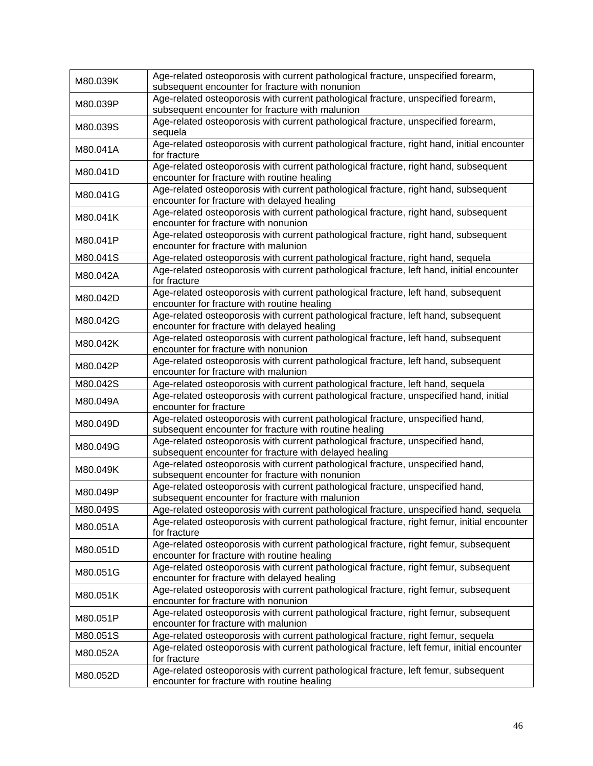| M80.039K             | Age-related osteoporosis with current pathological fracture, unspecified forearm,<br>subsequent encounter for fracture with nonunion                                                                                                                                                   |
|----------------------|----------------------------------------------------------------------------------------------------------------------------------------------------------------------------------------------------------------------------------------------------------------------------------------|
| M80.039P             | Age-related osteoporosis with current pathological fracture, unspecified forearm,<br>subsequent encounter for fracture with malunion                                                                                                                                                   |
| M80.039S             | Age-related osteoporosis with current pathological fracture, unspecified forearm,<br>sequela                                                                                                                                                                                           |
| M80.041A             | Age-related osteoporosis with current pathological fracture, right hand, initial encounter<br>for fracture                                                                                                                                                                             |
| M80.041D             | Age-related osteoporosis with current pathological fracture, right hand, subsequent<br>encounter for fracture with routine healing                                                                                                                                                     |
| M80.041G             | Age-related osteoporosis with current pathological fracture, right hand, subsequent<br>encounter for fracture with delayed healing                                                                                                                                                     |
| M80.041K             | Age-related osteoporosis with current pathological fracture, right hand, subsequent<br>encounter for fracture with nonunion                                                                                                                                                            |
| M80.041P             | Age-related osteoporosis with current pathological fracture, right hand, subsequent<br>encounter for fracture with malunion                                                                                                                                                            |
| M80.041S             | Age-related osteoporosis with current pathological fracture, right hand, sequela                                                                                                                                                                                                       |
| M80.042A             | Age-related osteoporosis with current pathological fracture, left hand, initial encounter<br>for fracture                                                                                                                                                                              |
| M80.042D             | Age-related osteoporosis with current pathological fracture, left hand, subsequent<br>encounter for fracture with routine healing                                                                                                                                                      |
| M80.042G             | Age-related osteoporosis with current pathological fracture, left hand, subsequent<br>encounter for fracture with delayed healing                                                                                                                                                      |
| M80.042K             | Age-related osteoporosis with current pathological fracture, left hand, subsequent<br>encounter for fracture with nonunion                                                                                                                                                             |
| M80.042P             | Age-related osteoporosis with current pathological fracture, left hand, subsequent<br>encounter for fracture with malunion                                                                                                                                                             |
| M80.042S             | Age-related osteoporosis with current pathological fracture, left hand, sequela                                                                                                                                                                                                        |
| M80.049A             | Age-related osteoporosis with current pathological fracture, unspecified hand, initial<br>encounter for fracture                                                                                                                                                                       |
| M80.049D             | Age-related osteoporosis with current pathological fracture, unspecified hand,<br>subsequent encounter for fracture with routine healing                                                                                                                                               |
| M80.049G             | Age-related osteoporosis with current pathological fracture, unspecified hand,<br>subsequent encounter for fracture with delayed healing                                                                                                                                               |
| M80.049K             | Age-related osteoporosis with current pathological fracture, unspecified hand,<br>subsequent encounter for fracture with nonunion                                                                                                                                                      |
| M80.049P             | Age-related osteoporosis with current pathological fracture, unspecified hand,<br>subsequent encounter for fracture with malunion                                                                                                                                                      |
| M80.049S             | Age-related osteoporosis with current pathological fracture, unspecified hand, sequela                                                                                                                                                                                                 |
| M80.051A             | Age-related osteoporosis with current pathological fracture, right femur, initial encounter<br>for fracture                                                                                                                                                                            |
|                      |                                                                                                                                                                                                                                                                                        |
| M80.051D             | Age-related osteoporosis with current pathological fracture, right femur, subsequent                                                                                                                                                                                                   |
| M80.051G             | encounter for fracture with routine healing<br>Age-related osteoporosis with current pathological fracture, right femur, subsequent<br>encounter for fracture with delayed healing                                                                                                     |
| M80.051K             | Age-related osteoporosis with current pathological fracture, right femur, subsequent<br>encounter for fracture with nonunion                                                                                                                                                           |
| M80.051P             | Age-related osteoporosis with current pathological fracture, right femur, subsequent<br>encounter for fracture with malunion                                                                                                                                                           |
|                      |                                                                                                                                                                                                                                                                                        |
| M80.051S<br>M80.052A | Age-related osteoporosis with current pathological fracture, right femur, sequela<br>Age-related osteoporosis with current pathological fracture, left femur, initial encounter<br>for fracture<br>Age-related osteoporosis with current pathological fracture, left femur, subsequent |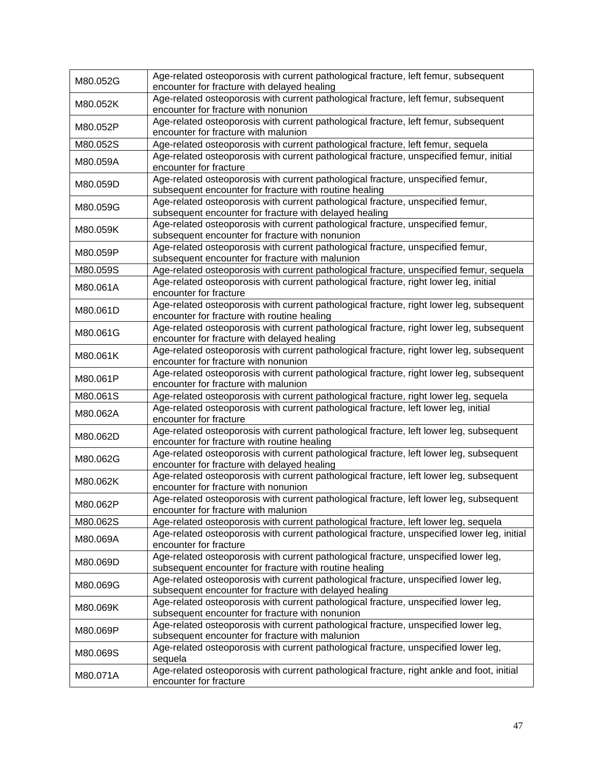| M80.052G | Age-related osteoporosis with current pathological fracture, left femur, subsequent<br>encounter for fracture with delayed healing            |
|----------|-----------------------------------------------------------------------------------------------------------------------------------------------|
| M80.052K | Age-related osteoporosis with current pathological fracture, left femur, subsequent<br>encounter for fracture with nonunion                   |
| M80.052P | Age-related osteoporosis with current pathological fracture, left femur, subsequent<br>encounter for fracture with malunion                   |
| M80.052S | Age-related osteoporosis with current pathological fracture, left femur, sequela                                                              |
| M80.059A | Age-related osteoporosis with current pathological fracture, unspecified femur, initial<br>encounter for fracture                             |
| M80.059D | Age-related osteoporosis with current pathological fracture, unspecified femur,<br>subsequent encounter for fracture with routine healing     |
| M80.059G | Age-related osteoporosis with current pathological fracture, unspecified femur,<br>subsequent encounter for fracture with delayed healing     |
| M80.059K | Age-related osteoporosis with current pathological fracture, unspecified femur,<br>subsequent encounter for fracture with nonunion            |
| M80.059P | Age-related osteoporosis with current pathological fracture, unspecified femur,<br>subsequent encounter for fracture with malunion            |
| M80.059S | Age-related osteoporosis with current pathological fracture, unspecified femur, sequela                                                       |
| M80.061A | Age-related osteoporosis with current pathological fracture, right lower leg, initial<br>encounter for fracture                               |
| M80.061D | Age-related osteoporosis with current pathological fracture, right lower leg, subsequent<br>encounter for fracture with routine healing       |
| M80.061G | Age-related osteoporosis with current pathological fracture, right lower leg, subsequent<br>encounter for fracture with delayed healing       |
| M80.061K | Age-related osteoporosis with current pathological fracture, right lower leg, subsequent<br>encounter for fracture with nonunion              |
| M80.061P | Age-related osteoporosis with current pathological fracture, right lower leg, subsequent<br>encounter for fracture with malunion              |
| M80.061S | Age-related osteoporosis with current pathological fracture, right lower leg, sequela                                                         |
| M80.062A | Age-related osteoporosis with current pathological fracture, left lower leg, initial<br>encounter for fracture                                |
| M80.062D | Age-related osteoporosis with current pathological fracture, left lower leg, subsequent<br>encounter for fracture with routine healing        |
| M80.062G | Age-related osteoporosis with current pathological fracture, left lower leg, subsequent<br>encounter for fracture with delayed healing        |
| M80.062K | Age-related osteoporosis with current pathological fracture, left lower leg, subsequent<br>encounter for fracture with nonunion               |
| M80.062P | Age-related osteoporosis with current pathological fracture, left lower leg, subsequent<br>encounter for fracture with malunion               |
| M80.062S | Age-related osteoporosis with current pathological fracture, left lower leg, sequela                                                          |
| M80.069A | Age-related osteoporosis with current pathological fracture, unspecified lower leg, initial<br>encounter for fracture                         |
| M80.069D | Age-related osteoporosis with current pathological fracture, unspecified lower leg,<br>subsequent encounter for fracture with routine healing |
| M80.069G | Age-related osteoporosis with current pathological fracture, unspecified lower leg,<br>subsequent encounter for fracture with delayed healing |
| M80.069K | Age-related osteoporosis with current pathological fracture, unspecified lower leg,<br>subsequent encounter for fracture with nonunion        |
| M80.069P | Age-related osteoporosis with current pathological fracture, unspecified lower leg,<br>subsequent encounter for fracture with malunion        |
| M80.069S | Age-related osteoporosis with current pathological fracture, unspecified lower leg,<br>sequela                                                |
| M80.071A | Age-related osteoporosis with current pathological fracture, right ankle and foot, initial<br>encounter for fracture                          |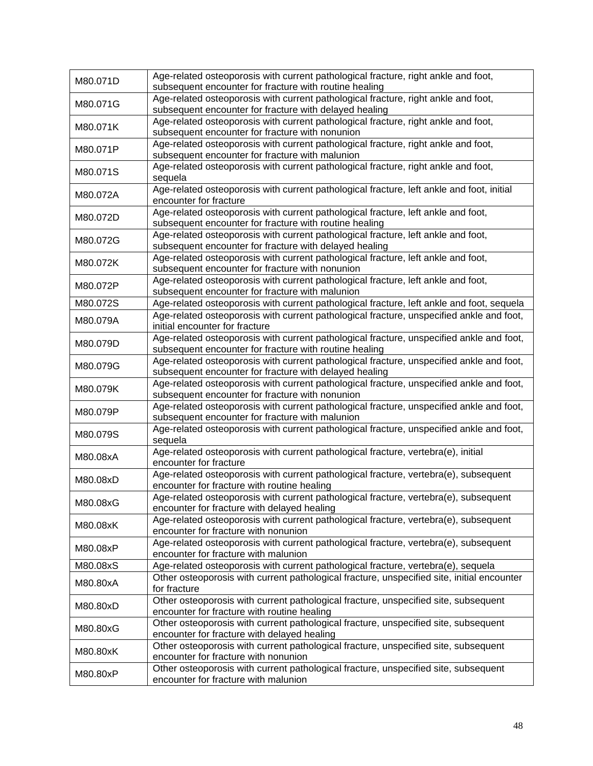| M80.071D | Age-related osteoporosis with current pathological fracture, right ankle and foot,<br>subsequent encounter for fracture with routine healing       |
|----------|----------------------------------------------------------------------------------------------------------------------------------------------------|
| M80.071G | Age-related osteoporosis with current pathological fracture, right ankle and foot,<br>subsequent encounter for fracture with delayed healing       |
| M80.071K | Age-related osteoporosis with current pathological fracture, right ankle and foot,<br>subsequent encounter for fracture with nonunion              |
| M80.071P | Age-related osteoporosis with current pathological fracture, right ankle and foot,<br>subsequent encounter for fracture with malunion              |
| M80.071S | Age-related osteoporosis with current pathological fracture, right ankle and foot,<br>sequela                                                      |
| M80.072A | Age-related osteoporosis with current pathological fracture, left ankle and foot, initial<br>encounter for fracture                                |
| M80.072D | Age-related osteoporosis with current pathological fracture, left ankle and foot,<br>subsequent encounter for fracture with routine healing        |
| M80.072G | Age-related osteoporosis with current pathological fracture, left ankle and foot,<br>subsequent encounter for fracture with delayed healing        |
| M80.072K | Age-related osteoporosis with current pathological fracture, left ankle and foot,<br>subsequent encounter for fracture with nonunion               |
| M80.072P | Age-related osteoporosis with current pathological fracture, left ankle and foot,<br>subsequent encounter for fracture with malunion               |
| M80.072S | Age-related osteoporosis with current pathological fracture, left ankle and foot, sequela                                                          |
| M80.079A | Age-related osteoporosis with current pathological fracture, unspecified ankle and foot,<br>initial encounter for fracture                         |
| M80.079D | Age-related osteoporosis with current pathological fracture, unspecified ankle and foot,<br>subsequent encounter for fracture with routine healing |
| M80.079G | Age-related osteoporosis with current pathological fracture, unspecified ankle and foot,<br>subsequent encounter for fracture with delayed healing |
| M80.079K | Age-related osteoporosis with current pathological fracture, unspecified ankle and foot,<br>subsequent encounter for fracture with nonunion        |
| M80.079P | Age-related osteoporosis with current pathological fracture, unspecified ankle and foot,<br>subsequent encounter for fracture with malunion        |
| M80.079S | Age-related osteoporosis with current pathological fracture, unspecified ankle and foot,<br>sequela                                                |
| M80.08xA | Age-related osteoporosis with current pathological fracture, vertebra(e), initial<br>encounter for fracture                                        |
| M80.08xD | Age-related osteoporosis with current pathological fracture, vertebra(e), subsequent<br>encounter for fracture with routine healing                |
| M80.08xG | Age-related osteoporosis with current pathological fracture, vertebra(e), subsequent<br>encounter for fracture with delayed healing                |
| M80.08xK | Age-related osteoporosis with current pathological fracture, vertebra(e), subsequent<br>encounter for fracture with nonunion                       |
| M80.08xP | Age-related osteoporosis with current pathological fracture, vertebra(e), subsequent<br>encounter for fracture with malunion                       |
| M80.08xS | Age-related osteoporosis with current pathological fracture, vertebra(e), sequela                                                                  |
| M80.80xA | Other osteoporosis with current pathological fracture, unspecified site, initial encounter<br>for fracture                                         |
| M80.80xD | Other osteoporosis with current pathological fracture, unspecified site, subsequent<br>encounter for fracture with routine healing                 |
| M80.80xG | Other osteoporosis with current pathological fracture, unspecified site, subsequent<br>encounter for fracture with delayed healing                 |
| M80.80xK | Other osteoporosis with current pathological fracture, unspecified site, subsequent<br>encounter for fracture with nonunion                        |
| M80.80xP | Other osteoporosis with current pathological fracture, unspecified site, subsequent<br>encounter for fracture with malunion                        |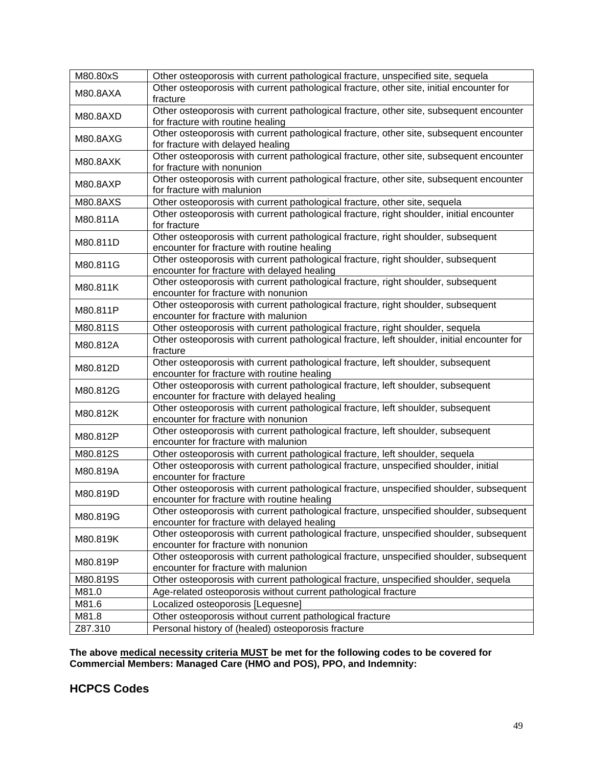| M80.80xS        | Other osteoporosis with current pathological fracture, unspecified site, sequela                               |
|-----------------|----------------------------------------------------------------------------------------------------------------|
| M80.8AXA        | Other osteoporosis with current pathological fracture, other site, initial encounter for                       |
|                 | fracture                                                                                                       |
| M80.8AXD        | Other osteoporosis with current pathological fracture, other site, subsequent encounter                        |
|                 | for fracture with routine healing                                                                              |
| M80.8AXG        | Other osteoporosis with current pathological fracture, other site, subsequent encounter                        |
|                 | for fracture with delayed healing                                                                              |
| <b>M80.8AXK</b> | Other osteoporosis with current pathological fracture, other site, subsequent encounter                        |
|                 | for fracture with nonunion                                                                                     |
| M80.8AXP        | Other osteoporosis with current pathological fracture, other site, subsequent encounter                        |
|                 | for fracture with malunion                                                                                     |
| M80.8AXS        | Other osteoporosis with current pathological fracture, other site, sequela                                     |
| M80.811A        | Other osteoporosis with current pathological fracture, right shoulder, initial encounter                       |
|                 | for fracture<br>Other osteoporosis with current pathological fracture, right shoulder, subsequent              |
| M80.811D        | encounter for fracture with routine healing                                                                    |
|                 | Other osteoporosis with current pathological fracture, right shoulder, subsequent                              |
| M80.811G        | encounter for fracture with delayed healing                                                                    |
|                 | Other osteoporosis with current pathological fracture, right shoulder, subsequent                              |
| M80.811K        | encounter for fracture with nonunion                                                                           |
|                 | Other osteoporosis with current pathological fracture, right shoulder, subsequent                              |
| M80.811P        | encounter for fracture with malunion                                                                           |
| M80.811S        | Other osteoporosis with current pathological fracture, right shoulder, sequela                                 |
|                 | Other osteoporosis with current pathological fracture, left shoulder, initial encounter for                    |
| M80.812A        | fracture                                                                                                       |
| M80.812D        | Other osteoporosis with current pathological fracture, left shoulder, subsequent                               |
|                 | encounter for fracture with routine healing                                                                    |
| M80.812G        | Other osteoporosis with current pathological fracture, left shoulder, subsequent                               |
|                 | encounter for fracture with delayed healing                                                                    |
| M80.812K        | Other osteoporosis with current pathological fracture, left shoulder, subsequent                               |
|                 | encounter for fracture with nonunion                                                                           |
| M80.812P        | Other osteoporosis with current pathological fracture, left shoulder, subsequent                               |
|                 | encounter for fracture with malunion                                                                           |
| M80.812S        | Other osteoporosis with current pathological fracture, left shoulder, sequela                                  |
| M80.819A        | Other osteoporosis with current pathological fracture, unspecified shoulder, initial<br>encounter for fracture |
|                 | Other osteoporosis with current pathological fracture, unspecified shoulder, subsequent                        |
| M80.819D        | encounter for fracture with routine healing                                                                    |
|                 | Other osteoporosis with current pathological fracture, unspecified shoulder, subsequent                        |
| M80.819G        | encounter for fracture with delayed healing                                                                    |
|                 | Other osteoporosis with current pathological fracture, unspecified shoulder, subsequent                        |
| M80.819K        | encounter for fracture with nonunion                                                                           |
|                 | Other osteoporosis with current pathological fracture, unspecified shoulder, subsequent                        |
| M80.819P        | encounter for fracture with malunion                                                                           |
| M80.819S        | Other osteoporosis with current pathological fracture, unspecified shoulder, sequela                           |
| M81.0           | Age-related osteoporosis without current pathological fracture                                                 |
| M81.6           | Localized osteoporosis [Lequesne]                                                                              |
| M81.8           | Other osteoporosis without current pathological fracture                                                       |
| Z87.310         | Personal history of (healed) osteoporosis fracture                                                             |

**HCPCS Codes**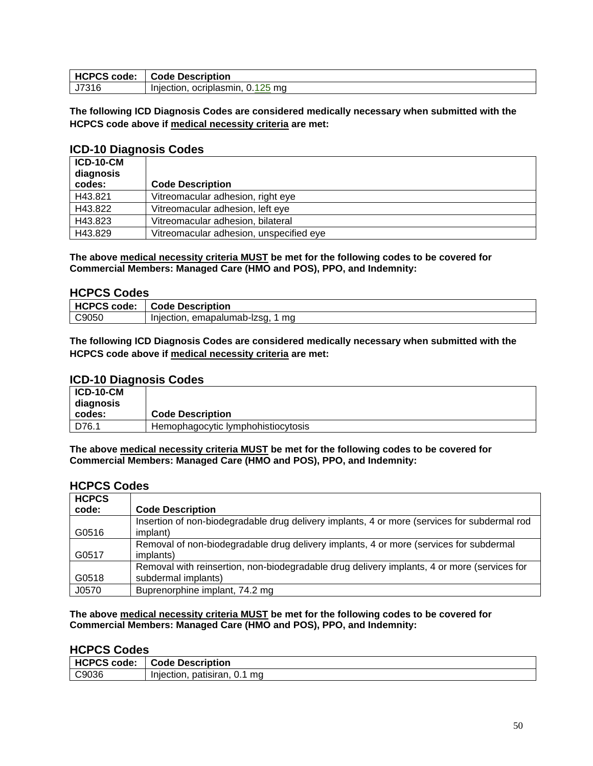| <b>HCPCS</b><br>code<br>CJ. | <b>Description</b><br>`ode                 |
|-----------------------------|--------------------------------------------|
| J7316                       | ma<br>ocriplasmin.<br>Injection<br>v.<br>∼ |

**The following ICD Diagnosis Codes are considered medically necessary when submitted with the HCPCS code above if medical necessity criteria are met:**

### **ICD-10 Diagnosis Codes**

| <b>ICD-10-CM</b><br>diagnosis |                                         |
|-------------------------------|-----------------------------------------|
| codes:                        | <b>Code Description</b>                 |
| H43.821                       | Vitreomacular adhesion, right eye       |
| H43.822                       | Vitreomacular adhesion, left eye        |
| H43.823                       | Vitreomacular adhesion, bilateral       |
| H43.829                       | Vitreomacular adhesion, unspecified eye |

**The above medical necessity criteria MUST be met for the following codes to be covered for Commercial Members: Managed Care (HMO and POS), PPO, and Indemnity:**

### **HCPCS Codes**

| <b>HCPCS</b> | <b>Description</b>                   |
|--------------|--------------------------------------|
| code:        | Jode                                 |
| C9050        | ma<br>emapalumab-Izsq.<br>Injection. |

**The following ICD Diagnosis Codes are considered medically necessary when submitted with the HCPCS code above if medical necessity criteria are met:**

#### **ICD-10 Diagnosis Codes**

| ICD-10-CM<br>diagnosis |                                    |
|------------------------|------------------------------------|
| codes:                 | <b>Code Description</b>            |
| D76.1                  | Hemophagocytic lymphohistiocytosis |

**The above medical necessity criteria MUST be met for the following codes to be covered for Commercial Members: Managed Care (HMO and POS), PPO, and Indemnity:**

## **HCPCS Codes**

| <b>HCPCS</b> |                                                                                              |
|--------------|----------------------------------------------------------------------------------------------|
| code:        | <b>Code Description</b>                                                                      |
|              | Insertion of non-biodegradable drug delivery implants, 4 or more (services for subdermal rod |
| G0516        | implant)                                                                                     |
|              | Removal of non-biodegradable drug delivery implants, 4 or more (services for subdermal       |
| G0517        | <i>implants)</i>                                                                             |
|              | Removal with reinsertion, non-biodegradable drug delivery implants, 4 or more (services for  |
| G0518        | subdermal implants)                                                                          |
| J0570        | Buprenorphine implant, 74.2 mg                                                               |

**The above medical necessity criteria MUST be met for the following codes to be covered for Commercial Members: Managed Care (HMO and POS), PPO, and Indemnity:**

### **HCPCS Codes**

| <b>HCPCS</b><br>code: | <b>Code Description</b>            |
|-----------------------|------------------------------------|
| C9036                 | ma<br>patisiran. 0.1<br>Iniection. |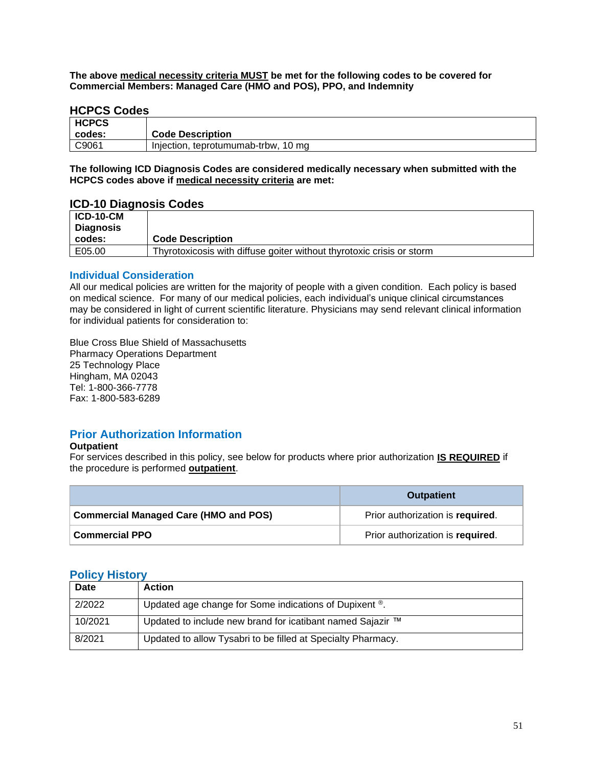### <span id="page-50-1"></span>**HCPCS Codes**

| <b>HCPCS</b> |                                     |
|--------------|-------------------------------------|
| codes:       | <b>Code Description</b>             |
| C9061        | Injection, teprotumumab-trbw, 10 mg |

**The following ICD Diagnosis Codes are considered medically necessary when submitted with the HCPCS codes above if medical necessity criteria are met:**

#### **ICD-10 Diagnosis Codes**

| $ICD-10-CM$<br>Diagnosis |                                                                       |
|--------------------------|-----------------------------------------------------------------------|
| codes:                   | <b>Code Description</b>                                               |
| E05.00                   | Thyrotoxicosis with diffuse goiter without thyrotoxic crisis or storm |

### **Individual Consideration**

All our medical policies are written for the majority of people with a given condition. Each policy is based on medical science. For many of our medical policies, each individual's unique clinical circumstances may be considered in light of current scientific literature. Physicians may send relevant clinical information for individual patients for consideration to:

Blue Cross Blue Shield of Massachusetts Pharmacy Operations Department 25 Technology Place Hingham, MA 02043 Tel: 1-800-366-7778 Fax: 1-800-583-6289

## **Prior Authorization Information**

#### **Outpatient**

For services described in this policy, see below for products where prior authorization **IS REQUIRED** if the procedure is performed **outpatient**.

|                                              | <b>Outpatient</b>                |
|----------------------------------------------|----------------------------------|
| <b>Commercial Managed Care (HMO and POS)</b> | Prior authorization is required. |
| <b>Commercial PPO</b>                        | Prior authorization is required. |

### <span id="page-50-0"></span>**Policy History**

| <b>Date</b> | <b>Action</b>                                                |
|-------------|--------------------------------------------------------------|
| 2/2022      | Updated age change for Some indications of Dupixent ®.       |
| 10/2021     | Updated to include new brand for icatibant named Sajazir ™   |
| 8/2021      | Updated to allow Tysabri to be filled at Specialty Pharmacy. |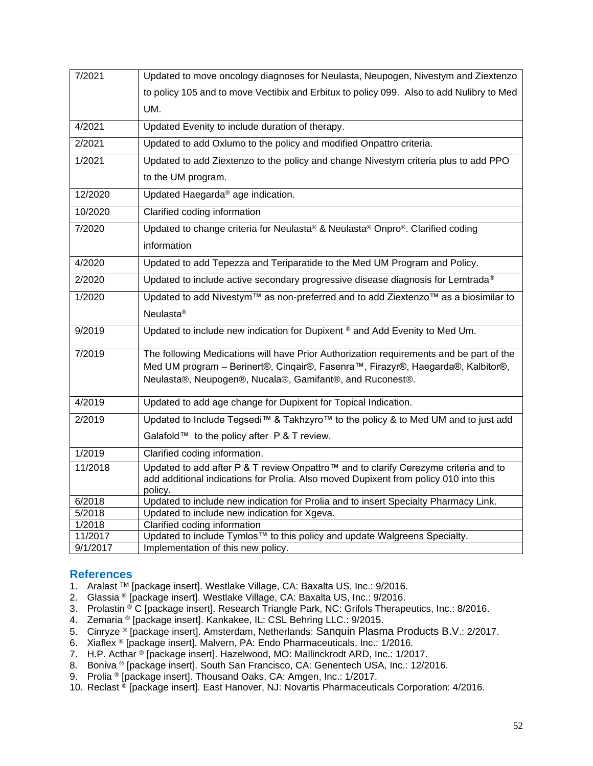| 7/2021   | Updated to move oncology diagnoses for Neulasta, Neupogen, Nivestym and Ziextenzo                                                                                                                                                      |
|----------|----------------------------------------------------------------------------------------------------------------------------------------------------------------------------------------------------------------------------------------|
|          | to policy 105 and to move Vectibix and Erbitux to policy 099. Also to add Nulibry to Med                                                                                                                                               |
|          | UM.                                                                                                                                                                                                                                    |
| 4/2021   | Updated Evenity to include duration of therapy.                                                                                                                                                                                        |
| 2/2021   | Updated to add Oxlumo to the policy and modified Onpattro criteria.                                                                                                                                                                    |
| 1/2021   | Updated to add Ziextenzo to the policy and change Nivestym criteria plus to add PPO                                                                                                                                                    |
|          | to the UM program.                                                                                                                                                                                                                     |
| 12/2020  | Updated Haegarda® age indication.                                                                                                                                                                                                      |
| 10/2020  | Clarified coding information                                                                                                                                                                                                           |
| 7/2020   | Updated to change criteria for Neulasta® & Neulasta® Onpro®. Clarified coding                                                                                                                                                          |
|          | information                                                                                                                                                                                                                            |
| 4/2020   | Updated to add Tepezza and Teriparatide to the Med UM Program and Policy.                                                                                                                                                              |
| 2/2020   | Updated to include active secondary progressive disease diagnosis for Lemtrada®                                                                                                                                                        |
| 1/2020   | Updated to add Nivestym™ as non-preferred and to add Ziextenzo™ as a biosimilar to                                                                                                                                                     |
|          | Neulasta <sup>®</sup>                                                                                                                                                                                                                  |
| 9/2019   | Updated to include new indication for Dupixent ® and Add Evenity to Med Um.                                                                                                                                                            |
| 7/2019   | The following Medications will have Prior Authorization requirements and be part of the<br>Med UM program - Berinert®, Cinqair®, Fasenra™, Firazyr®, Haegarda®, Kalbitor®,<br>Neulasta®, Neupogen®, Nucala®, Gamifant®, and Ruconest®. |
| 4/2019   | Updated to add age change for Dupixent for Topical Indication.                                                                                                                                                                         |
| 2/2019   | Updated to Include Tegsedi™ & Takhzyro™ to the policy & to Med UM and to just add                                                                                                                                                      |
|          | Galafold™ to the policy after P & T review.                                                                                                                                                                                            |
| 1/2019   | Clarified coding information.                                                                                                                                                                                                          |
| 11/2018  | Updated to add after P & T review Onpattro™ and to clarify Cerezyme criteria and to<br>add additional indications for Prolia. Also moved Dupixent from policy 010 into this<br>policy.                                                 |
| 6/2018   | Updated to include new indication for Prolia and to insert Specialty Pharmacy Link.                                                                                                                                                    |
| 5/2018   | Updated to include new indication for Xgeva.                                                                                                                                                                                           |
| 1/2018   | Clarified coding information                                                                                                                                                                                                           |
| 11/2017  | Updated to include Tymlos™ to this policy and update Walgreens Specialty.                                                                                                                                                              |
| 9/1/2017 | Implementation of this new policy.                                                                                                                                                                                                     |

## <span id="page-51-0"></span>**References**

- 1. Aralast TM [package insert]. Westlake Village, CA: Baxalta US, Inc.: 9/2016.
- 2. Glassia ® [package insert]. Westlake Village, CA: Baxalta US, Inc.: 9/2016.
- 3. Prolastin <sup>®</sup> C [package insert]. Research Triangle Park, NC: Grifols Therapeutics, Inc.: 8/2016.
- 4. Zemaria ® [package insert]. Kankakee, IL: CSL Behring LLC.: 9/2015.
- 5. Cinryze ® [package insert]. Amsterdam, Netherlands: Sanquin Plasma Products B.V.: 2/2017.
- 6. Xiaflex ® [package insert]. Malvern, PA: Endo Pharmaceuticals, Inc.: 1/2016.
- 7. H.P. Acthar ® [package insert]. Hazelwood, MO: Mallinckrodt ARD, Inc.: 1/2017.
- 8. Boniva ® [package insert]. South San Francisco, CA: Genentech USA, Inc.: 12/2016.
- 9. Prolia<sup>®</sup> [package insert]. Thousand Oaks, CA: Amgen, Inc.: 1/2017.
- 10. Reclast ® [package insert]. East Hanover, NJ: Novartis Pharmaceuticals Corporation: 4/2016.